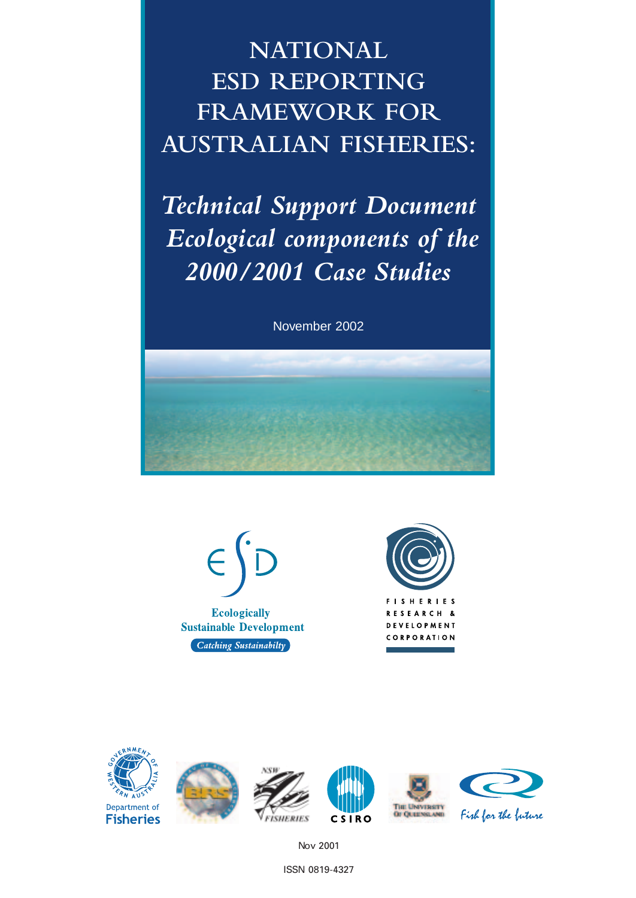**NATIONAL ESD REPORTING FRAMEWORK FOR AUSTRALIAN FISHERIES:**

*Technical Support Document Ecological components of the 2000/2001 Case Studies*

November 2002









Nov 2001

ISSN 0819-4327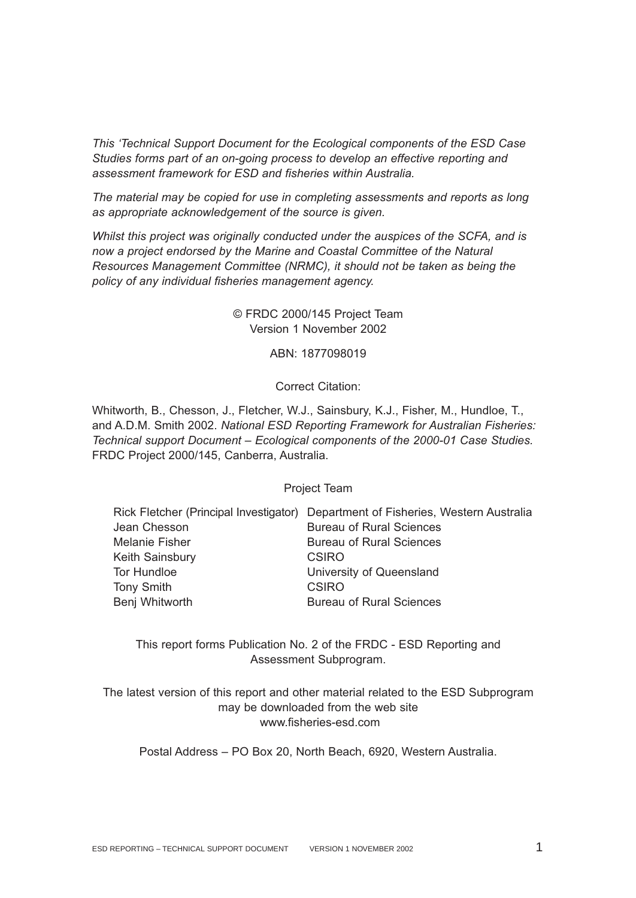*This 'Technical Support Document for the Ecological components of the ESD Case Studies forms part of an on-going process to develop an effective reporting and assessment framework for ESD and fisheries within Australia.* 

*The material may be copied for use in completing assessments and reports as long as appropriate acknowledgement of the source is given.*

*Whilst this project was originally conducted under the auspices of the SCFA, and is now a project endorsed by the Marine and Coastal Committee of the Natural Resources Management Committee (NRMC), it should not be taken as being the policy of any individual fisheries management agency.*

> © FRDC 2000/145 Project Team Version 1 November 2002

> > ABN: 1877098019

Correct Citation:

Whitworth, B., Chesson, J., Fletcher, W.J., Sainsbury, K.J., Fisher, M., Hundloe, T., and A.D.M. Smith 2002. *National ESD Reporting Framework for Australian Fisheries: Technical support Document – Ecological components of the 2000-01 Case Studies.* FRDC Project 2000/145, Canberra, Australia.

Project Team

|                        | Rick Fletcher (Principal Investigator) Department of Fisheries, Western Australia |
|------------------------|-----------------------------------------------------------------------------------|
| Jean Chesson           | <b>Bureau of Rural Sciences</b>                                                   |
| <b>Melanie Fisher</b>  | <b>Bureau of Rural Sciences</b>                                                   |
| <b>Keith Sainsbury</b> | CSIRO                                                                             |
| Tor Hundloe            | University of Queensland                                                          |
| <b>Tony Smith</b>      | <b>CSIRO</b>                                                                      |
| Benj Whitworth         | <b>Bureau of Rural Sciences</b>                                                   |

This report forms Publication No. 2 of the FRDC - ESD Reporting and Assessment Subprogram.

The latest version of this report and other material related to the ESD Subprogram may be downloaded from the web site www.fisheries-esd.com

Postal Address – PO Box 20, North Beach, 6920, Western Australia.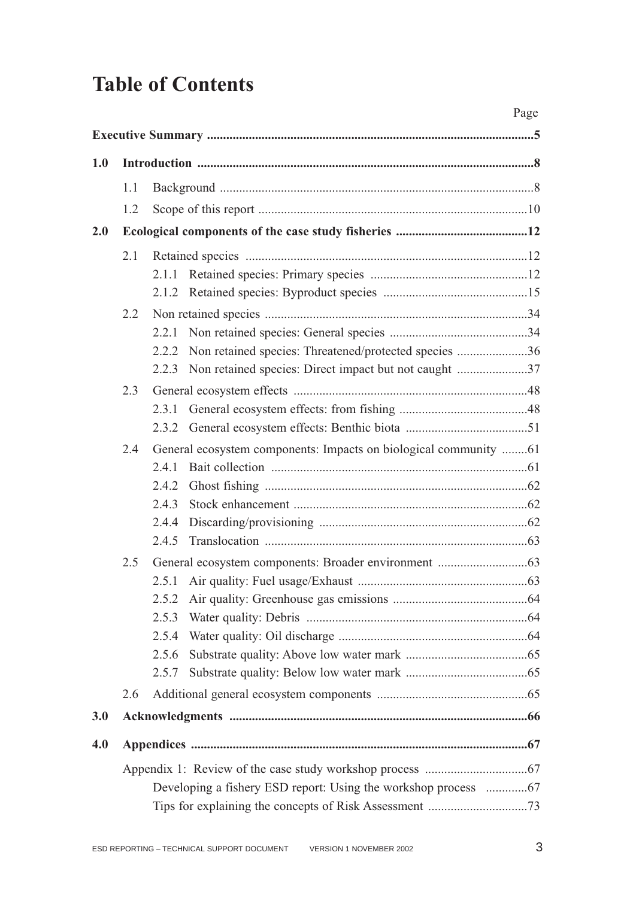# **Table of Contents**

|     |     |                                                                | Page |
|-----|-----|----------------------------------------------------------------|------|
|     |     |                                                                |      |
| 1.0 |     |                                                                |      |
|     | 1.1 |                                                                |      |
|     | 1.2 |                                                                |      |
| 2.0 |     |                                                                |      |
|     |     |                                                                |      |
|     | 2.1 | 2.1.1                                                          |      |
|     |     |                                                                |      |
|     | 2.2 |                                                                |      |
|     |     | 2.2.1                                                          |      |
|     |     | Non retained species: Threatened/protected species 36<br>2.2.2 |      |
|     |     | 2.2.3 Non retained species: Direct impact but not caught 37    |      |
|     | 2.3 |                                                                |      |
|     |     | 2.3.1                                                          |      |
|     |     | 2.3.2                                                          |      |
|     | 2.4 |                                                                |      |
|     |     | 2.4.1                                                          |      |
|     |     | 2.4.2                                                          |      |
|     |     | 2.4.3                                                          |      |
|     |     | 2.4.4                                                          |      |
|     |     | 2.4.5                                                          |      |
|     | 2.5 |                                                                |      |
|     |     |                                                                |      |
|     |     | 2.5.2                                                          |      |
|     |     | 2.5.3                                                          |      |
|     |     | 2.5.4                                                          |      |
|     |     | 2.5.6                                                          |      |
|     |     | 2.5.7                                                          |      |
|     | 2.6 |                                                                |      |
| 3.0 |     |                                                                |      |
| 4.0 |     |                                                                |      |
|     |     |                                                                |      |
|     |     | Developing a fishery ESD report: Using the workshop process 67 |      |
|     |     |                                                                |      |
|     |     |                                                                |      |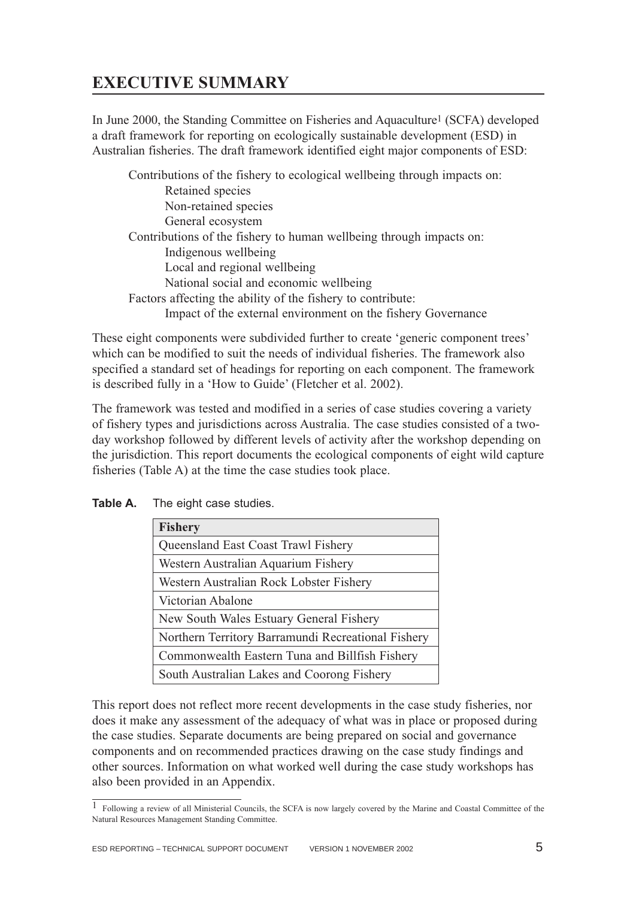## <span id="page-5-0"></span>**EXECUTIVE SUMMARY**

In June 2000, the Standing Committee on Fisheries and Aquaculture1 (SCFA) developed a draft framework for reporting on ecologically sustainable development (ESD) in Australian fisheries. The draft framework identified eight major components of ESD:

Contributions of the fishery to ecological wellbeing through impacts on: Retained species Non-retained species General ecosystem Contributions of the fishery to human wellbeing through impacts on: Indigenous wellbeing Local and regional wellbeing National social and economic wellbeing Factors affecting the ability of the fishery to contribute: Impact of the external environment on the fishery Governance

These eight components were subdivided further to create 'generic component trees' which can be modified to suit the needs of individual fisheries. The framework also specified a standard set of headings for reporting on each component. The framework is described fully in a 'How to Guide' (Fletcher et al. 2002).

The framework was tested and modified in a series of case studies covering a variety of fishery types and jurisdictions across Australia. The case studies consisted of a twoday workshop followed by different levels of activity after the workshop depending on the jurisdiction. This report documents the ecological components of eight wild capture fisheries (Table A) at the time the case studies took place.

| <b>Fishery</b>                                     |
|----------------------------------------------------|
| Queensland East Coast Trawl Fishery                |
| Western Australian Aquarium Fishery                |
| Western Australian Rock Lobster Fishery            |
| Victorian Abalone                                  |
| New South Wales Estuary General Fishery            |
| Northern Territory Barramundi Recreational Fishery |
| Commonwealth Eastern Tuna and Billfish Fishery     |
| South Australian Lakes and Coorong Fishery         |

**Table A.** The eight case studies.

This report does not reflect more recent developments in the case study fisheries, nor does it make any assessment of the adequacy of what was in place or proposed during the case studies. Separate documents are being prepared on social and governance components and on recommended practices drawing on the case study findings and other sources. Information on what worked well during the case study workshops has also been provided in an Appendix.

<sup>1</sup> Following a review of all Ministerial Councils, the SCFA is now largely covered by the Marine and Coastal Committee of the Natural Resources Management Standing Committee.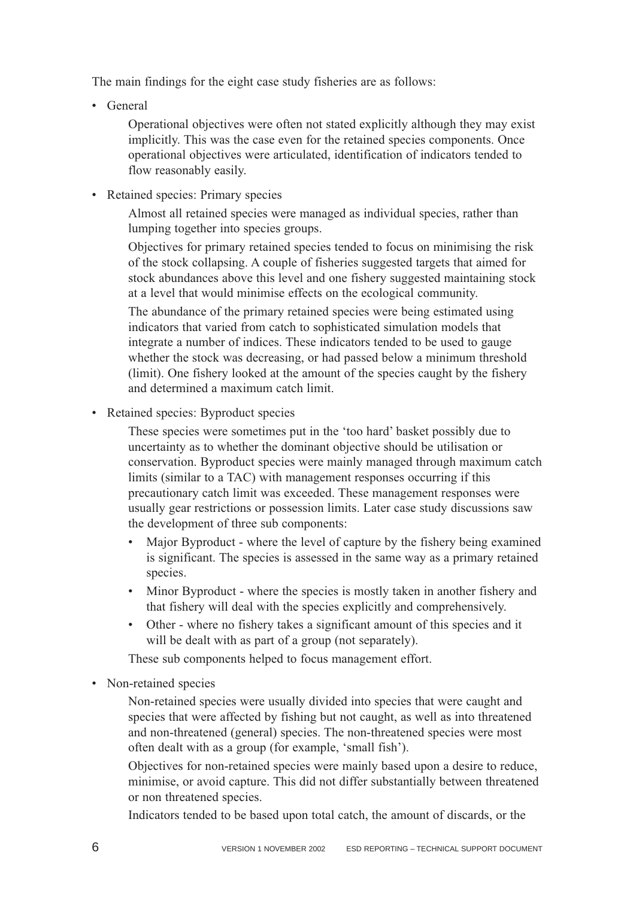The main findings for the eight case study fisheries are as follows:

• General

Operational objectives were often not stated explicitly although they may exist implicitly. This was the case even for the retained species components. Once operational objectives were articulated, identification of indicators tended to flow reasonably easily.

• Retained species: Primary species

Almost all retained species were managed as individual species, rather than lumping together into species groups.

Objectives for primary retained species tended to focus on minimising the risk of the stock collapsing. A couple of fisheries suggested targets that aimed for stock abundances above this level and one fishery suggested maintaining stock at a level that would minimise effects on the ecological community.

The abundance of the primary retained species were being estimated using indicators that varied from catch to sophisticated simulation models that integrate a number of indices. These indicators tended to be used to gauge whether the stock was decreasing, or had passed below a minimum threshold (limit). One fishery looked at the amount of the species caught by the fishery and determined a maximum catch limit.

• Retained species: Byproduct species

These species were sometimes put in the 'too hard' basket possibly due to uncertainty as to whether the dominant objective should be utilisation or conservation. Byproduct species were mainly managed through maximum catch limits (similar to a TAC) with management responses occurring if this precautionary catch limit was exceeded. These management responses were usually gear restrictions or possession limits. Later case study discussions saw the development of three sub components:

- Major Byproduct where the level of capture by the fishery being examined is significant. The species is assessed in the same way as a primary retained species.
- Minor Byproduct where the species is mostly taken in another fishery and that fishery will deal with the species explicitly and comprehensively.
- Other where no fishery takes a significant amount of this species and it will be dealt with as part of a group (not separately).

These sub components helped to focus management effort.

• Non-retained species

Non-retained species were usually divided into species that were caught and species that were affected by fishing but not caught, as well as into threatened and non-threatened (general) species. The non-threatened species were most often dealt with as a group (for example, 'small fish').

Objectives for non-retained species were mainly based upon a desire to reduce, minimise, or avoid capture. This did not differ substantially between threatened or non threatened species.

Indicators tended to be based upon total catch, the amount of discards, or the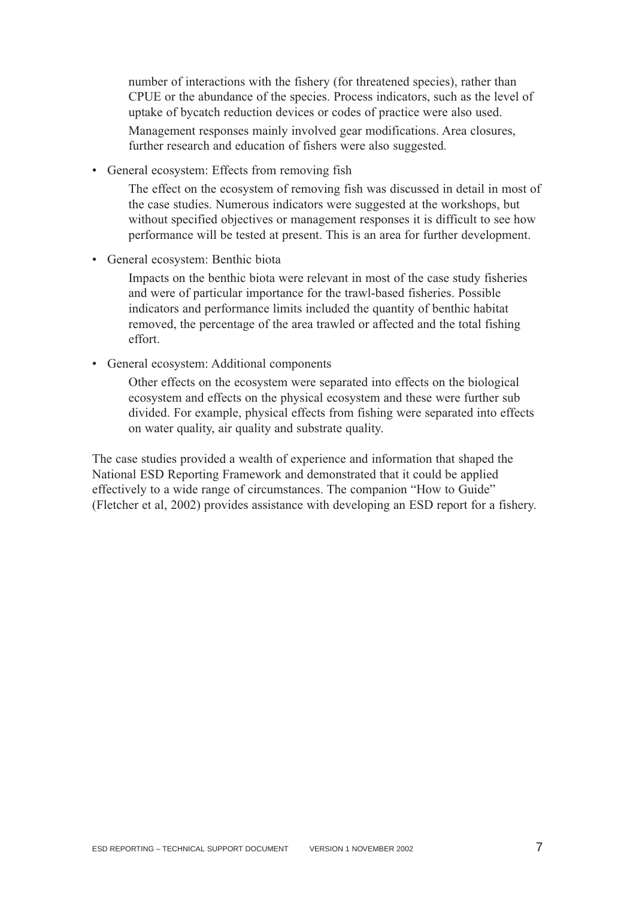number of interactions with the fishery (for threatened species), rather than CPUE or the abundance of the species. Process indicators, such as the level of uptake of bycatch reduction devices or codes of practice were also used. Management responses mainly involved gear modifications. Area closures, further research and education of fishers were also suggested.

• General ecosystem: Effects from removing fish

The effect on the ecosystem of removing fish was discussed in detail in most of the case studies. Numerous indicators were suggested at the workshops, but without specified objectives or management responses it is difficult to see how performance will be tested at present. This is an area for further development.

• General ecosystem: Benthic biota

Impacts on the benthic biota were relevant in most of the case study fisheries and were of particular importance for the trawl-based fisheries. Possible indicators and performance limits included the quantity of benthic habitat removed, the percentage of the area trawled or affected and the total fishing effort.

• General ecosystem: Additional components

Other effects on the ecosystem were separated into effects on the biological ecosystem and effects on the physical ecosystem and these were further sub divided. For example, physical effects from fishing were separated into effects on water quality, air quality and substrate quality.

The case studies provided a wealth of experience and information that shaped the National ESD Reporting Framework and demonstrated that it could be applied effectively to a wide range of circumstances. The companion "How to Guide" (Fletcher et al, 2002) provides assistance with developing an ESD report for a fishery.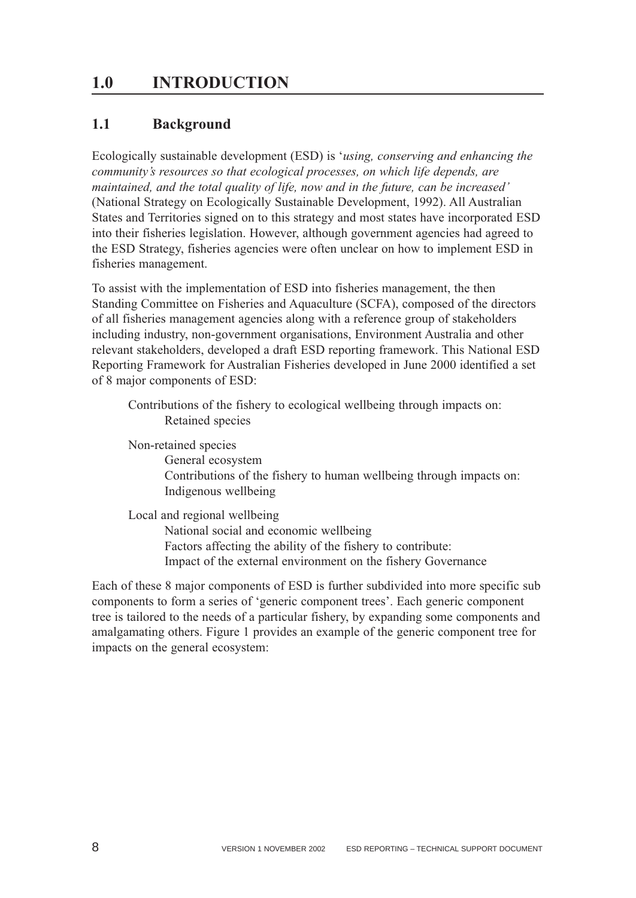## <span id="page-8-0"></span>**1.0 INTRODUCTION**

### **1.1 Background**

Ecologically sustainable development (ESD) is '*using, conserving and enhancing the community's resources so that ecological processes, on which life depends, are maintained, and the total quality of life, now and in the future, can be increased'* (National Strategy on Ecologically Sustainable Development, 1992). All Australian States and Territories signed on to this strategy and most states have incorporated ESD into their fisheries legislation. However, although government agencies had agreed to the ESD Strategy, fisheries agencies were often unclear on how to implement ESD in fisheries management.

To assist with the implementation of ESD into fisheries management, the then Standing Committee on Fisheries and Aquaculture (SCFA), composed of the directors of all fisheries management agencies along with a reference group of stakeholders including industry, non-government organisations, Environment Australia and other relevant stakeholders, developed a draft ESD reporting framework. This National ESD Reporting Framework for Australian Fisheries developed in June 2000 identified a set of 8 major components of ESD:

Contributions of the fishery to ecological wellbeing through impacts on: Retained species

Non-retained species General ecosystem Contributions of the fishery to human wellbeing through impacts on: Indigenous wellbeing

Local and regional wellbeing National social and economic wellbeing Factors affecting the ability of the fishery to contribute: Impact of the external environment on the fishery Governance

Each of these 8 major components of ESD is further subdivided into more specific sub components to form a series of 'generic component trees'. Each generic component tree is tailored to the needs of a particular fishery, by expanding some components and amalgamating others. Figure 1 provides an example of the generic component tree for impacts on the general ecosystem: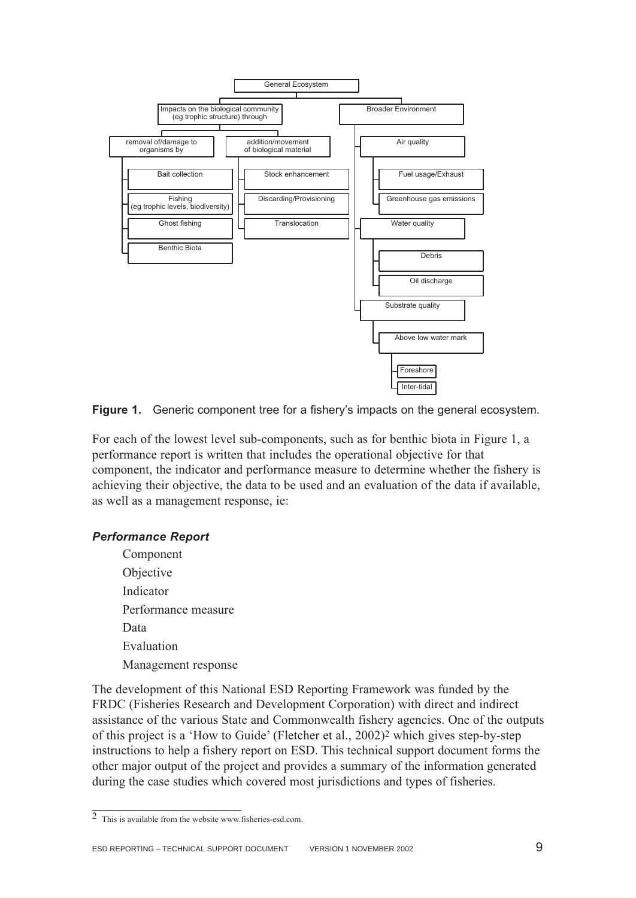

**Figure 1.** Generic component tree for a fishery's impacts on the general ecosystem.

For each of the lowest level sub-components, such as for benthic biota in Figure 1, a performance report is written that includes the operational objective for that component, the indicator and performance measure to determine whether the fishery is achieving their objective, the data to be used and an evaluation of the data if available, as well as a management response, ie:

#### *Performance Report*

Component Objective Indicator Performance measure Data Evaluation Management response

The development of this National ESD Reporting Framework was funded by the FRDC (Fisheries Research and Development Corporation) with direct and indirect assistance of the various State and Commonwealth fishery agencies. One of the outputs of this project is a 'How to Guide' (Fletcher et al., 2002)2 which gives step-by-step instructions to help a fishery report on ESD. This technical support document forms the other major output of the project and provides a summary of the information generated during the case studies which covered most jurisdictions and types of fisheries.

<sup>2</sup> This is available from the website www.fisheries-esd.com.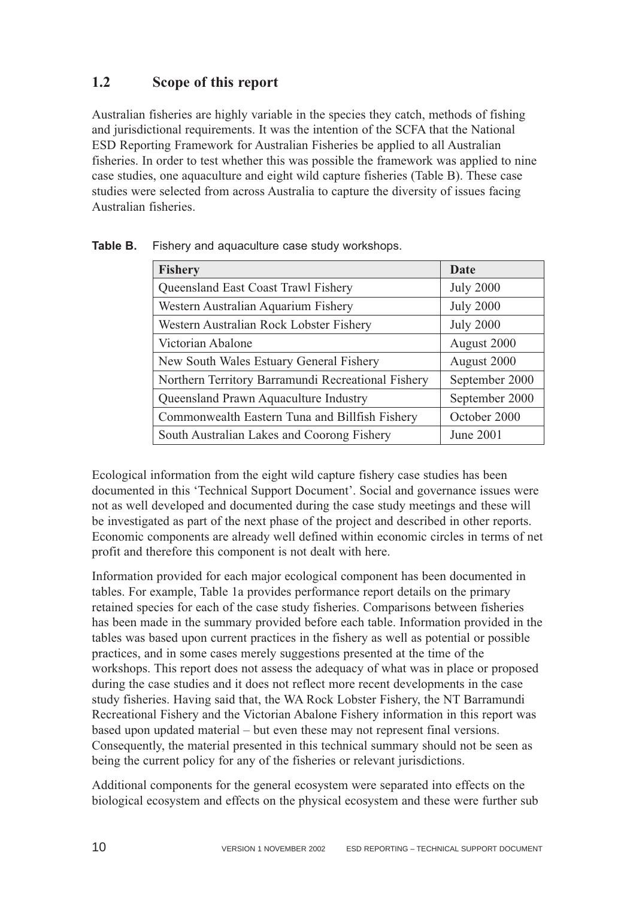### <span id="page-10-0"></span>**1.2 Scope of this report**

Australian fisheries are highly variable in the species they catch, methods of fishing and jurisdictional requirements. It was the intention of the SCFA that the National ESD Reporting Framework for Australian Fisheries be applied to all Australian fisheries. In order to test whether this was possible the framework was applied to nine case studies, one aquaculture and eight wild capture fisheries (Table B). These case studies were selected from across Australia to capture the diversity of issues facing Australian fisheries.

| <b>Fishery</b>                                     | <b>Date</b>      |
|----------------------------------------------------|------------------|
| Queensland East Coast Trawl Fishery                | <b>July 2000</b> |
| Western Australian Aquarium Fishery                | <b>July 2000</b> |
| Western Australian Rock Lobster Fishery            | <b>July 2000</b> |
| Victorian Abalone                                  | August 2000      |
| New South Wales Estuary General Fishery            | August 2000      |
| Northern Territory Barramundi Recreational Fishery | September 2000   |
| Queensland Prawn Aquaculture Industry              | September 2000   |
| Commonwealth Eastern Tuna and Billfish Fishery     | October 2000     |
| South Australian Lakes and Coorong Fishery         | June 2001        |

**Table B.** Fishery and aquaculture case study workshops.

Ecological information from the eight wild capture fishery case studies has been documented in this 'Technical Support Document'. Social and governance issues were not as well developed and documented during the case study meetings and these will be investigated as part of the next phase of the project and described in other reports. Economic components are already well defined within economic circles in terms of net profit and therefore this component is not dealt with here.

Information provided for each major ecological component has been documented in tables. For example, Table 1a provides performance report details on the primary retained species for each of the case study fisheries. Comparisons between fisheries has been made in the summary provided before each table. Information provided in the tables was based upon current practices in the fishery as well as potential or possible practices, and in some cases merely suggestions presented at the time of the workshops. This report does not assess the adequacy of what was in place or proposed during the case studies and it does not reflect more recent developments in the case study fisheries. Having said that, the WA Rock Lobster Fishery, the NT Barramundi Recreational Fishery and the Victorian Abalone Fishery information in this report was based upon updated material – but even these may not represent final versions. Consequently, the material presented in this technical summary should not be seen as being the current policy for any of the fisheries or relevant jurisdictions.

Additional components for the general ecosystem were separated into effects on the biological ecosystem and effects on the physical ecosystem and these were further sub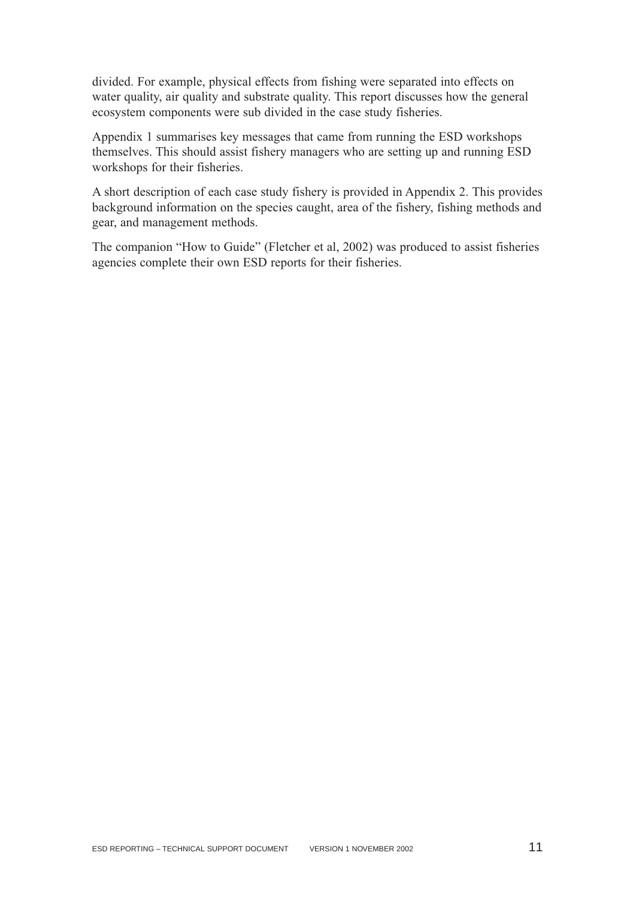divided. For example, physical effects from fishing were separated into effects on water quality, air quality and substrate quality. This report discusses how the general ecosystem components were sub divided in the case study fisheries.

Appendix 1 summarises key messages that came from running the ESD workshops themselves. This should assist fishery managers who are setting up and running ESD workshops for their fisheries.

A short description of each case study fishery is provided in Appendix 2. This provides background information on the species caught, area of the fishery, fishing methods and gear, and management methods.

The companion "How to Guide" (Fletcher et al, 2002) was produced to assist fisheries agencies complete their own ESD reports for their fisheries.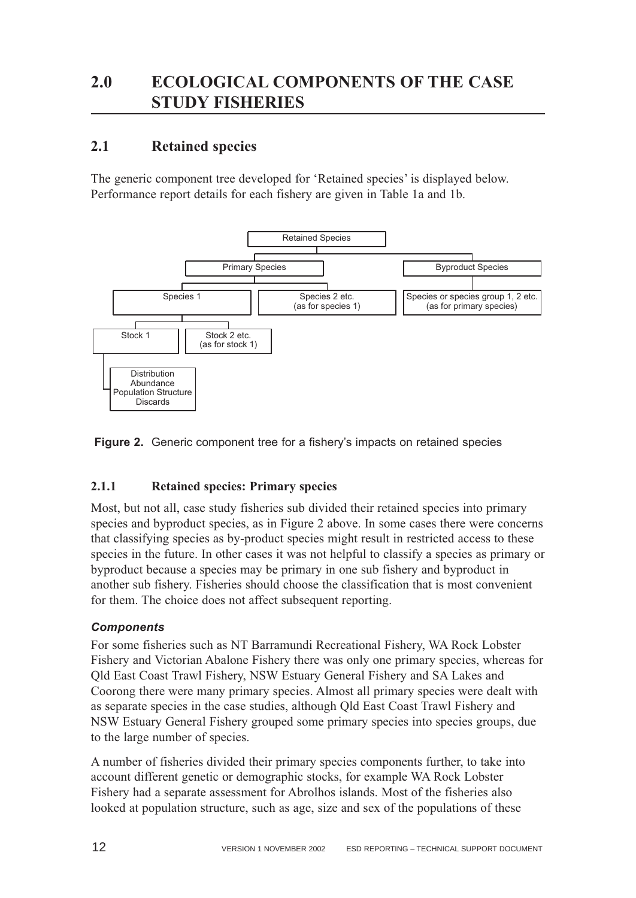## <span id="page-12-0"></span>**2.1 Retained species**

The generic component tree developed for 'Retained species' is displayed below. Performance report details for each fishery are given in Table 1a and 1b.



**Figure 2.** Generic component tree for a fishery's impacts on retained species

#### **2.1.1 Retained species: Primary species**

Most, but not all, case study fisheries sub divided their retained species into primary species and byproduct species, as in Figure 2 above. In some cases there were concerns that classifying species as by-product species might result in restricted access to these species in the future. In other cases it was not helpful to classify a species as primary or byproduct because a species may be primary in one sub fishery and byproduct in another sub fishery. Fisheries should choose the classification that is most convenient for them. The choice does not affect subsequent reporting.

#### *Components*

For some fisheries such as NT Barramundi Recreational Fishery, WA Rock Lobster Fishery and Victorian Abalone Fishery there was only one primary species, whereas for Qld East Coast Trawl Fishery, NSW Estuary General Fishery and SA Lakes and Coorong there were many primary species. Almost all primary species were dealt with as separate species in the case studies, although Qld East Coast Trawl Fishery and NSW Estuary General Fishery grouped some primary species into species groups, due to the large number of species.

A number of fisheries divided their primary species components further, to take into account different genetic or demographic stocks, for example WA Rock Lobster Fishery had a separate assessment for Abrolhos islands. Most of the fisheries also looked at population structure, such as age, size and sex of the populations of these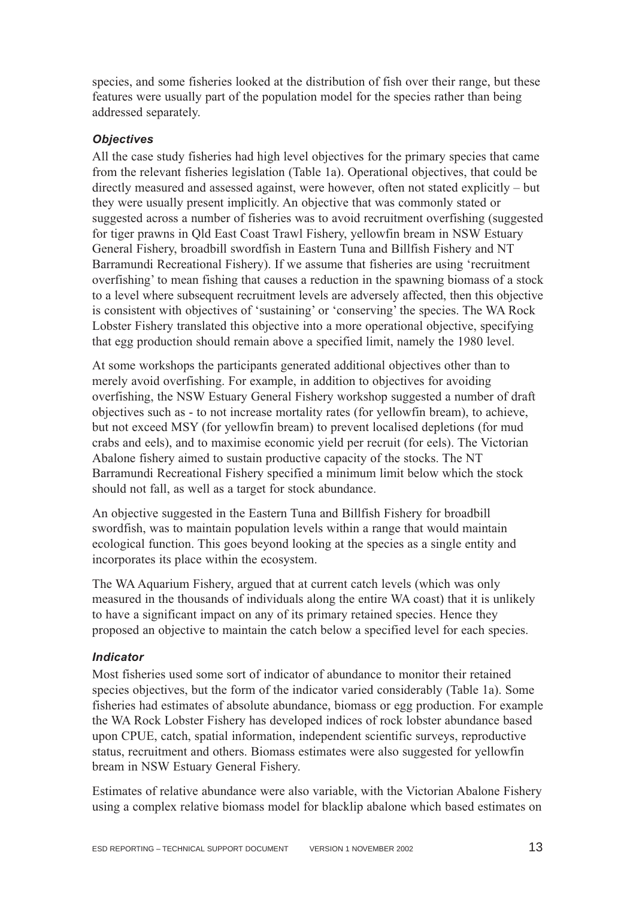species, and some fisheries looked at the distribution of fish over their range, but these features were usually part of the population model for the species rather than being addressed separately.

#### *Objectives*

All the case study fisheries had high level objectives for the primary species that came from the relevant fisheries legislation (Table 1a). Operational objectives, that could be directly measured and assessed against, were however, often not stated explicitly – but they were usually present implicitly. An objective that was commonly stated or suggested across a number of fisheries was to avoid recruitment overfishing (suggested for tiger prawns in Qld East Coast Trawl Fishery, yellowfin bream in NSW Estuary General Fishery, broadbill swordfish in Eastern Tuna and Billfish Fishery and NT Barramundi Recreational Fishery). If we assume that fisheries are using 'recruitment overfishing' to mean fishing that causes a reduction in the spawning biomass of a stock to a level where subsequent recruitment levels are adversely affected, then this objective is consistent with objectives of 'sustaining' or 'conserving' the species. The WA Rock Lobster Fishery translated this objective into a more operational objective, specifying that egg production should remain above a specified limit, namely the 1980 level.

At some workshops the participants generated additional objectives other than to merely avoid overfishing. For example, in addition to objectives for avoiding overfishing, the NSW Estuary General Fishery workshop suggested a number of draft objectives such as - to not increase mortality rates (for yellowfin bream), to achieve, but not exceed MSY (for yellowfin bream) to prevent localised depletions (for mud crabs and eels), and to maximise economic yield per recruit (for eels). The Victorian Abalone fishery aimed to sustain productive capacity of the stocks. The NT Barramundi Recreational Fishery specified a minimum limit below which the stock should not fall, as well as a target for stock abundance.

An objective suggested in the Eastern Tuna and Billfish Fishery for broadbill swordfish, was to maintain population levels within a range that would maintain ecological function. This goes beyond looking at the species as a single entity and incorporates its place within the ecosystem.

The WA Aquarium Fishery, argued that at current catch levels (which was only measured in the thousands of individuals along the entire WA coast) that it is unlikely to have a significant impact on any of its primary retained species. Hence they proposed an objective to maintain the catch below a specified level for each species.

#### *Indicator*

Most fisheries used some sort of indicator of abundance to monitor their retained species objectives, but the form of the indicator varied considerably (Table 1a). Some fisheries had estimates of absolute abundance, biomass or egg production. For example the WA Rock Lobster Fishery has developed indices of rock lobster abundance based upon CPUE, catch, spatial information, independent scientific surveys, reproductive status, recruitment and others. Biomass estimates were also suggested for yellowfin bream in NSW Estuary General Fishery.

Estimates of relative abundance were also variable, with the Victorian Abalone Fishery using a complex relative biomass model for blacklip abalone which based estimates on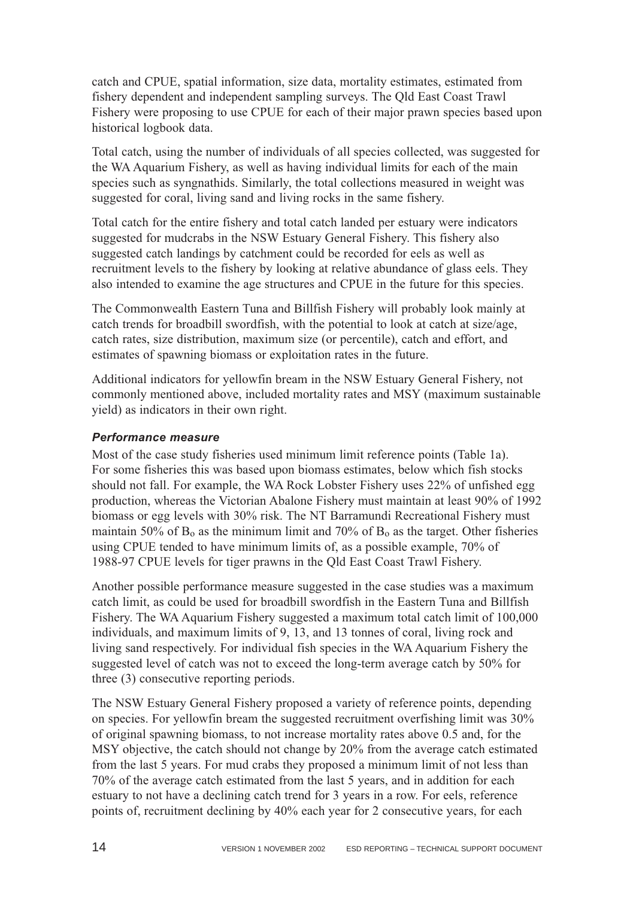catch and CPUE, spatial information, size data, mortality estimates, estimated from fishery dependent and independent sampling surveys. The Qld East Coast Trawl Fishery were proposing to use CPUE for each of their major prawn species based upon historical logbook data.

Total catch, using the number of individuals of all species collected, was suggested for the WA Aquarium Fishery, as well as having individual limits for each of the main species such as syngnathids. Similarly, the total collections measured in weight was suggested for coral, living sand and living rocks in the same fishery.

Total catch for the entire fishery and total catch landed per estuary were indicators suggested for mudcrabs in the NSW Estuary General Fishery. This fishery also suggested catch landings by catchment could be recorded for eels as well as recruitment levels to the fishery by looking at relative abundance of glass eels. They also intended to examine the age structures and CPUE in the future for this species.

The Commonwealth Eastern Tuna and Billfish Fishery will probably look mainly at catch trends for broadbill swordfish, with the potential to look at catch at size/age, catch rates, size distribution, maximum size (or percentile), catch and effort, and estimates of spawning biomass or exploitation rates in the future.

Additional indicators for yellowfin bream in the NSW Estuary General Fishery, not commonly mentioned above, included mortality rates and MSY (maximum sustainable yield) as indicators in their own right.

#### *Performance measure*

Most of the case study fisheries used minimum limit reference points (Table 1a). For some fisheries this was based upon biomass estimates, below which fish stocks should not fall. For example, the WA Rock Lobster Fishery uses 22% of unfished egg production, whereas the Victorian Abalone Fishery must maintain at least 90% of 1992 biomass or egg levels with 30% risk. The NT Barramundi Recreational Fishery must maintain 50% of  $B_0$  as the minimum limit and 70% of  $B_0$  as the target. Other fisheries using CPUE tended to have minimum limits of, as a possible example, 70% of 1988-97 CPUE levels for tiger prawns in the Qld East Coast Trawl Fishery.

Another possible performance measure suggested in the case studies was a maximum catch limit, as could be used for broadbill swordfish in the Eastern Tuna and Billfish Fishery. The WA Aquarium Fishery suggested a maximum total catch limit of 100,000 individuals, and maximum limits of 9, 13, and 13 tonnes of coral, living rock and living sand respectively. For individual fish species in the WA Aquarium Fishery the suggested level of catch was not to exceed the long-term average catch by 50% for three (3) consecutive reporting periods.

The NSW Estuary General Fishery proposed a variety of reference points, depending on species. For yellowfin bream the suggested recruitment overfishing limit was 30% of original spawning biomass, to not increase mortality rates above 0.5 and, for the MSY objective, the catch should not change by 20% from the average catch estimated from the last 5 years. For mud crabs they proposed a minimum limit of not less than 70% of the average catch estimated from the last 5 years, and in addition for each estuary to not have a declining catch trend for 3 years in a row. For eels, reference points of, recruitment declining by 40% each year for 2 consecutive years, for each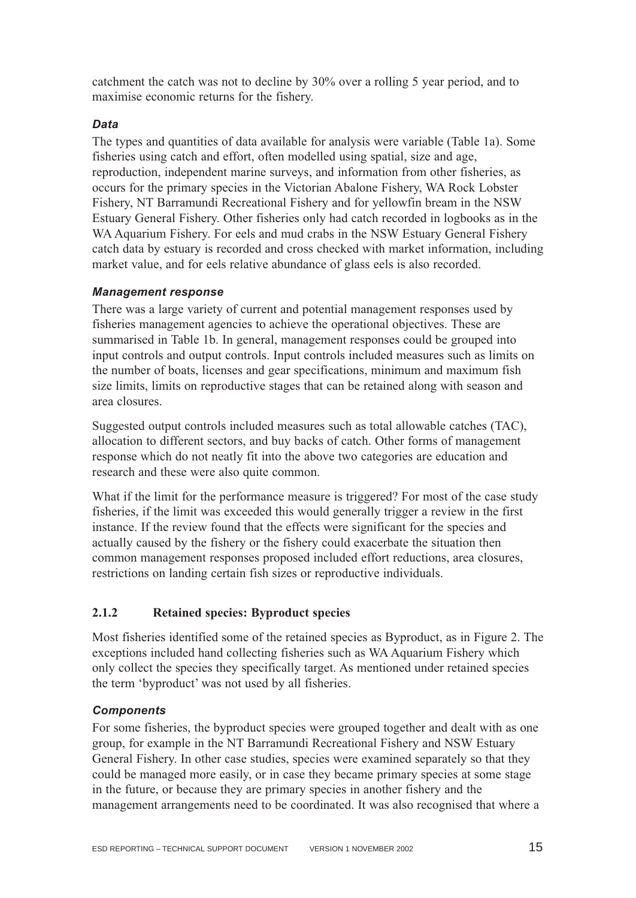<span id="page-15-0"></span>catchment the catch was not to decline by 30% over a rolling 5 year period, and to maximise economic returns for the fishery.

#### *Data*

The types and quantities of data available for analysis were variable (Table 1a). Some fisheries using catch and effort, often modelled using spatial, size and age, reproduction, independent marine surveys, and information from other fisheries, as occurs for the primary species in the Victorian Abalone Fishery, WA Rock Lobster Fishery, NT Barramundi Recreational Fishery and for yellowfin bream in the NSW Estuary General Fishery. Other fisheries only had catch recorded in logbooks as in the WA Aquarium Fishery. For eels and mud crabs in the NSW Estuary General Fishery catch data by estuary is recorded and cross checked with market information, including market value, and for eels relative abundance of glass eels is also recorded.

#### *Management response*

There was a large variety of current and potential management responses used by fisheries management agencies to achieve the operational objectives. These are summarised in Table 1b. In general, management responses could be grouped into input controls and output controls. Input controls included measures such as limits on the number of boats, licenses and gear specifications, minimum and maximum fish size limits, limits on reproductive stages that can be retained along with season and area closures.

Suggested output controls included measures such as total allowable catches (TAC), allocation to different sectors, and buy backs of catch. Other forms of management response which do not neatly fit into the above two categories are education and research and these were also quite common.

What if the limit for the performance measure is triggered? For most of the case study fisheries, if the limit was exceeded this would generally trigger a review in the first instance. If the review found that the effects were significant for the species and actually caused by the fishery or the fishery could exacerbate the situation then common management responses proposed included effort reductions, area closures, restrictions on landing certain fish sizes or reproductive individuals.

#### **2.1.2 Retained species: Byproduct species**

Most fisheries identified some of the retained species as Byproduct, as in Figure 2. The exceptions included hand collecting fisheries such as WA Aquarium Fishery which only collect the species they specifically target. As mentioned under retained species the term 'byproduct' was not used by all fisheries.

#### *Components*

For some fisheries, the byproduct species were grouped together and dealt with as one group, for example in the NT Barramundi Recreational Fishery and NSW Estuary General Fishery. In other case studies, species were examined separately so that they could be managed more easily, or in case they became primary species at some stage in the future, or because they are primary species in another fishery and the management arrangements need to be coordinated. It was also recognised that where a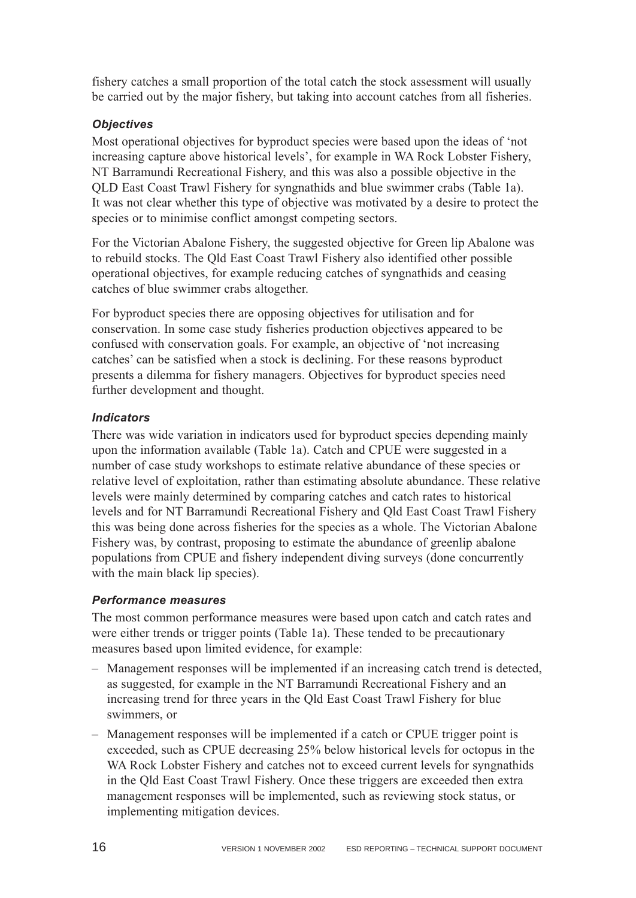fishery catches a small proportion of the total catch the stock assessment will usually be carried out by the major fishery, but taking into account catches from all fisheries.

#### *Objectives*

Most operational objectives for byproduct species were based upon the ideas of 'not increasing capture above historical levels', for example in WA Rock Lobster Fishery, NT Barramundi Recreational Fishery, and this was also a possible objective in the QLD East Coast Trawl Fishery for syngnathids and blue swimmer crabs (Table 1a). It was not clear whether this type of objective was motivated by a desire to protect the species or to minimise conflict amongst competing sectors.

For the Victorian Abalone Fishery, the suggested objective for Green lip Abalone was to rebuild stocks. The Qld East Coast Trawl Fishery also identified other possible operational objectives, for example reducing catches of syngnathids and ceasing catches of blue swimmer crabs altogether.

For byproduct species there are opposing objectives for utilisation and for conservation. In some case study fisheries production objectives appeared to be confused with conservation goals. For example, an objective of 'not increasing catches' can be satisfied when a stock is declining. For these reasons byproduct presents a dilemma for fishery managers. Objectives for byproduct species need further development and thought.

#### *Indicators*

There was wide variation in indicators used for byproduct species depending mainly upon the information available (Table 1a). Catch and CPUE were suggested in a number of case study workshops to estimate relative abundance of these species or relative level of exploitation, rather than estimating absolute abundance. These relative levels were mainly determined by comparing catches and catch rates to historical levels and for NT Barramundi Recreational Fishery and Qld East Coast Trawl Fishery this was being done across fisheries for the species as a whole. The Victorian Abalone Fishery was, by contrast, proposing to estimate the abundance of greenlip abalone populations from CPUE and fishery independent diving surveys (done concurrently with the main black lip species).

#### *Performance measures*

The most common performance measures were based upon catch and catch rates and were either trends or trigger points (Table 1a). These tended to be precautionary measures based upon limited evidence, for example:

- Management responses will be implemented if an increasing catch trend is detected, as suggested, for example in the NT Barramundi Recreational Fishery and an increasing trend for three years in the Qld East Coast Trawl Fishery for blue swimmers, or
- Management responses will be implemented if a catch or CPUE trigger point is exceeded, such as CPUE decreasing 25% below historical levels for octopus in the WA Rock Lobster Fishery and catches not to exceed current levels for syngnathids in the Qld East Coast Trawl Fishery. Once these triggers are exceeded then extra management responses will be implemented, such as reviewing stock status, or implementing mitigation devices.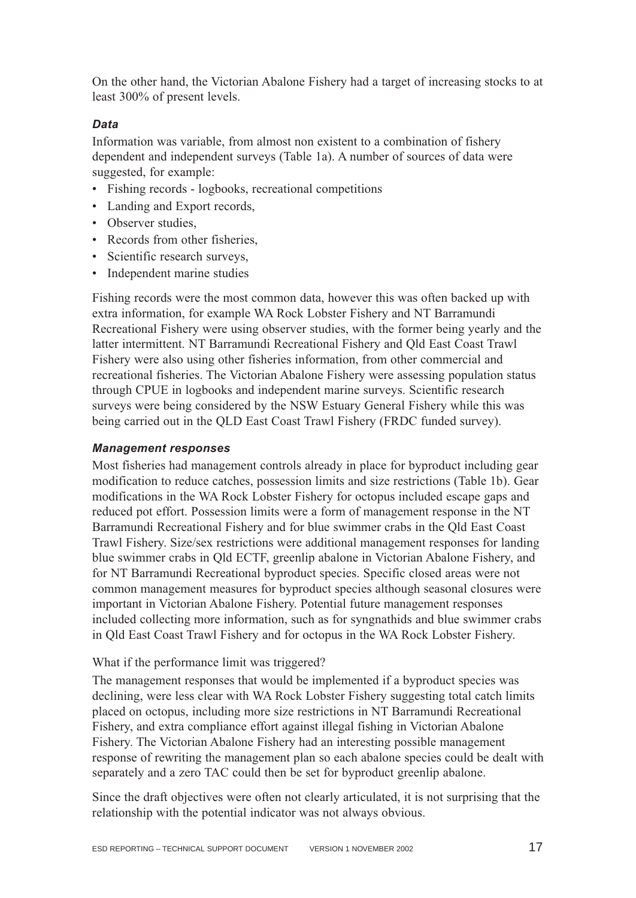On the other hand, the Victorian Abalone Fishery had a target of increasing stocks to at least 300% of present levels.

#### *Data*

Information was variable, from almost non existent to a combination of fishery dependent and independent surveys (Table 1a). A number of sources of data were suggested, for example:

- Fishing records logbooks, recreational competitions
- Landing and Export records,
- Observer studies,
- Records from other fisheries,
- Scientific research surveys,
- Independent marine studies

Fishing records were the most common data, however this was often backed up with extra information, for example WA Rock Lobster Fishery and NT Barramundi Recreational Fishery were using observer studies, with the former being yearly and the latter intermittent. NT Barramundi Recreational Fishery and Qld East Coast Trawl Fishery were also using other fisheries information, from other commercial and recreational fisheries. The Victorian Abalone Fishery were assessing population status through CPUE in logbooks and independent marine surveys. Scientific research surveys were being considered by the NSW Estuary General Fishery while this was being carried out in the QLD East Coast Trawl Fishery (FRDC funded survey).

#### *Management responses*

Most fisheries had management controls already in place for byproduct including gear modification to reduce catches, possession limits and size restrictions (Table 1b). Gear modifications in the WA Rock Lobster Fishery for octopus included escape gaps and reduced pot effort. Possession limits were a form of management response in the NT Barramundi Recreational Fishery and for blue swimmer crabs in the Qld East Coast Trawl Fishery. Size/sex restrictions were additional management responses for landing blue swimmer crabs in Qld ECTF, greenlip abalone in Victorian Abalone Fishery, and for NT Barramundi Recreational byproduct species. Specific closed areas were not common management measures for byproduct species although seasonal closures were important in Victorian Abalone Fishery. Potential future management responses included collecting more information, such as for syngnathids and blue swimmer crabs in Qld East Coast Trawl Fishery and for octopus in the WA Rock Lobster Fishery.

#### What if the performance limit was triggered?

The management responses that would be implemented if a byproduct species was declining, were less clear with WA Rock Lobster Fishery suggesting total catch limits placed on octopus, including more size restrictions in NT Barramundi Recreational Fishery, and extra compliance effort against illegal fishing in Victorian Abalone Fishery. The Victorian Abalone Fishery had an interesting possible management response of rewriting the management plan so each abalone species could be dealt with separately and a zero TAC could then be set for byproduct greenlip abalone.

Since the draft objectives were often not clearly articulated, it is not surprising that the relationship with the potential indicator was not always obvious.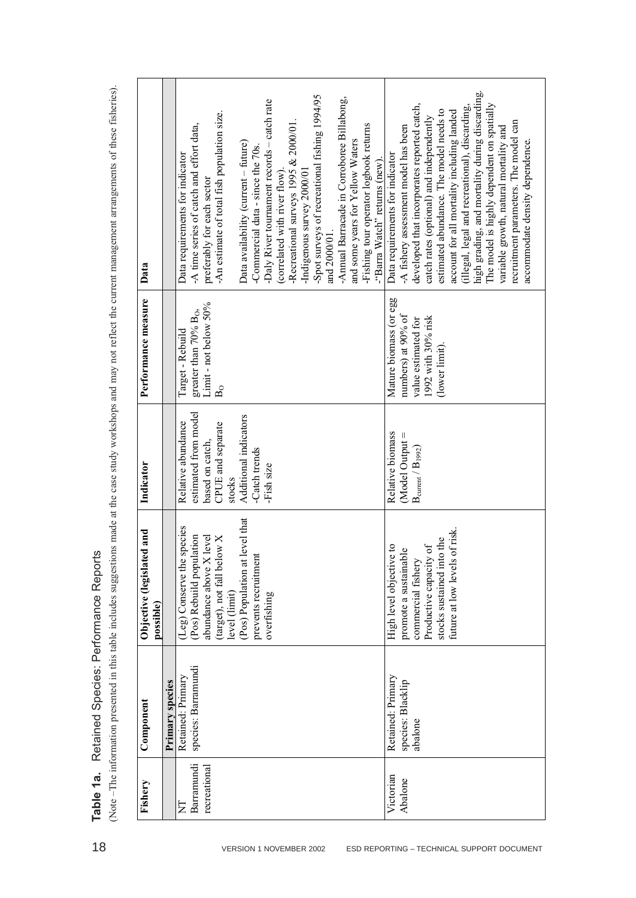$B<sub>0</sub>$ Data requirements for indicator -A time series of catch and effort data, preferably for each sector Data availability (current – future) -Commercial data - since the 70s. (correlated with river flow). -Recreational surveys 1995 & 2000/01. -Indigenous survey 2000/01 (Note –The information presented in this table includes suggestions made at the case study workshops and may not reflect the current management arrangements of these fisheries).

Table 1 a. Redelete Species Reports<br> **Table 1 a.** Redelete Species Reports and a risk of section and a risk of section and the second procedure and the second process of the second process of the second process of the sec -An estimate of total fish population size. -Daly River tournament records – catch rate -Spot surveys of recreational fishing 1994/95 and 2000/01. -Annual Barracade in Corroboree Billabong, and some years for Yellow Waters -Fishing tour operator logbook returns -"Barra Watch" returns (new). Victorian Abalone Retained: Primary species: Blacklip abalone High level objective to promote a sustainable commercial fishery Productive capacity of stocks sustained into the future at low levels of risk. Relative biomass (Model Output =  $\rm{B_{current}}/\rm{B_{1992}}$ Mature biomass (or egg numbers) at 90% of value estimated for 1992 with 30% risk (lower limit). Data requirements for indicator -A fishery assessment model has been developed that incorporates reported catch, catch rates (optional) and independently estimated abundance. The model needs to account for all mortality including landed (illegal, legal and recreational), discarding, high grading, and mortality during discarding. The model is highly dependent on spatially variable growth, natural mortality and recruitment parameters. The model can accommodate density dependence.

**Table 1a.** Retained Species: Performance Reports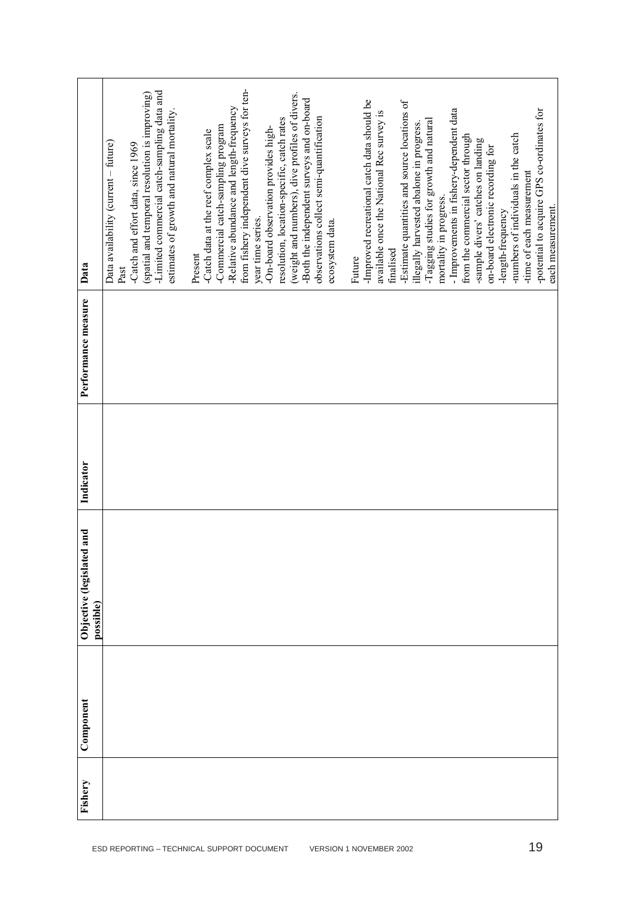| Data                                        | -Limited commercial catch-sampling data and<br>(spatial and temporal resolution is improving)<br>estimates of growth and natural mortality.<br>Data availability (current - future)<br>-Catch and effort data, since 1969<br>Past | from fishery independent dive surveys for ten-<br>(weight and numbers), dive profiles of divers.<br>-Both the independent surveys and on-board<br>-Relative abundance and length-frequency<br>observations collect semi-quantification<br>resolution, location-specific, catch rates<br>-Commercial catch-sampling program<br>-On-board observation provides high-<br>-Catch data at the reef complex scale<br>year time series.<br>ecosystem data.<br>Present | -Improved recreational catch data should be<br>-Estimate quantities and source locations of<br>-potential to acquire GPS co-ordinates for<br>- Improvements in fishery-dependent data<br>available once the National Rec survey is<br>-Tagging studies for growth and natural<br>illegally harvested abalone in progress.<br>-numbers of individuals in the catch<br>from the commercial sector through<br>-sample divers' catches on landing<br>on-board electronic recording for<br>-time of each measurement<br>mortality in progress.<br>each measurement.<br>-length-frequency<br>finalised<br>Future |
|---------------------------------------------|-----------------------------------------------------------------------------------------------------------------------------------------------------------------------------------------------------------------------------------|----------------------------------------------------------------------------------------------------------------------------------------------------------------------------------------------------------------------------------------------------------------------------------------------------------------------------------------------------------------------------------------------------------------------------------------------------------------|------------------------------------------------------------------------------------------------------------------------------------------------------------------------------------------------------------------------------------------------------------------------------------------------------------------------------------------------------------------------------------------------------------------------------------------------------------------------------------------------------------------------------------------------------------------------------------------------------------|
| Performance measure                         |                                                                                                                                                                                                                                   |                                                                                                                                                                                                                                                                                                                                                                                                                                                                |                                                                                                                                                                                                                                                                                                                                                                                                                                                                                                                                                                                                            |
| Indicator                                   |                                                                                                                                                                                                                                   |                                                                                                                                                                                                                                                                                                                                                                                                                                                                |                                                                                                                                                                                                                                                                                                                                                                                                                                                                                                                                                                                                            |
| hur p.<br>Objective (legislate<br>possible) |                                                                                                                                                                                                                                   |                                                                                                                                                                                                                                                                                                                                                                                                                                                                |                                                                                                                                                                                                                                                                                                                                                                                                                                                                                                                                                                                                            |
| Component                                   |                                                                                                                                                                                                                                   |                                                                                                                                                                                                                                                                                                                                                                                                                                                                |                                                                                                                                                                                                                                                                                                                                                                                                                                                                                                                                                                                                            |
| Fishery                                     |                                                                                                                                                                                                                                   |                                                                                                                                                                                                                                                                                                                                                                                                                                                                |                                                                                                                                                                                                                                                                                                                                                                                                                                                                                                                                                                                                            |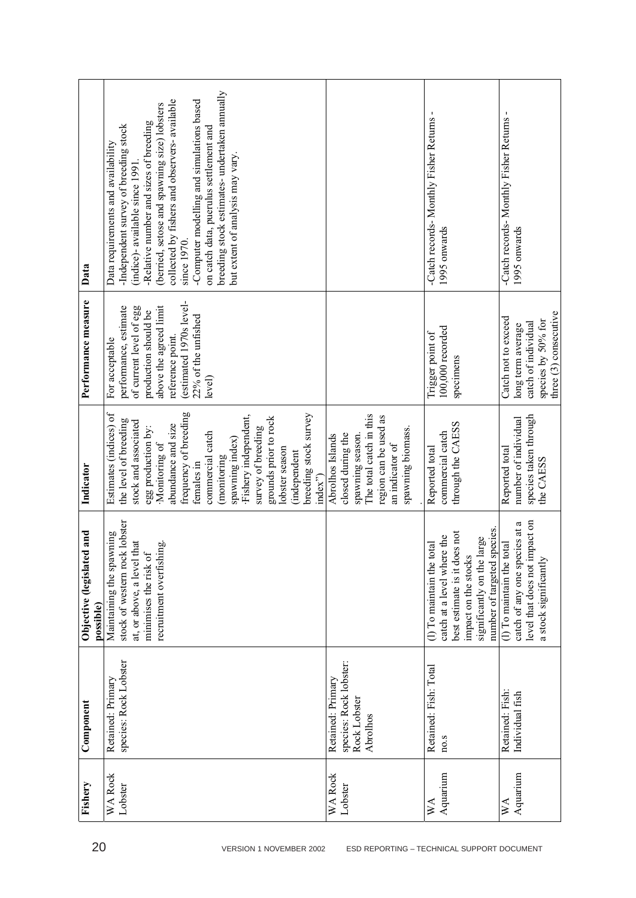| Data                                   | breeding stock estimates- undertaken annually<br>collected by fishers and observers- available<br>-Computer modelling and simulations based<br>(berried, setose and spawning size) lobsters<br>-Relative number and sizes of breeding<br>Independent survey of breeding stock<br>on catch data, puerulus settlement and<br>Data requirements and availability<br>but extent of analysis may vary.<br>(indice)- available since 1991<br>since 1970. |                                                                                                                                                       | -Catch records- Monthly Fisher Returns<br>1995 onwards                                                                                                                          | -Catch records- Monthly Fisher Returns -<br>1995 onwards                                                             |
|----------------------------------------|----------------------------------------------------------------------------------------------------------------------------------------------------------------------------------------------------------------------------------------------------------------------------------------------------------------------------------------------------------------------------------------------------------------------------------------------------|-------------------------------------------------------------------------------------------------------------------------------------------------------|---------------------------------------------------------------------------------------------------------------------------------------------------------------------------------|----------------------------------------------------------------------------------------------------------------------|
| Performance measure                    | estimated 1970s level-<br>above the agreed limit<br>of current level of egg<br>performance, estimate<br>production should be<br>22% of the unfished<br>reference point.<br>For acceptable<br>level)                                                                                                                                                                                                                                                |                                                                                                                                                       | 100,000 recorded<br>Trigger point of<br>specimens                                                                                                                               | three (3) consecutive<br>Catch not to exceed<br>species by 50% for<br>catch of individual<br>long term average       |
| Indicator                              | frequency of breeding<br>Estimates (indices) of<br>breeding stock survey<br>Fishery independent,<br>grounds prior to rock<br>the level of breeding<br>stock and associated<br>abundance and size<br>survey of breeding<br>egg production by:<br>commercial catch<br>spawning index)<br>Monitoring of<br>lobster season<br>(independent<br>(monitoring<br>females in<br>index")                                                                     | The total catch in this<br>region can be used as<br>spawning biomass.<br>spawning season.<br>closed during the<br>Abrolhos Islands<br>an indicator of | through the CAESS<br>commercial catch<br>Reported total                                                                                                                         | species taken through<br>number of individual<br>Reported total<br>the CAESS                                         |
| Objective (legislated and<br>possible) | stock of western rock lobster<br>Maintaining the spawning<br>that<br>recruitment overfishing.<br>minimises the risk of<br>at, or above, a level                                                                                                                                                                                                                                                                                                    |                                                                                                                                                       | species.<br>best estimate is it does not<br>catch at a level where the<br>significantly on the large<br>(1) To maintain the total<br>impact on the stocks<br>number of targeted | catch of any one species at a<br>level that does not impact on<br>(1) To maintain the total<br>a stock significantly |
| Component                              | species: Rock Lobster<br>Retained: Primary                                                                                                                                                                                                                                                                                                                                                                                                         | species: Rock lobster:<br>Retained: Primary<br>Rock Lobster<br>Abrolhos                                                                               | Retained: Fish: Total<br>no.s                                                                                                                                                   | Retained: Fish:<br>Individual fish                                                                                   |
| Fishery                                | WA Rock<br>Lobster                                                                                                                                                                                                                                                                                                                                                                                                                                 | <b>WA Rock</b><br>Lobster                                                                                                                             | Aquarium<br>$W\Lambda$                                                                                                                                                          | Aquarium<br>$W_{\mathbf{A}}$                                                                                         |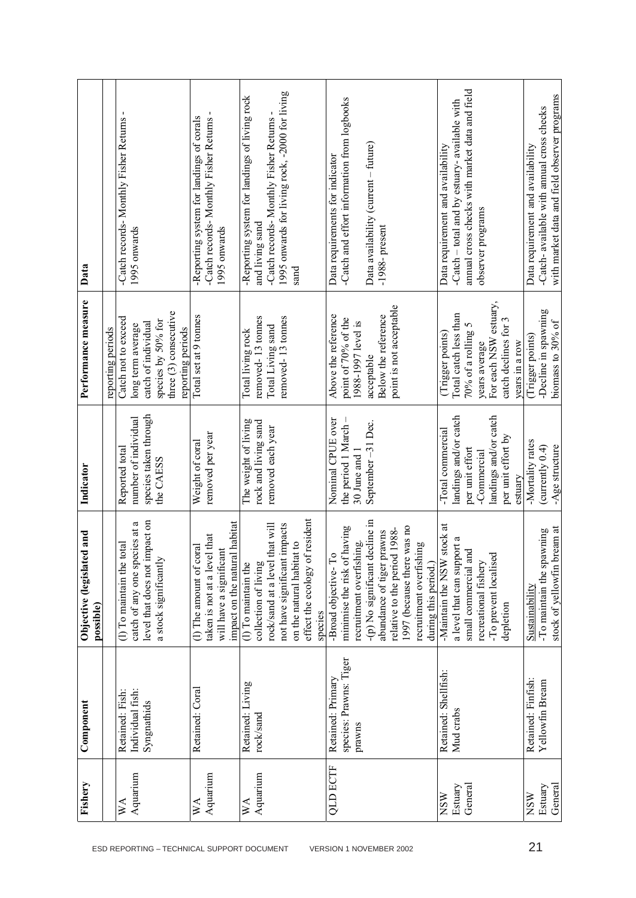| Fishery                   | Component              | Objective (legislated and<br>possible)                   | Indicator             | Performance measure     | Data                                           |
|---------------------------|------------------------|----------------------------------------------------------|-----------------------|-------------------------|------------------------------------------------|
|                           |                        |                                                          |                       | reporting periods       |                                                |
| $W_{\mathcal{A}}$         | Retained: Fish:        | total<br>(1) To maintain the                             | Reported total        | Catch not to exceed     | -Catch records- Monthly Fisher Returns         |
| Aquarium                  | Individual fish:       | ದ<br>catch of any one species at                         | number of individual  | long term average       | 1995 onwards                                   |
|                           | Syngnathids            | level that does not impact on                            | species taken through | catch of individual     |                                                |
|                           |                        | a stock significantly                                    | the CAESS             | species by 50% for      |                                                |
|                           |                        |                                                          |                       | three (3) consecutive   |                                                |
|                           |                        |                                                          |                       | reporting periods       |                                                |
| $\mathbb{X}^{\mathsf{A}}$ | Retained: Coral        | (1) The amount of coral                                  | Weight of coral       | Total set at 9 tonnes   | -Reporting system for landings of corals       |
| Aquarium                  |                        | taken is not at a level that                             | removed per year      |                         | -Catch records- Monthly Fisher Returns         |
|                           |                        | impact on the natural habitat<br>will have a significant |                       |                         | 1995 onwards                                   |
| $W\Lambda$                | Retained: Living       | (1) To maintain the                                      | The weight of living  | Total living rock       | -Reporting system for landings of living rock  |
| Aquarium                  | rock/sand              | collection of living                                     | rock and living sand  | removed-13 tonnes       | and living sand                                |
|                           |                        | that will<br>rock/sand at a level                        | removed each year     | Total Living sand       | -Catch records- Monthly Fisher Returns         |
|                           |                        | not have significant impacts                             |                       | removed-13 tonnes       | 1995 onwards for living rock, -2000 for living |
|                           |                        | on the natural habitat to                                |                       |                         | sand                                           |
|                           |                        | effect the ecology of resident                           |                       |                         |                                                |
|                           |                        | species                                                  |                       |                         |                                                |
| <b>QLD ECTF</b>           | Retained: Primary      | -Broad objective-To                                      | Nominal CPUE over     | Above the reference     | Data requirements for indicator                |
|                           | species: Prawns: Tiger | minimise the risk of having                              | the period 1 March -  | point of 70% of the     | -Catch and effort information from logbooks    |
|                           | prawns                 | recruitment overfishing.                                 | 30 June and 1         | 1988-1997 level is      |                                                |
|                           |                        | decline in<br>-(p) No significant                        | September-31 Dec.     | acceptable              | Data availability (current - future)           |
|                           |                        | prawns<br>abundance of tiger                             |                       | Below the reference     | $-1988$ - present                              |
|                           |                        | relative to the period 1988-                             |                       | point is not acceptable |                                                |
|                           |                        | 1997 (because there was no                               |                       |                         |                                                |
|                           |                        | recruitment overfishing                                  |                       |                         |                                                |
|                           |                        | during this period.)                                     |                       |                         |                                                |
| <b>NSW</b>                | Retained: Shellfish:   | stock at<br>-Maintain the NSW                            | -Total commercial     | (Trigger points)        | Data requirement and availability              |
| Estuary                   | Mud crabs              | a level that can support a                               | landings and/or catch | Total catch less than   | -Catch – total and by estuary- available with  |
| General                   |                        | small commercial and                                     | per unit effort       | 70% of a rolling $5$    | annual cross checks with market data and field |
|                           |                        | recreational fishery                                     | -Commercial           | years average           | observer programs                              |
|                           |                        | -To prevent localised                                    | landings and/or catch | For each NSW estuary,   |                                                |
|                           |                        | depletion                                                | per unit effort by    | catch declines for 3    |                                                |
|                           |                        |                                                          | estuary               | years in a row          |                                                |
| <b>NSW</b>                | Retained: Finfish:     | Sustainability                                           | -Mortality rates      | (Trigger points)        | Data requirement and availability              |
| Estuary                   | Yellowfin Bream        | -To maintain the spawning                                | (currently $0.4$ )    | -Decline in spawning    | -Catch- available with annual cross checks     |
| General                   |                        | pream at<br>stock of yellowfin l                         | -Age structure        | biomass to 30% of       | with market data and field observer programs   |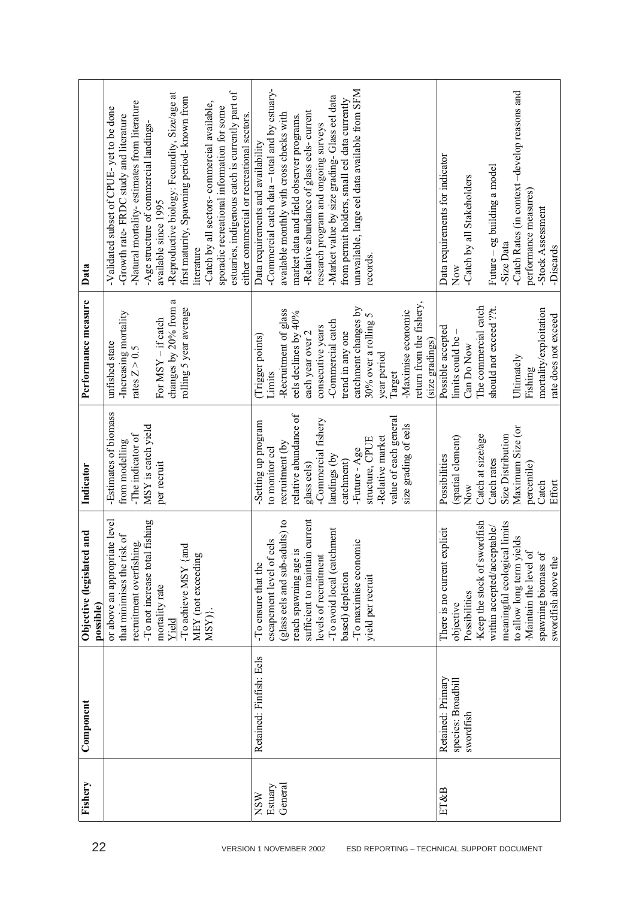| Component               | or above an appropriate level<br>Objective (legislated and<br>possible) | -Estimates of biomass<br>Indicator        | Performance measure<br>unfished state           | Validated subset of CPUE-yet to be done<br>Data                                                |
|-------------------------|-------------------------------------------------------------------------|-------------------------------------------|-------------------------------------------------|------------------------------------------------------------------------------------------------|
|                         | that minimises the risk of<br>recruitment overfishing.                  | -The indicator of<br>from modelling       | -Increasing mortality<br>rates $Z > 0.5$        | -Natural mortality-estimates from literature<br>-Growth rate-FRDC study and literature         |
|                         | -To not increase total fishing<br>mortality rate                        | MSY is catch yield<br>per recruit         | For $MSY - if$ catch                            | -Age structure of commercial landings-<br>available since 1995                                 |
|                         | and<br>-To achieve MSY<br>Yield                                         |                                           | changes by 20% from a<br>rolling 5 year average | -Reproductive biology: Fecundity, Size/age at<br>first maturity, Spawning period- known from   |
|                         | MEY (not exceeding<br>MSY)}                                             |                                           |                                                 | -Catch by all sectors- commercial available,<br>literature                                     |
|                         |                                                                         |                                           |                                                 | sporadic recreational information for some                                                     |
|                         |                                                                         |                                           |                                                 | estuaries, indigenous catch is currently part of<br>either commercial or recreational sectors. |
| Retained: Finfish: Eels | -To ensure that the                                                     | -Setting up program                       | (Trigger points)                                | Data requirements and availability                                                             |
|                         | escapement level of eels                                                | to monitor eel                            | Limits                                          | -Commercial catch data – total and by estuary-                                                 |
|                         | (glass eels and sub-adults) to                                          | recruitment (by                           | -Recruitment of glass                           | available monthly with cross checks with                                                       |
|                         | reach spawning age is                                                   | relative abundance of                     | eels declines by 40%                            | market data and field observer programs.                                                       |
|                         | sufficient to maintain current                                          | glass eels)                               | each year over 2                                | -Relative abundance of glass eels- current                                                     |
|                         | levels of recruitment                                                   | -Commercial fishery                       | consecutive years                               | research program and ongoing surveys                                                           |
|                         | -To avoid local (catchment                                              | landings (by                              | -Commercial catch                               | -Market value by size grading-Glass eel data                                                   |
|                         | based) depletion                                                        | catchment)                                | trend in any one                                | from permit holders, small eel data currently                                                  |
|                         | -To maximise economic                                                   | -Future - Age                             | catchment changes by                            | unavailable, large eel data available from SFM                                                 |
|                         | yield per recruit                                                       | structure, CPUE                           | 30% over a rolling $5$                          | records.                                                                                       |
|                         |                                                                         | value of each general<br>-Relative market | year period                                     |                                                                                                |
|                         |                                                                         | size grading of eels                      | -Maximise economic<br>Target                    |                                                                                                |
|                         |                                                                         |                                           | retum from the fishery,                         |                                                                                                |
|                         |                                                                         |                                           | (size gradings)                                 |                                                                                                |
| Retained: Primary       | explicit<br>There is no current                                         | Possibilities                             | Possible accepted                               | Data requirements for indicator                                                                |
| species: Broadbill      | objective                                                               | (spatial element)                         | limits could be -                               | Now                                                                                            |
| swordfish               | Possibilities                                                           | Now                                       | Can Do Now                                      | -Catch by all Stakeholders                                                                     |
|                         | Keep the stock of swordfish                                             | Catch at size/age                         | The commercial catch                            |                                                                                                |
|                         | within accepted/acceptable/                                             | Catch rates                               | should not exceed ??t.                          | Future – eg building a model                                                                   |
|                         | meaningful ecological limits                                            | Size Distribution                         |                                                 | -Size Data                                                                                     |
|                         | to allow long term yields                                               | Maximum Size (or                          | Ultimately                                      | -Catch Rates (in context-develop reasons and                                                   |
|                         | $\sigma$ f<br>Maintain the level                                        | percentile)                               | Fishing                                         | performance measures)                                                                          |
|                         | $\sigma$<br>spawning biomass                                            | Catch                                     | mortality/exploitation                          | -Stock Assessment                                                                              |
|                         | $\ddot{\mathbf{O}}$<br>swordfish above th                               | Effort                                    | rate does not exceed                            | -Discards                                                                                      |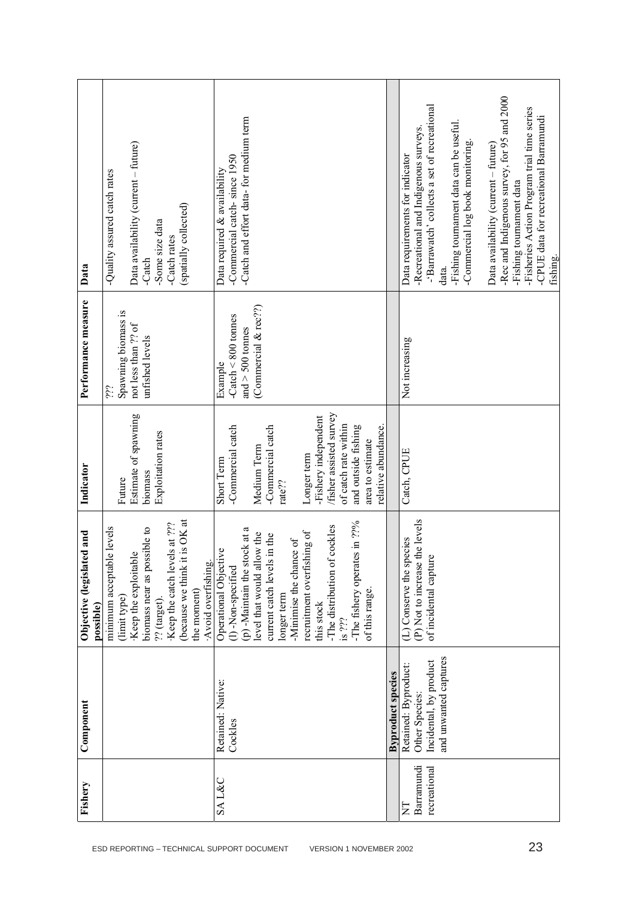| Data                                       | Data availability (current - future)<br>-Quality assured catch rates<br>(spatially collected)<br>-Some size data<br>-Catch rates<br>-Catch                                                                             | -Catch and effort data- for medium term<br>-Commercial catch-since 1950<br>Data required & availability                                                                                                                                                                                                                          | -Rec and Indigenous survey, for 95 and 2000<br>-'Barrawatch' collects a set of recreational<br>-Fisheries Action Program trial time series<br>-CPUE data for recreational Barramundi<br>-Fishing tournament data can be useful.<br>-Recreational and Indigenous surveys.<br>-Commercial log book monitoring.<br>Data availability (current - future)<br>Data requirements for indicator<br>-Fishing tournament data<br>fishing.<br>data. |
|--------------------------------------------|------------------------------------------------------------------------------------------------------------------------------------------------------------------------------------------------------------------------|----------------------------------------------------------------------------------------------------------------------------------------------------------------------------------------------------------------------------------------------------------------------------------------------------------------------------------|------------------------------------------------------------------------------------------------------------------------------------------------------------------------------------------------------------------------------------------------------------------------------------------------------------------------------------------------------------------------------------------------------------------------------------------|
| Performance measure                        | Spawning biomass is<br>not less than ?? of<br>unfished levels<br>ili.                                                                                                                                                  | (Commercial & rec??)<br>$-$ Catch $\leq 800$ tonnes<br>and $>$ 500 tonnes<br>Example                                                                                                                                                                                                                                             | Not increasing                                                                                                                                                                                                                                                                                                                                                                                                                           |
| Indicator                                  | Estimate of spawning<br>Exploitation rates<br>biomass<br>Future                                                                                                                                                        | /fisher assisted survey<br>-Fishery independent<br>of catch rate within<br>-Commercial catch<br>relative abundance.<br>-Commercial catch<br>and outside fishing<br>area to estimate<br>Medium Term<br>Longer term<br>Short Term<br>rate??                                                                                        | Catch, CPUE                                                                                                                                                                                                                                                                                                                                                                                                                              |
| ed and<br>Objective (legislat<br>possible) | (because we think it is OK at<br>Keep the catch levels at ???<br>biomass near as possible to<br>minimum acceptable levels<br>Keep the exploitable<br>Avoid overfishing.<br>the moment)<br>(limit type)<br>?? (target). | -The fishery operates in ??%<br>-The distribution of cockles<br>(p) -Maintain the stock at a<br>recruitment overfishing of<br>low the<br>current catch levels in the<br>-Minimise the chance of<br>Operational Objective<br>level that would all<br>(l)-Non-specified<br>of this range.<br>longer term<br>this stock<br>$1s$ ??? | (P) Not to increase the levels<br>(L) Conserve the species<br>Ò.<br>of incidental captur                                                                                                                                                                                                                                                                                                                                                 |
| Component                                  |                                                                                                                                                                                                                        | Retained: Native:<br>Cockles                                                                                                                                                                                                                                                                                                     | and unwanted captures<br>Incidental, by product<br>Retained: Byproduct:<br><b>Byproduct species</b><br>Other Species:                                                                                                                                                                                                                                                                                                                    |
| Fishery                                    |                                                                                                                                                                                                                        | <b>SAL&amp;C</b>                                                                                                                                                                                                                                                                                                                 | Barramundi<br>recreational<br>Ę                                                                                                                                                                                                                                                                                                                                                                                                          |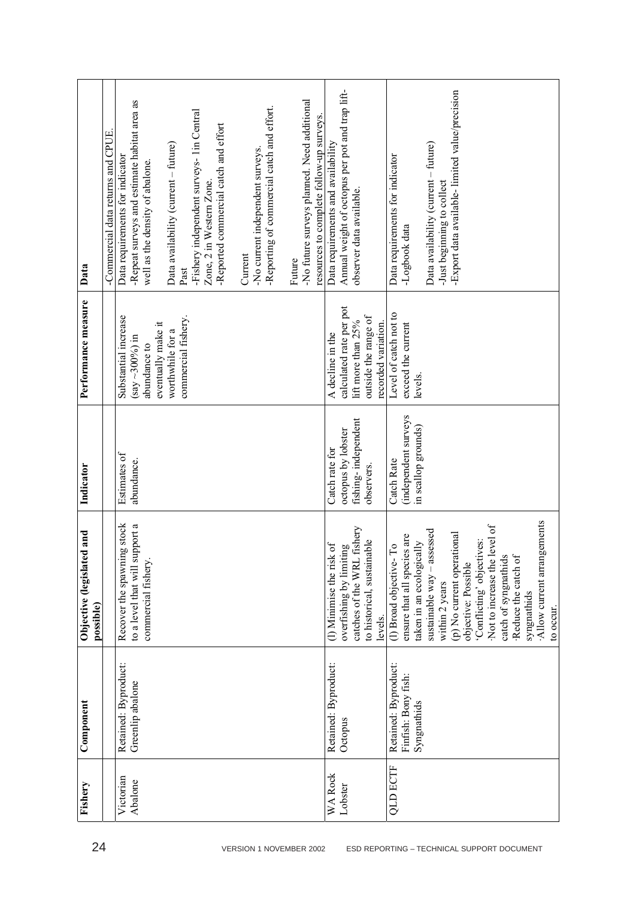| Fishery                   | Component                                                  | Objective (legislated and<br>possible)                                                                                                                                                                                                                                                                                                                        | Indicator                                                                 | Performance measure                                                                                                             | Data                                                                                                                                                                                                                                                                                                                                |
|---------------------------|------------------------------------------------------------|---------------------------------------------------------------------------------------------------------------------------------------------------------------------------------------------------------------------------------------------------------------------------------------------------------------------------------------------------------------|---------------------------------------------------------------------------|---------------------------------------------------------------------------------------------------------------------------------|-------------------------------------------------------------------------------------------------------------------------------------------------------------------------------------------------------------------------------------------------------------------------------------------------------------------------------------|
|                           |                                                            |                                                                                                                                                                                                                                                                                                                                                               |                                                                           |                                                                                                                                 | -Commercial data returns and CPUE                                                                                                                                                                                                                                                                                                   |
| Victorian<br>Abalone      | Retained: Byproduct:<br>Greenlip abalone                   | Recover the spawning stock<br>to a level that will support a<br>commercial fishery.                                                                                                                                                                                                                                                                           | Estimates of<br>abundance.                                                | commercial fishery.<br>Substantial increase<br>eventually make it<br>worthwhile for a<br>$(say \sim 300\%$ ) in<br>abundance to | -Repeat surveys and estimate habitat area as<br>-Fishery independent surveys- 1in Central<br>-Reported commercial catch and effort<br>Data availability (current - future)<br>-No current independent surveys.<br>Data requirements for indicator<br>well as the density of abalone.<br>Zone, 2 in Western Zone.<br>Current<br>Past |
|                           |                                                            |                                                                                                                                                                                                                                                                                                                                                               |                                                                           |                                                                                                                                 | -No future surveys planned. Need additional<br>-Reporting of commercial catch and effort.<br>resources to complete follow-up surveys.<br>Future                                                                                                                                                                                     |
| <b>WA Rock</b><br>Lobster | Retained: Byproduct:<br>Octopus                            | . fishery<br>to historical, sustainable<br>(1) Minimise the risk of<br>$\lim g$<br>catches of the WRL<br>overfishing by limit<br>levels.                                                                                                                                                                                                                      | fishing-independent<br>octopus by lobster<br>Catch rate for<br>observers. | calculated rate per pot<br>outside the range of<br>lift more than 25%<br>recorded variation.<br>A decline in the                | Annual weight of octopus per pot and trap lift-<br>Data requirements and availability<br>observer data available.                                                                                                                                                                                                                   |
| <b>QLD ECTF</b>           | Retained: Byproduct:<br>Finfish: Bony fish:<br>Syngnathids | Allow current arrangements<br>Not to increase the level of<br>sustainable way - assessed<br>(p) No current operational<br>ensure that all species are<br>'Conflicting' objectives:<br>taken in an ecologically<br>(l) Broad objective-To<br>catch of syngnathids<br>·Reduce the catch of<br>objective: Possible<br>within 2 years<br>syngnathids<br>to occur. | independent surveys<br>in scallop grounds)<br>Catch Rate                  | Level of catch not to<br>exceed the current<br>levels.                                                                          | -Export data available-limited value/precision<br>Data availability (current – future)<br>Data requirements for indicator<br>-Just beginning to collect<br>-Logbook data                                                                                                                                                            |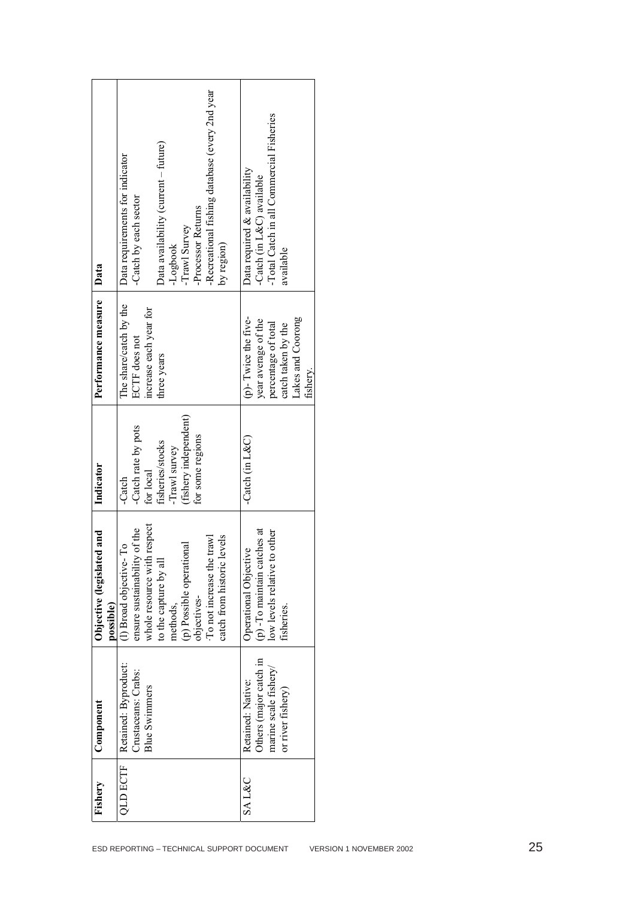|                                            | Fishery          | Component                                                           | ed and<br>Objective (legislat<br>possible)                                                 | Indicator                                  | Performance measure                                               | Data                                                         |
|--------------------------------------------|------------------|---------------------------------------------------------------------|--------------------------------------------------------------------------------------------|--------------------------------------------|-------------------------------------------------------------------|--------------------------------------------------------------|
| ESD REPORTING - TECHNICAL SUPPORT DOCUMENT | <b>QLD ECTF</b>  | Retained: Byproduct:<br>Crustaceans: Crabs:<br><b>Blue Swimmers</b> | 1 respect<br>ensure sustainability of the<br>(l) Broad objective-To<br>whole resource with | -Catch rate by pots<br>for local<br>-Catch | The share/catch by the<br>increase each year for<br>ECTF does not | Data requirements for indicator<br>-Catch by each sector     |
|                                            |                  |                                                                     | to the capture by all<br>methods,                                                          | fisheries/stocks<br>-Trawl survey          | three years                                                       | Data availability (current - future)<br>-Logbook             |
|                                            |                  |                                                                     | (p) Possible operational<br>objectives-                                                    | (fishery independent)<br>for some regions  |                                                                   | -Processor Returns<br>-Trawl Survey                          |
|                                            |                  |                                                                     | levels<br>To not increase the trawl<br>catch from historic                                 |                                            |                                                                   | -Recreational fishing database (every 2nd year<br>by region) |
|                                            | <b>SAL&amp;C</b> | Others (major catch in<br>Retained: Native:                         | (p) -To maintain catches at<br>Operational Objective                                       | -Catch (in $L&C$ )                         | (p)- Twice the five-<br>year average of the                       | Data required & availability<br>-Catch (in L&C) available    |
|                                            |                  | marine scale fishery/<br>or river fishery)                          | low levels relative to other<br>fisheries.                                                 |                                            | percentage of total<br>catch taken by the                         | -Total Catch in all Commercial Fisheries<br>available        |
|                                            |                  |                                                                     |                                                                                            |                                            | Lakes and Coorong<br>fishery.                                     |                                                              |
|                                            |                  |                                                                     |                                                                                            |                                            |                                                                   |                                                              |
|                                            |                  |                                                                     |                                                                                            |                                            |                                                                   |                                                              |
|                                            |                  |                                                                     |                                                                                            |                                            |                                                                   |                                                              |
|                                            |                  |                                                                     |                                                                                            |                                            |                                                                   |                                                              |
| VERSION 1 NOVEMBER 2002                    |                  |                                                                     |                                                                                            |                                            |                                                                   |                                                              |
|                                            |                  |                                                                     |                                                                                            |                                            |                                                                   |                                                              |
|                                            |                  |                                                                     |                                                                                            |                                            |                                                                   |                                                              |
|                                            |                  |                                                                     |                                                                                            |                                            |                                                                   |                                                              |
|                                            |                  |                                                                     |                                                                                            |                                            |                                                                   |                                                              |
| 25                                         |                  |                                                                     |                                                                                            |                                            |                                                                   |                                                              |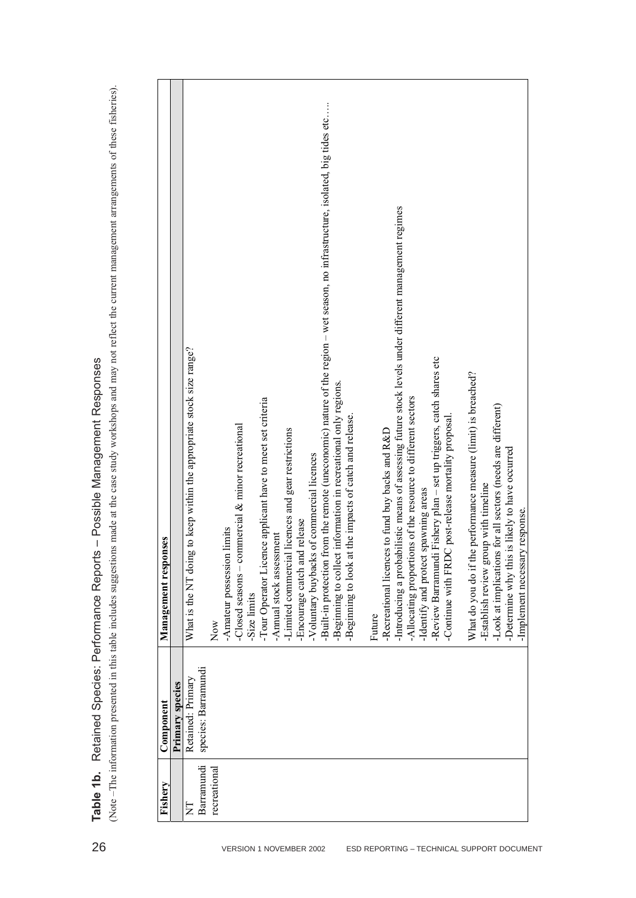**Table 1b.** Retained Species: Performance Reports – Possible Management Responses

| Fishery        | Component           | Management responses                                                                                                               |
|----------------|---------------------|------------------------------------------------------------------------------------------------------------------------------------|
|                | Primary species     |                                                                                                                                    |
| $\overline{z}$ | Retained: Primary   | ig to keep within the appropriate stock size range?<br>What is the NT doin                                                         |
| Barramundi     | species: Barramundi |                                                                                                                                    |
| recreational   |                     | Now                                                                                                                                |
|                |                     | -Amateur possession limits                                                                                                         |
|                |                     | -Closed seasons – commercial $\&$ minor recreational                                                                               |
|                |                     | -Size limits                                                                                                                       |
|                |                     | -Tour Operator Licence applicant have to meet set criteria                                                                         |
|                |                     | -Annual stock assessment                                                                                                           |
|                |                     | -Limited commercial licences and gear restrictions                                                                                 |
|                |                     | nd release<br>-Encourage catch ar                                                                                                  |
|                |                     | -Voluntary buybacks of commercial licences                                                                                         |
|                |                     | from the remote (uneconomic) nature of the region - wet season, no infrastructure, isolated, big tides etc<br>-Built-in protection |
|                |                     | -Beginning to collect information in recreational only regions.                                                                    |
|                |                     | -Beginning to look at the impacts of catch and release.                                                                            |
|                |                     |                                                                                                                                    |
|                |                     | Future                                                                                                                             |
|                |                     | -Recreational licences to fund buy backs and R&D                                                                                   |
|                |                     | -Introducing a probabilistic means of assessing future stock levels under different management regimes                             |
|                |                     | -Allocating proportions of the resource to different sectors                                                                       |
|                |                     | t spawning areas<br>-Identify and protect                                                                                          |
|                |                     | -Review Barramundi Fishery plan - set up triggers, catch shares etc                                                                |
|                |                     | Continue with FRDC post-release mortality proposal.                                                                                |
|                |                     |                                                                                                                                    |
|                |                     | he performance measure (limit) is breached?<br>What do you do if tl                                                                |
|                |                     | oup with timeline<br>-Establish review gr                                                                                          |
|                |                     | -Look at implications for all sectors (needs are different)                                                                        |
|                |                     | -Determine why this is likely to have occurred                                                                                     |
|                |                     | ry response.<br>-Implement necessa                                                                                                 |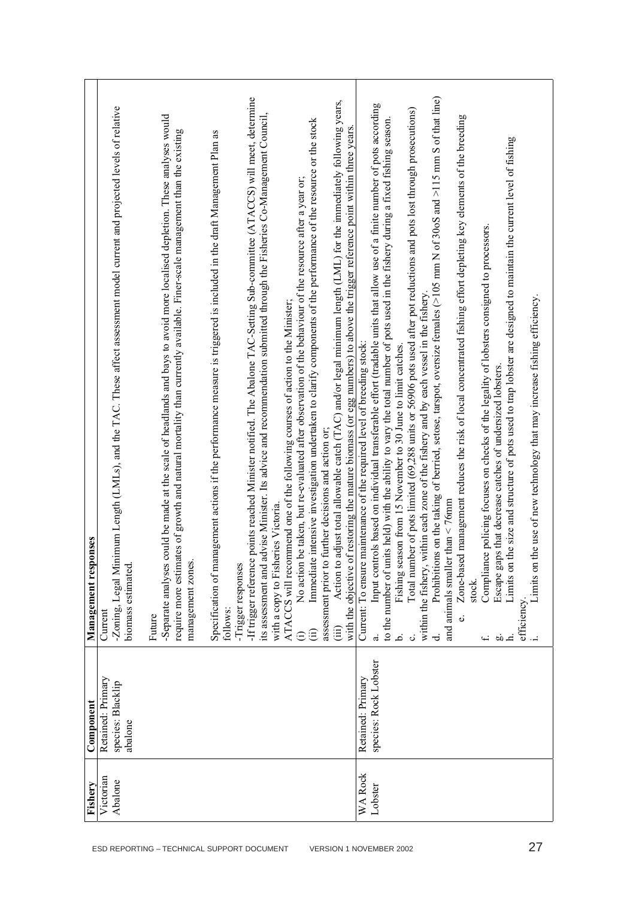| ESD REPORTING - TECHNICAL SUPPORT DOCUMENT | Victorian<br>Abalone<br>Fishery | Retained: Primary<br>species: Blacklip<br>Component<br>abalone | nimum Length (LMLs), and the TAC. These affect assessment model current and projected levels of relative<br>onses<br>-Zoning, Legal Mi<br>Management resp<br>biomass estimated<br>Current<br>Future                                                                                                                                                                                                                                                                                                                                                                                                                                                          |
|--------------------------------------------|---------------------------------|----------------------------------------------------------------|--------------------------------------------------------------------------------------------------------------------------------------------------------------------------------------------------------------------------------------------------------------------------------------------------------------------------------------------------------------------------------------------------------------------------------------------------------------------------------------------------------------------------------------------------------------------------------------------------------------------------------------------------------------|
|                                            |                                 |                                                                | could be made at the scale of headlands and bays to avoid more localised depletion. These analyses would<br>require more estimates of growth and natural mortality than currently available. Finer-scale management than the existing<br>Specification of management actions if the performance measure is triggered is included in the draft Management Plan as<br>-Separate analyses<br>management zones<br>follows:                                                                                                                                                                                                                                       |
|                                            |                                 |                                                                | -If trigger reference points reached Minister notified. The Abalone TAC-Setting Sub-committee (ATACCS) will meet, determine<br>advise Minister. Its advice and recommendation submitted through the Fisheries Co-Management Council,<br>Immediate intensive investigation undertaken to clarify components of the performance of the resource or the stock<br>No action be taken, but re-evaluated after observation of the behaviour of the resource after a year or;<br>ATACCS will recommend one of the following courses of action to the Minister;<br>with a copy to Fisheries Victoria.<br>-Trigger responses<br>its assessment and<br>(i)<br>$\oplus$ |
|                                            |                                 |                                                                | adjust total allowable catch (TAC) and/or legal minimum length (LML) for the immediately following years,<br>with the objective of restoring the mature biomass (or egg numbers) to above the trigger reference point within three years.<br>further decisions and action or;<br>assessment prior to<br>Action to<br>$\hat{\mathrm{H}}$                                                                                                                                                                                                                                                                                                                      |
| VERSION 1 NOVEMBER 2002                    | <b>WA Rock</b><br>Lobster       | species: Rock Lobster<br>Retained: Primary                     | Input controls based on individual transferable effort (tradable units that allow use of a finite number of pots according<br>Total number of pots limited (69,288 units or 56906 pots used after pot reductions and pots lost through prosecutions)<br>to the number of units held) with the ability to vary the total number of pots used in the fishery during a fixed fishing season.<br>within each zone of the fishery and by each vessel in the fishery<br>Current: To ensure maintenance of the required level of breeding stock:<br>Fishing season from 15 November to 30 June to limit catches<br>within the fishery,<br>$\vec{a}$<br>نم.<br>ن     |
|                                            |                                 |                                                                | Prohibitions on the taking of berried, setose, tarspot, oversize females $(>105$ mm N of 300S and $>115$ mm S of that line)<br>Zone-based management reduces the risk of local concentrated fishing effort depleting key elements of the breeding<br>Compliance policing focuses on checks of the legality of lobsters consigned to processors.<br>Escape gaps that decrease catches of undersized lobsters.<br>and animals smaller than $\leq$ 76mm<br>stock.<br>نه<br>ಕ<br>do<br>ſ.                                                                                                                                                                        |
| 27                                         |                                 |                                                                | the size and structure of pots used to trap lobster are designed to maintain the current level of fishing<br>the use of new technology that may increase fishing efficiency.<br>Limits on<br>Limits on<br>efficiency.                                                                                                                                                                                                                                                                                                                                                                                                                                        |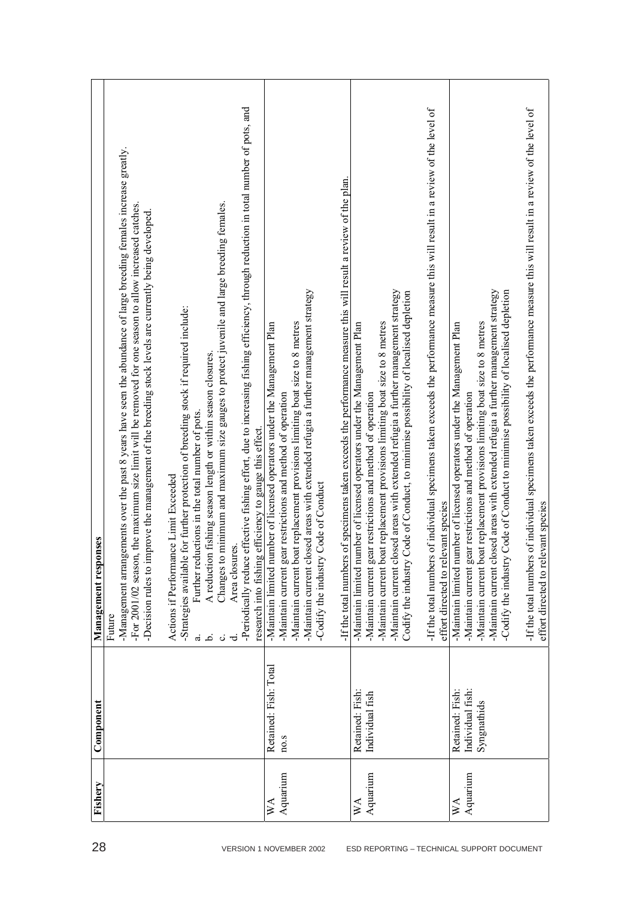| 28                                         | Fishery                               | Component                                          | onses<br>Management resp                                                                                                                                                                                                                                                                                                                                                                                                                                                                                                                                                                                                                                                                                                                                                                                                                                                                                                                           |
|--------------------------------------------|---------------------------------------|----------------------------------------------------|----------------------------------------------------------------------------------------------------------------------------------------------------------------------------------------------------------------------------------------------------------------------------------------------------------------------------------------------------------------------------------------------------------------------------------------------------------------------------------------------------------------------------------------------------------------------------------------------------------------------------------------------------------------------------------------------------------------------------------------------------------------------------------------------------------------------------------------------------------------------------------------------------------------------------------------------------|
|                                            |                                       |                                                    | -Periodically reduce effective fishing effort, due to increasing fishing efficiency, through reduction in total number of pots, and<br>-Management arrangements over the past $8$ years have seen the abundance of large breeding females increase greatly.<br>to minimum and maximum size gauges to protect juvenile and large breeding females.<br>For 2001/02 season, the maximum size limit will be removed for one season to allow increased catches.<br>improve the management of the breeding stock levels are currently being developed.<br>-Strategies available for further protection of breeding stock if required include:<br>A reduction fishing season length or within season closures.<br>Further reductions in the total number of pots.<br>ig efficiency to gauge this effect.<br>ance Limit Exceeded<br>Area closures<br>Actions if Perform<br>research into fishin<br>Changes<br>-Decision rules to<br>Future<br>$\ddot{a}$ ه |
| VERSION 1 NOVEMBER 2002                    | Aquarium<br>$W_{\mathcal{A}}$         | Retained: Fish: Total<br>no.s                      | rs of specimens taken exceeds the performance measure this will result a review of the plan.<br>closed areas with extended refugia a further management strategy<br>boat replacement provisions limiting boat size to 8 metres<br>number of licensed operators under the Management Plan<br>gear restrictions and method of operation<br>ry Code of Conduct<br>-If the total numbe<br>Codify the indust<br>-Maintain current<br>-Maintain current<br>Maintain limited<br>-Maintain current                                                                                                                                                                                                                                                                                                                                                                                                                                                         |
| ESD REPORTING - TECHNICAL SUPPORT DOCUMENT | Aquarium<br>$\mathbb{X}^{\mathsf{A}}$ | Retained: Fish:<br>Individual fish                 | If the total numbers of individual specimens taken exceeds the performance measure this will result in a review of the level of<br>closed areas with extended refugia a further management strategy<br>y Code of Conduct, to minimise possibility of localised depletion<br>boat replacement provisions limiting boat size to 8 metres<br>number of licensed operators under the Management Plan<br>gear restrictions and method of operation<br>effort directed to relevant species<br>-Maintain current<br>Codify the industr<br>-Maintain limited<br>-Maintain current<br>-Maintain current                                                                                                                                                                                                                                                                                                                                                     |
|                                            | Aquarium<br>УA                        | Retained: Fish:<br>Individual fish:<br>Syngnathids | -If the total numbers of individual specimens taken exceeds the performance measure this will result in a review of the level of<br>closed areas with extended refugia a further management strategy<br>ry Code of Conduct to minimise possibility of localised depletion<br>boat replacement provisions limiting boat size to 8 metres<br>number of licensed operators under the Management Plan<br>gear restrictions and method of operation<br>effort directed to relevant species<br>Codify the indust<br>-Maintain current<br>-Maintain current<br>-Maintain limited<br>-Maintain current                                                                                                                                                                                                                                                                                                                                                     |

Г ┓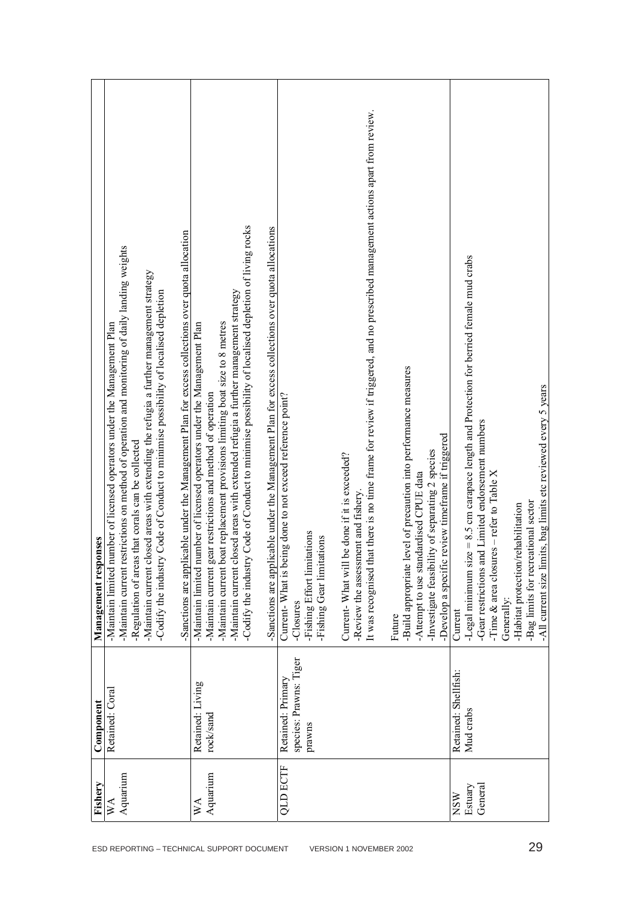|                                            | Fishery                   | Component              | onses<br>Management resp                                                                                                       |
|--------------------------------------------|---------------------------|------------------------|--------------------------------------------------------------------------------------------------------------------------------|
|                                            | $\mathbb{X}^{\mathsf{A}}$ | Retained: Coral        | -Maintain limited number of licensed operators under the Management Plan                                                       |
|                                            | Aquarium                  |                        | estrictions on method of operation and monitoring of daily landing weights<br>-Maintain current 1                              |
|                                            |                           |                        | -Regulation of areas that corals can be collected                                                                              |
|                                            |                           |                        | -Maintain current closed areas with extending the refugia a further management strategy                                        |
|                                            |                           |                        | Codify the industry Code of Conduct to minimise possibility of localised depletion                                             |
| ESD REPORTING - TECHNICAL SUPPORT DOCUMENT |                           |                        | licable under the Management Plan for excess collections over quota allocation<br>-Sanctions are app                           |
|                                            | $W_{\mathcal{A}}$         | Retained: Living       | number of licensed operators under the Management Plan<br>-Maintain limited                                                    |
|                                            | Aquarium                  | rock/sand              | gear restrictions and method of operation<br>-Maintain current                                                                 |
|                                            |                           |                        | boat replacement provisions limiting boat size to 8 metres<br>-Maintain current                                                |
|                                            |                           |                        | Maintain current closed areas with extended refugia a further management strategy                                              |
|                                            |                           |                        | Codify the industry Code of Conduct to minimise possibility of localised depletion of living rocks                             |
|                                            |                           |                        | licable under the Management Plan for excess collections over quota allocations<br>-Sanctions are appl                         |
|                                            | <b>QLD ECTF</b>           | Retained: Primary      | Current-What is being done to not exceed reference point?                                                                      |
|                                            |                           | species: Prawns: Tiger | -Closures                                                                                                                      |
|                                            |                           | prawns                 | -Fishing Effort limitations                                                                                                    |
|                                            |                           |                        | Fishing Gear limitations                                                                                                       |
|                                            |                           |                        |                                                                                                                                |
|                                            |                           |                        | be done if it is exceeded?<br>Current-What will                                                                                |
|                                            |                           |                        | -Review the assessment and fishery.                                                                                            |
| VERSION 1 NOVEMBER 2002                    |                           |                        | It was recognised that there is no time frame for review if triggered, and no prescribed management actions apart from review. |
|                                            |                           |                        |                                                                                                                                |
|                                            |                           |                        | Future                                                                                                                         |
|                                            |                           |                        | -Build appropriate level of precaution into performance measures                                                               |
|                                            |                           |                        | -Attempt to use standardised CPUE data                                                                                         |
|                                            |                           |                        | Investigate feasibility of separating 2 species                                                                                |
|                                            |                           |                        | -Develop a specific review timeframe if triggered                                                                              |
|                                            | <b>NSW</b>                | Retained: Shellfish:   | Current                                                                                                                        |
|                                            | Estuary                   | Mud crabs              | -Legal minimum size $= 8.5$ cm carapace length and Protection for berried female mud crabs                                     |
|                                            | General                   |                        | -Gear restrictions and Limited endorsement numbers                                                                             |
|                                            |                           |                        | -Time $\&$ area closures – refer to Table X                                                                                    |
|                                            |                           |                        | Generally:                                                                                                                     |
|                                            |                           |                        | -Habitat protection/rehabilitation                                                                                             |
| 29                                         |                           |                        | -Bag limits for recreational sector                                                                                            |
|                                            |                           |                        | -All current size limits, bag limits etc reviewed every 5 years                                                                |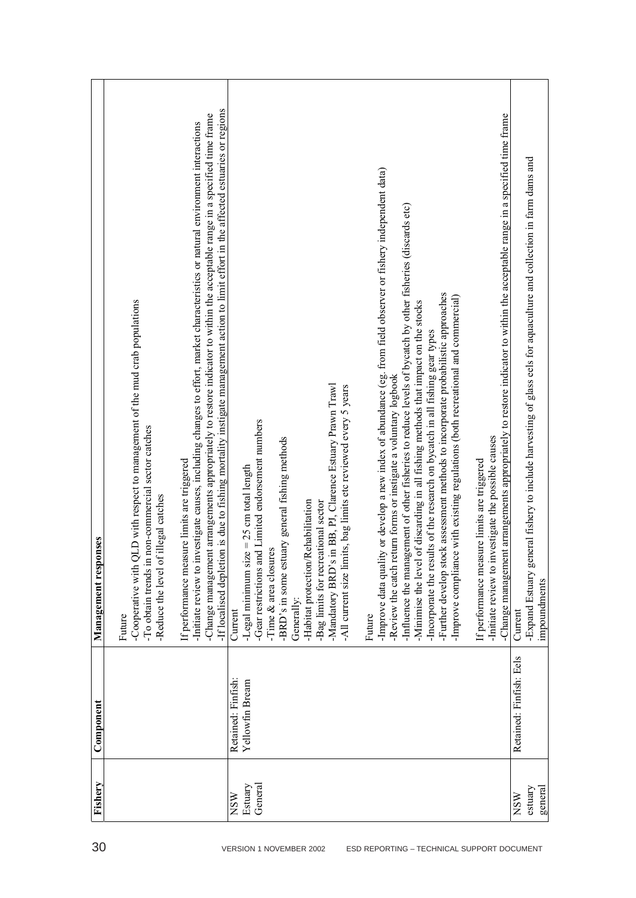| 30                                                                    | Fishery                          | Component                             | <b>onses</b><br>Management resp                                                                                                                                                                                                                                                                                                                                                                                                                                                                                                                                                                                                                                                                                                                                                                                                                                                                                                                                                                                                                                                                                                                                                                                                                                                                                                         |
|-----------------------------------------------------------------------|----------------------------------|---------------------------------------|-----------------------------------------------------------------------------------------------------------------------------------------------------------------------------------------------------------------------------------------------------------------------------------------------------------------------------------------------------------------------------------------------------------------------------------------------------------------------------------------------------------------------------------------------------------------------------------------------------------------------------------------------------------------------------------------------------------------------------------------------------------------------------------------------------------------------------------------------------------------------------------------------------------------------------------------------------------------------------------------------------------------------------------------------------------------------------------------------------------------------------------------------------------------------------------------------------------------------------------------------------------------------------------------------------------------------------------------|
|                                                                       |                                  |                                       | ion is due to fishing mortality instigate management action to limit effort in the affected estuaries or regions<br>-Change management arrangements appropriately to restore indicator to within the acceptable range in a specified time frame<br>-Initiate review to investigate causes, including changes to effort, market characteristics or natural environment interactions<br>QLD with respect to management of the mud crab populations<br>-To obtain trends in non-commercial sector catches<br>If performance measure limits are triggered<br>-Reduce the level of illegal catches<br>-If localised deplet<br>-Cooperative with<br>Future                                                                                                                                                                                                                                                                                                                                                                                                                                                                                                                                                                                                                                                                                    |
| VERSION 1 NOVEMBER 2002<br>ESD REPORTING - TECHNICAL SUPPORT DOCUMENT | General<br>Estuary<br><b>NSW</b> | Retained: Finfish:<br>Yellowfin Bream | -Change management arrangements appropriately to restore indicator to within the acceptable range in a specified time frame<br>ity or develop a new index of abundance (eg. from field observer or fishery independent data)<br>-Influence the management of other fisheries to reduce levels of bycatch by other fisheries (discards etc)<br>-Further develop stock assessment methods to incorporate probabilistic approaches<br>ce with existing regulations (both recreational and commercial)<br>-Minimise the level of discarding in all fishing methods that impact on the stocks<br>Incorporate the results of the research on bycatch in all fishing gear types<br>return forms or instigate a voluntary logbook<br>Mandatory BRD's in BB, PJ, Clarence Estuary Prawn Trawl<br>-All current size limits, bag limits etc reviewed every 5 years<br>-Gear restrictions and Limited endorsement numbers<br>investigate the possible causes<br>-BRD's in some estuary general fishing methods<br>If performance measure limits are triggered<br>-Legal minimum size $= 25$ cm total length<br>Rehabilitation<br>eational sector<br>-Time & area closures<br>-Habitat protection<br>-Bag limits for recr<br>Improve complian<br>-Improve data qual<br>-Initiate review to i<br>-Review the catch<br>Generally:<br>Current<br>Future |
|                                                                       | estuary<br>general<br><b>NSW</b> | Retained: Finfish: Eels               | eneral fishery to include harvesting of glass eels for aquaculture and collection in farm dams and<br>-Expand Estuary go<br>impoundments<br>Current                                                                                                                                                                                                                                                                                                                                                                                                                                                                                                                                                                                                                                                                                                                                                                                                                                                                                                                                                                                                                                                                                                                                                                                     |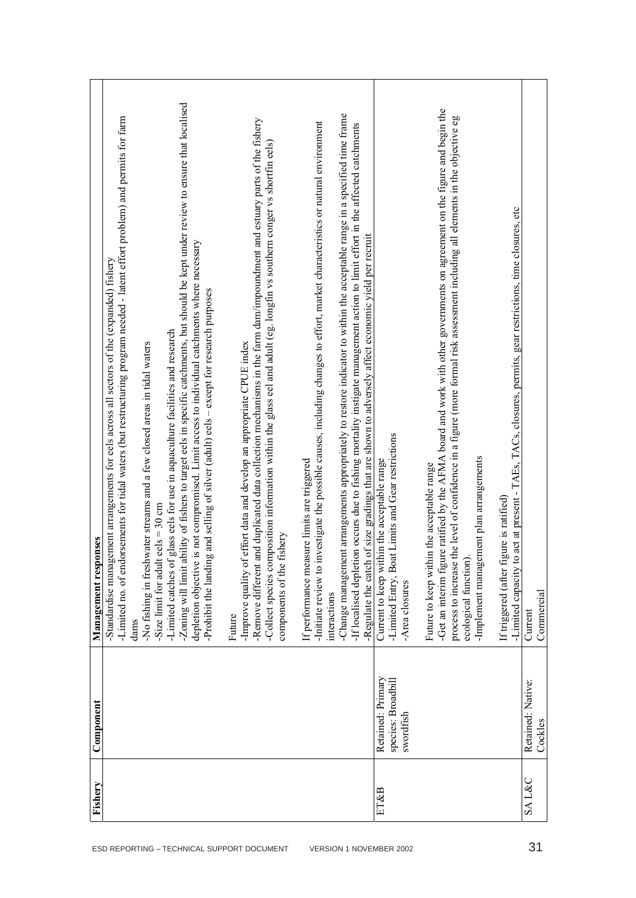|                                            | Fishery | Component                                            | onses<br>Management resp                                                                                                                                                                                                                                                                                                                                                                                                                                                                                                                                                                                                                                                                                                                                                            |
|--------------------------------------------|---------|------------------------------------------------------|-------------------------------------------------------------------------------------------------------------------------------------------------------------------------------------------------------------------------------------------------------------------------------------------------------------------------------------------------------------------------------------------------------------------------------------------------------------------------------------------------------------------------------------------------------------------------------------------------------------------------------------------------------------------------------------------------------------------------------------------------------------------------------------|
| ESD REPORTING - TECHNICAL SUPPORT DOCUMENT |         |                                                      | -Zoning will limit ability of fishers to target eels in specific catchments, but should be kept under review to ensure that localised<br>-Limited no. of endorsements for tidal waters (but restructuring program needed - latent effort problem) and permits for farm<br>depletion objective is not compromised. Limit access to individual catchments where necessary<br>-Standardise management arrangements for eels across all sectors of the (expanded) fishery<br>-Prohibit the landing and selling of silver (adult) eels - except for research purposes<br>glass eels for use in aquaculture facilities and research<br>-No fishing in freshwater streams and a few closed areas in tidal waters<br>$eels = 30 cm$<br>-Limited catches of<br>-Size limit for adult<br>dams |
|                                            |         |                                                      | -Remove different and duplicated data collection mechanisms in the farm dam/impoundment and estuary parts of the fishery<br>-Collect species composition information within the glass eel and adult (eg. longfin vs southern conger vs shortfin eels)<br>-Improve quality of effort data and develop an appropriate CPUE index<br>fishery<br>components of the<br>Future                                                                                                                                                                                                                                                                                                                                                                                                            |
| VERSION 1 NOVEMBER 2002                    |         |                                                      | -Change management arrangements appropriately to restore indicator to within the acceptable range in a specified time frame<br>-Initiate review to investigate the possible causes, including changes to effort, market characteristics or natural environment<br>on occurs due to fishing mortality instigate management action to limit effort in the affected catchments<br>Regulate the catch of size gradings that are shown to adversely affect economic yield per recruit-<br>If performance measure limits are triggered<br>-If localised depleti<br>interactions                                                                                                                                                                                                           |
|                                            | ET&B    | Retained: Primary<br>species: Broadbill<br>swordfish | -Limited Entry, Boat Limits and Gear restrictions<br>Current to keep within the acceptable range<br>Area closures                                                                                                                                                                                                                                                                                                                                                                                                                                                                                                                                                                                                                                                                   |
|                                            |         |                                                      | -Get an interim figure ratified by the AFMA board and work with other governments on agreement on the figure and begin the<br>the level of confidence in a figure (more formal risk assessment including all elements in the objective eg<br>-Implement management plan arrangements<br>in the acceptable range<br>Future to keep with<br>ecological function<br>process to increase                                                                                                                                                                                                                                                                                                                                                                                                |
|                                            |         |                                                      | -Limited capacity to act at present - TAEs, TACs, closures, permits, gear restrictions, time closures, etc<br>gure is ratified<br>If triggered (after fi                                                                                                                                                                                                                                                                                                                                                                                                                                                                                                                                                                                                                            |
| 31                                         | SA L&C  | Retained: Native:<br>Cockles                         | Commercial<br>Current                                                                                                                                                                                                                                                                                                                                                                                                                                                                                                                                                                                                                                                                                                                                                               |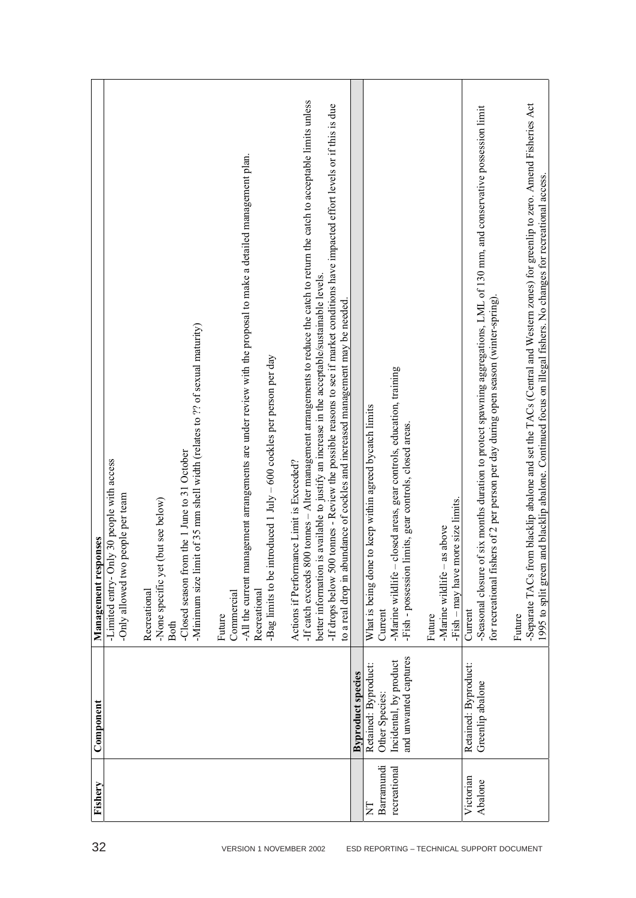| 32                                         | Fishery                         | Component                                                                                 | Management responses                                                                                                                                                                                                                                                                                                                                                                                                                                                                                        |
|--------------------------------------------|---------------------------------|-------------------------------------------------------------------------------------------|-------------------------------------------------------------------------------------------------------------------------------------------------------------------------------------------------------------------------------------------------------------------------------------------------------------------------------------------------------------------------------------------------------------------------------------------------------------------------------------------------------------|
|                                            |                                 |                                                                                           | -Limited entry- Only 30 people with access<br>people per team<br>-Only allowed two                                                                                                                                                                                                                                                                                                                                                                                                                          |
|                                            |                                 |                                                                                           | -Minimum size limit of 35 mm shell width (relates to ?? of sexual maturity)<br>-Closed season from the 1 June to 31 October<br>(but see below)<br>-None specific yet<br>Recreational<br>Both                                                                                                                                                                                                                                                                                                                |
| VERSION 1 NOVEMBER 2002                    |                                 |                                                                                           | -All the current management arrangements are under review with the proposal to make a detailed management plan.<br>troduced 1 July - 600 cockles per person per day<br>-Bag limits to be in<br>Commercial<br>Recreational<br>Future                                                                                                                                                                                                                                                                         |
|                                            |                                 |                                                                                           | If catch exceeds 800 tonnes $-$ Alter management arrangements to reduce the catch to return the catch to acceptable limits unless<br>If drops below 500 tonnes - Review the possible reasons to see if market conditions have impacted effort levels or if this is due<br>s available to justify an increase in the acceptable/sustainable levels.<br>to a real drop in abundance of cockles and increased management may be needed.<br>ance Limit is Exceeded?<br>Actions if Perform<br>better information |
|                                            |                                 | <b>Byproduct species</b>                                                                  |                                                                                                                                                                                                                                                                                                                                                                                                                                                                                                             |
|                                            | Barramundi<br>recreational<br>E | and unwanted captures<br>Incidental, by product<br>Retained: Byproduct:<br>Other Species: | closed areas, gear controls, education, training<br>What is being done to keep within agreed bycatch limits<br>limits, gear controls, closed areas.<br>-Fish - possession<br>-Marine wildlife<br>Current                                                                                                                                                                                                                                                                                                    |
| ESD REPORTING - TECHNICAL SUPPORT DOCUMENT |                                 |                                                                                           | -Fish – may have more size limits<br>as above<br>-Marine wildlife -<br>Future                                                                                                                                                                                                                                                                                                                                                                                                                               |
|                                            | Victorian<br>Abalone            | Retained: Byproduct:<br>Greenlip abalone                                                  | -Seasonal closure of six months duration to protect spawning aggregations, LML of 130 mm, and conservative possession limit<br>for recreational fishers of 2 per person per day during open season (winter-spring)<br>Current                                                                                                                                                                                                                                                                               |
|                                            |                                 |                                                                                           | -Separate TACs from blacklip abalone and set the TACs (Central and Western zones) for greenlip to zero. Amend Fisheries Act<br>and blacklip abalone. Continued focus on illegal fishers. No changes for recreational access<br>1995 to split green<br>Future                                                                                                                                                                                                                                                |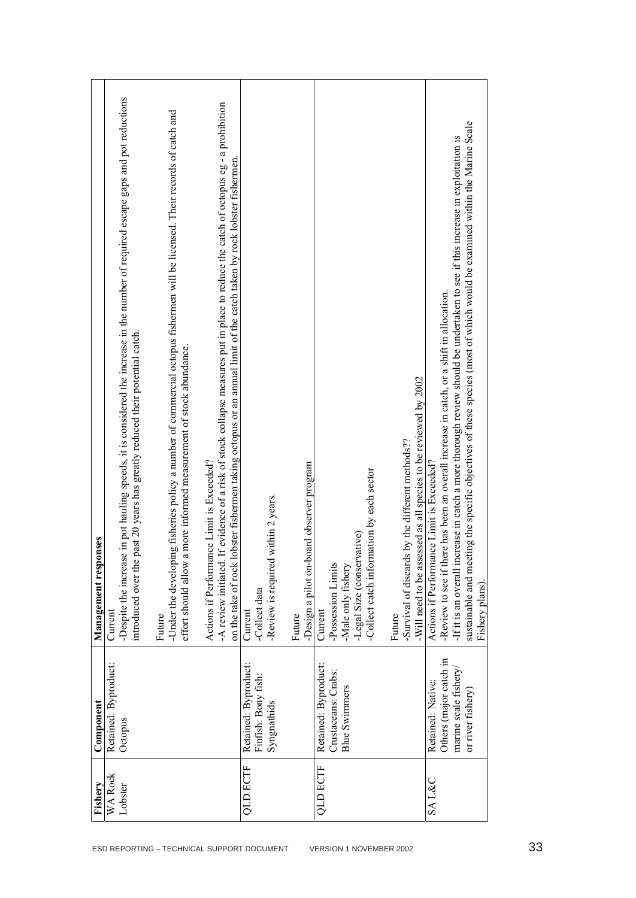|                                            | Fishery          | Component                                                                                | onses<br>Management resp                                                                                                                                                                                                                                                                                                                                                                                             |
|--------------------------------------------|------------------|------------------------------------------------------------------------------------------|----------------------------------------------------------------------------------------------------------------------------------------------------------------------------------------------------------------------------------------------------------------------------------------------------------------------------------------------------------------------------------------------------------------------|
|                                            | <b>WA Rock</b>   | Retained: Byproduct:                                                                     | Current                                                                                                                                                                                                                                                                                                                                                                                                              |
|                                            | Lobster          | Octopus                                                                                  | -Despite the increase in pot hauling speeds, it is considered the increase in the number of required escape gaps and pot reductions<br>past 20 years has greatly reduced their potential catch.<br>introduced over the                                                                                                                                                                                               |
| ESD REPORTING - TECHNICAL SUPPORT DOCUMENT |                  |                                                                                          | -Under the developing fisheries policy a number of commercial octopus fishermen will be licensed. Their records of catch and<br>a more informed measurement of stock abundance.<br>effort should allow<br>Future                                                                                                                                                                                                     |
|                                            |                  |                                                                                          | . If evidence of a risk of stock collapse measures put in place to reduce the catch of octopus eg - a prohibition<br>lobster fishermen taking octopus or an annual limit of the catch taken by rock lobster fishermen.<br>Actions if Performance Limit is Exceeded?<br>-A review initiated.<br>on the take of rock                                                                                                   |
|                                            | <b>QLD ECTF</b>  | Retained: Byproduct:<br>Finfish: Bony fish:<br>Syngnathids                               | -Review is required within 2 years.<br>-Collect data<br>Current                                                                                                                                                                                                                                                                                                                                                      |
|                                            |                  |                                                                                          | -Design a pilot on-board observer program<br>Future                                                                                                                                                                                                                                                                                                                                                                  |
| VERSION 1 NOVEMBER 2002                    | <b>QLD ECTF</b>  | Retained: Byproduct:<br>Crustaceans: Crabs:<br><b>Blue Swimmers</b>                      | -Collect catch information by each sector<br>-Legal Size (conservative)<br>-Possession Limits<br>-Male only fishery<br>Current                                                                                                                                                                                                                                                                                       |
|                                            |                  |                                                                                          | -Will need to be assessed as all species to be reviewed by 2002<br>-Survival of discards by the different methods??<br>Future                                                                                                                                                                                                                                                                                        |
|                                            | <b>SAL&amp;C</b> | Others (major catch in<br>marine scale fishery<br>Retained: Native:<br>or river fishery) | sustainable and meeting the specific objectives of these species (most of which would be examined within the Marine Scale<br>If it is an overall increase in catch a more thorough review should be undertaken to see if this increase in exploitation is<br>-Review to see if there has been an overall increase in catch, or a shift in allocation.<br>Actions if Performance Limit is Exceeded?<br>Fishery plans) |
| 33                                         |                  |                                                                                          |                                                                                                                                                                                                                                                                                                                                                                                                                      |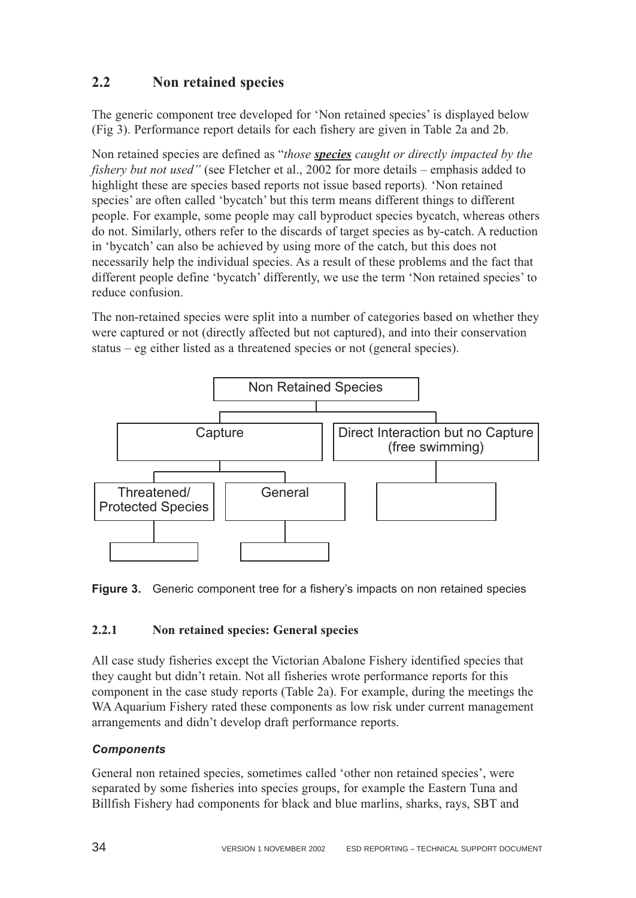## <span id="page-34-0"></span>**2.2 Non retained species**

The generic component tree developed for 'Non retained species' is displayed below (Fig 3). Performance report details for each fishery are given in Table 2a and 2b.

Non retained species are defined as "*those species caught or directly impacted by the fishery but not used"* (see Fletcher et al., 2002 for more details – emphasis added to highlight these are species based reports not issue based reports)*.* 'Non retained species' are often called 'bycatch' but this term means different things to different people. For example, some people may call byproduct species bycatch, whereas others do not. Similarly, others refer to the discards of target species as by-catch. A reduction in 'bycatch' can also be achieved by using more of the catch, but this does not necessarily help the individual species. As a result of these problems and the fact that different people define 'bycatch' differently, we use the term 'Non retained species' to reduce confusion.

The non-retained species were split into a number of categories based on whether they were captured or not (directly affected but not captured), and into their conservation status – eg either listed as a threatened species or not (general species).





#### **2.2.1 Non retained species: General species**

All case study fisheries except the Victorian Abalone Fishery identified species that they caught but didn't retain. Not all fisheries wrote performance reports for this component in the case study reports (Table 2a). For example, during the meetings the WA Aquarium Fishery rated these components as low risk under current management arrangements and didn't develop draft performance reports.

#### *Components*

General non retained species, sometimes called 'other non retained species', were separated by some fisheries into species groups, for example the Eastern Tuna and Billfish Fishery had components for black and blue marlins, sharks, rays, SBT and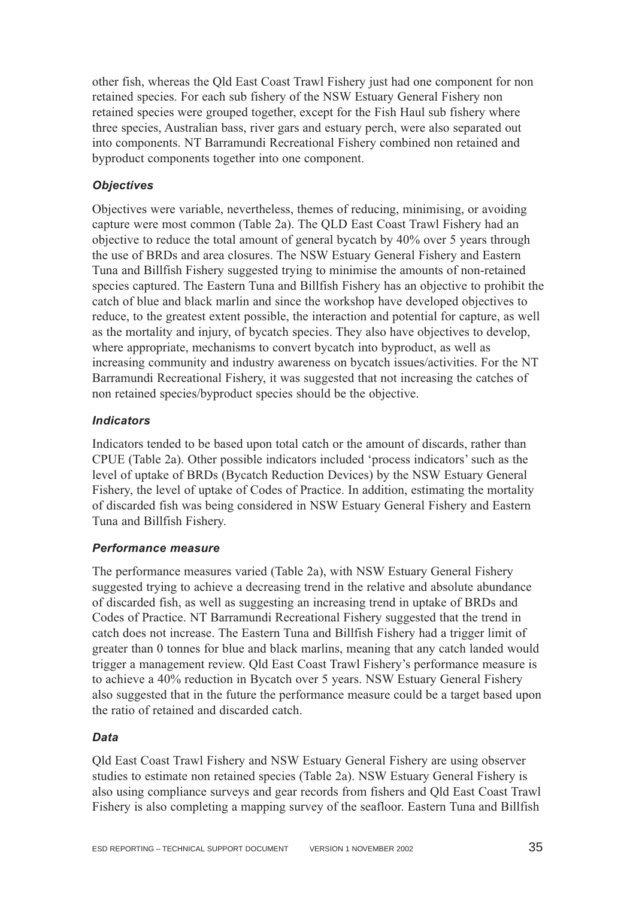other fish, whereas the Qld East Coast Trawl Fishery just had one component for non retained species. For each sub fishery of the NSW Estuary General Fishery non retained species were grouped together, except for the Fish Haul sub fishery where three species, Australian bass, river gars and estuary perch, were also separated out into components. NT Barramundi Recreational Fishery combined non retained and byproduct components together into one component.

#### *Objectives*

Objectives were variable, nevertheless, themes of reducing, minimising, or avoiding capture were most common (Table 2a). The QLD East Coast Trawl Fishery had an objective to reduce the total amount of general bycatch by 40% over 5 years through the use of BRDs and area closures. The NSW Estuary General Fishery and Eastern Tuna and Billfish Fishery suggested trying to minimise the amounts of non-retained species captured. The Eastern Tuna and Billfish Fishery has an objective to prohibit the catch of blue and black marlin and since the workshop have developed objectives to reduce, to the greatest extent possible, the interaction and potential for capture, as well as the mortality and injury, of bycatch species. They also have objectives to develop, where appropriate, mechanisms to convert bycatch into byproduct, as well as increasing community and industry awareness on bycatch issues/activities. For the NT Barramundi Recreational Fishery, it was suggested that not increasing the catches of non retained species/byproduct species should be the objective.

#### *Indicators*

Indicators tended to be based upon total catch or the amount of discards, rather than CPUE (Table 2a). Other possible indicators included 'process indicators' such as the level of uptake of BRDs (Bycatch Reduction Devices) by the NSW Estuary General Fishery, the level of uptake of Codes of Practice. In addition, estimating the mortality of discarded fish was being considered in NSW Estuary General Fishery and Eastern Tuna and Billfish Fishery.

#### *Performance measure*

The performance measures varied (Table 2a), with NSW Estuary General Fishery suggested trying to achieve a decreasing trend in the relative and absolute abundance of discarded fish, as well as suggesting an increasing trend in uptake of BRDs and Codes of Practice. NT Barramundi Recreational Fishery suggested that the trend in catch does not increase. The Eastern Tuna and Billfish Fishery had a trigger limit of greater than 0 tonnes for blue and black marlins, meaning that any catch landed would trigger a management review. Qld East Coast Trawl Fishery's performance measure is to achieve a 40% reduction in Bycatch over 5 years. NSW Estuary General Fishery also suggested that in the future the performance measure could be a target based upon the ratio of retained and discarded catch.

#### *Data*

Qld East Coast Trawl Fishery and NSW Estuary General Fishery are using observer studies to estimate non retained species (Table 2a). NSW Estuary General Fishery is also using compliance surveys and gear records from fishers and Qld East Coast Trawl Fishery is also completing a mapping survey of the seafloor. Eastern Tuna and Billfish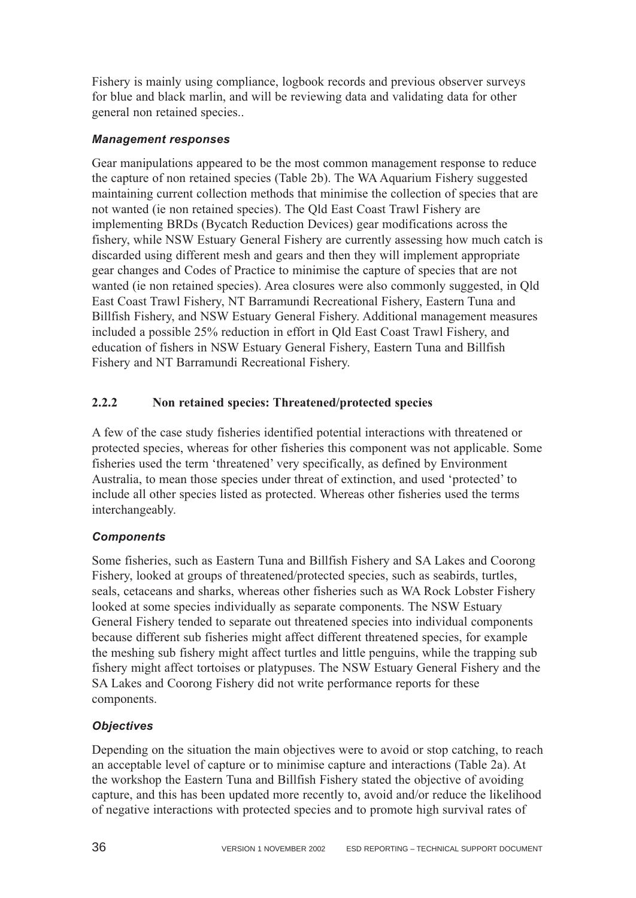Fishery is mainly using compliance, logbook records and previous observer surveys for blue and black marlin, and will be reviewing data and validating data for other general non retained species..

### *Management responses*

Gear manipulations appeared to be the most common management response to reduce the capture of non retained species (Table 2b). The WA Aquarium Fishery suggested maintaining current collection methods that minimise the collection of species that are not wanted (ie non retained species). The Qld East Coast Trawl Fishery are implementing BRDs (Bycatch Reduction Devices) gear modifications across the fishery, while NSW Estuary General Fishery are currently assessing how much catch is discarded using different mesh and gears and then they will implement appropriate gear changes and Codes of Practice to minimise the capture of species that are not wanted (ie non retained species). Area closures were also commonly suggested, in Qld East Coast Trawl Fishery, NT Barramundi Recreational Fishery, Eastern Tuna and Billfish Fishery, and NSW Estuary General Fishery. Additional management measures included a possible 25% reduction in effort in Qld East Coast Trawl Fishery, and education of fishers in NSW Estuary General Fishery, Eastern Tuna and Billfish Fishery and NT Barramundi Recreational Fishery.

## **2.2.2 Non retained species: Threatened/protected species**

A few of the case study fisheries identified potential interactions with threatened or protected species, whereas for other fisheries this component was not applicable. Some fisheries used the term 'threatened' very specifically, as defined by Environment Australia, to mean those species under threat of extinction, and used 'protected' to include all other species listed as protected. Whereas other fisheries used the terms interchangeably.

## *Components*

Some fisheries, such as Eastern Tuna and Billfish Fishery and SA Lakes and Coorong Fishery, looked at groups of threatened/protected species, such as seabirds, turtles, seals, cetaceans and sharks, whereas other fisheries such as WA Rock Lobster Fishery looked at some species individually as separate components. The NSW Estuary General Fishery tended to separate out threatened species into individual components because different sub fisheries might affect different threatened species, for example the meshing sub fishery might affect turtles and little penguins, while the trapping sub fishery might affect tortoises or platypuses. The NSW Estuary General Fishery and the SA Lakes and Coorong Fishery did not write performance reports for these components.

## *Objectives*

Depending on the situation the main objectives were to avoid or stop catching, to reach an acceptable level of capture or to minimise capture and interactions (Table 2a). At the workshop the Eastern Tuna and Billfish Fishery stated the objective of avoiding capture, and this has been updated more recently to, avoid and/or reduce the likelihood of negative interactions with protected species and to promote high survival rates of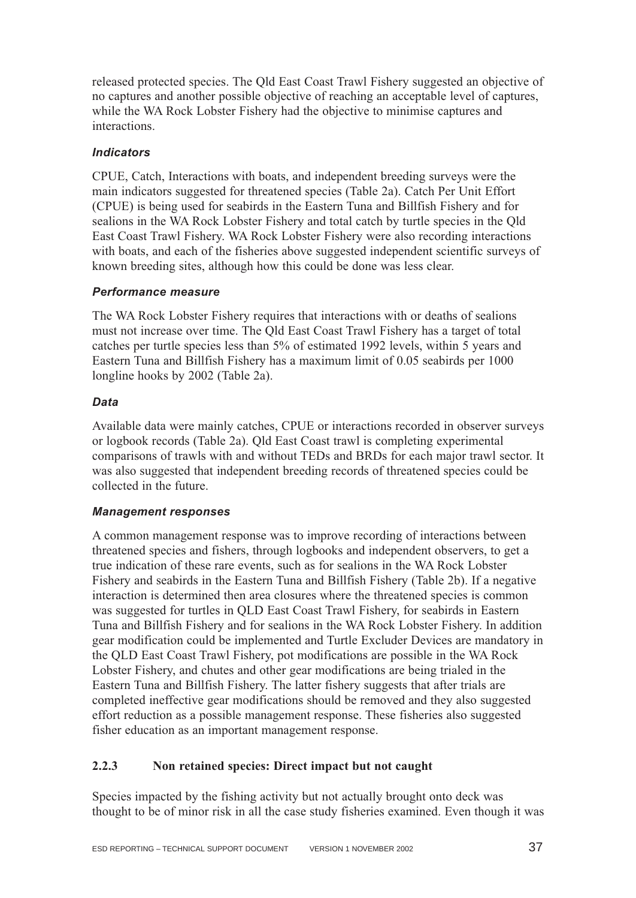released protected species. The Qld East Coast Trawl Fishery suggested an objective of no captures and another possible objective of reaching an acceptable level of captures, while the WA Rock Lobster Fishery had the objective to minimise captures and interactions.

## *Indicators*

CPUE, Catch, Interactions with boats, and independent breeding surveys were the main indicators suggested for threatened species (Table 2a). Catch Per Unit Effort (CPUE) is being used for seabirds in the Eastern Tuna and Billfish Fishery and for sealions in the WA Rock Lobster Fishery and total catch by turtle species in the Qld East Coast Trawl Fishery. WA Rock Lobster Fishery were also recording interactions with boats, and each of the fisheries above suggested independent scientific surveys of known breeding sites, although how this could be done was less clear.

## *Performance measure*

The WA Rock Lobster Fishery requires that interactions with or deaths of sealions must not increase over time. The Qld East Coast Trawl Fishery has a target of total catches per turtle species less than 5% of estimated 1992 levels, within 5 years and Eastern Tuna and Billfish Fishery has a maximum limit of 0.05 seabirds per 1000 longline hooks by 2002 (Table 2a).

### *Data*

Available data were mainly catches, CPUE or interactions recorded in observer surveys or logbook records (Table 2a). Qld East Coast trawl is completing experimental comparisons of trawls with and without TEDs and BRDs for each major trawl sector. It was also suggested that independent breeding records of threatened species could be collected in the future.

### *Management responses*

A common management response was to improve recording of interactions between threatened species and fishers, through logbooks and independent observers, to get a true indication of these rare events, such as for sealions in the WA Rock Lobster Fishery and seabirds in the Eastern Tuna and Billfish Fishery (Table 2b). If a negative interaction is determined then area closures where the threatened species is common was suggested for turtles in QLD East Coast Trawl Fishery, for seabirds in Eastern Tuna and Billfish Fishery and for sealions in the WA Rock Lobster Fishery. In addition gear modification could be implemented and Turtle Excluder Devices are mandatory in the QLD East Coast Trawl Fishery, pot modifications are possible in the WA Rock Lobster Fishery, and chutes and other gear modifications are being trialed in the Eastern Tuna and Billfish Fishery. The latter fishery suggests that after trials are completed ineffective gear modifications should be removed and they also suggested effort reduction as a possible management response. These fisheries also suggested fisher education as an important management response.

## **2.2.3 Non retained species: Direct impact but not caught**

Species impacted by the fishing activity but not actually brought onto deck was thought to be of minor risk in all the case study fisheries examined. Even though it was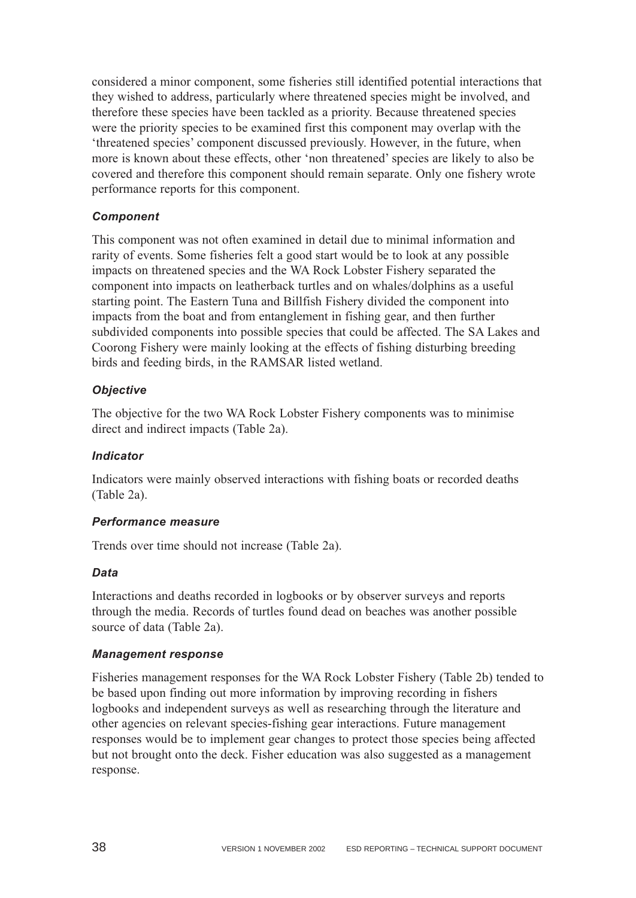considered a minor component, some fisheries still identified potential interactions that they wished to address, particularly where threatened species might be involved, and therefore these species have been tackled as a priority. Because threatened species were the priority species to be examined first this component may overlap with the 'threatened species' component discussed previously. However, in the future, when more is known about these effects, other 'non threatened' species are likely to also be covered and therefore this component should remain separate. Only one fishery wrote performance reports for this component.

### *Component*

This component was not often examined in detail due to minimal information and rarity of events. Some fisheries felt a good start would be to look at any possible impacts on threatened species and the WA Rock Lobster Fishery separated the component into impacts on leatherback turtles and on whales/dolphins as a useful starting point. The Eastern Tuna and Billfish Fishery divided the component into impacts from the boat and from entanglement in fishing gear, and then further subdivided components into possible species that could be affected. The SA Lakes and Coorong Fishery were mainly looking at the effects of fishing disturbing breeding birds and feeding birds, in the RAMSAR listed wetland.

### *Objective*

The objective for the two WA Rock Lobster Fishery components was to minimise direct and indirect impacts (Table 2a).

### *Indicator*

Indicators were mainly observed interactions with fishing boats or recorded deaths (Table 2a).

### *Performance measure*

Trends over time should not increase (Table 2a).

### *Data*

Interactions and deaths recorded in logbooks or by observer surveys and reports through the media. Records of turtles found dead on beaches was another possible source of data (Table 2a).

### *Management response*

Fisheries management responses for the WA Rock Lobster Fishery (Table 2b) tended to be based upon finding out more information by improving recording in fishers logbooks and independent surveys as well as researching through the literature and other agencies on relevant species-fishing gear interactions. Future management responses would be to implement gear changes to protect those species being affected but not brought onto the deck. Fisher education was also suggested as a management response.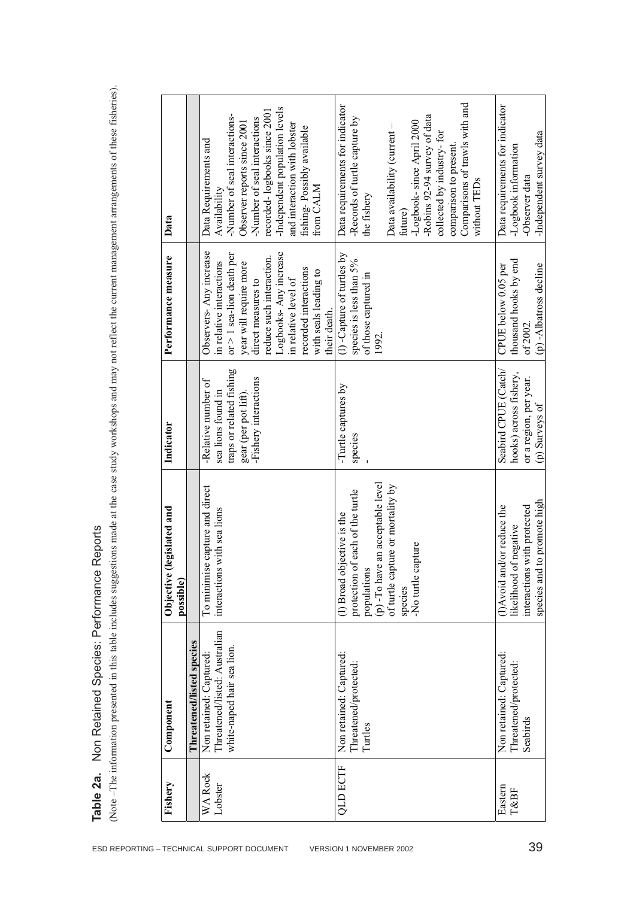**Table 2a.** Non Retained Species: Performance Reports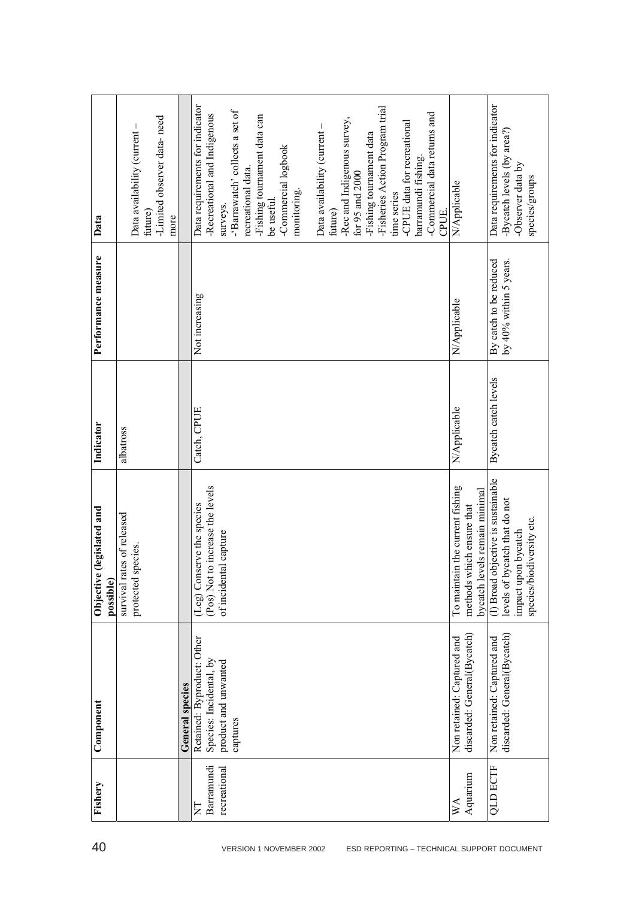|                                        | -Limited observer data-need<br>Data availability (current- |                 | Data requirements for indicator<br>-Fisheries Action Program trial<br>-'Barrawatch' collects a set of<br>-Commercial data returns and<br>-Recreational and Indigenous<br>-Fishing tournament data can<br>-Rec and Indigenous survey,<br>-CPUE data for recreational<br>Data availability (current-<br>-Fishing tournament data<br>-Commercial logbook<br>barramundi fishing.<br>recreational data.<br>for $95$ and $2000$<br>monitoring.<br>time series | N/Applicable                                                                                  | Data requirements for indicator<br>-Bycatch levels (by area?)<br>-Observer data by<br>species/groups                    |
|----------------------------------------|------------------------------------------------------------|-----------------|---------------------------------------------------------------------------------------------------------------------------------------------------------------------------------------------------------------------------------------------------------------------------------------------------------------------------------------------------------------------------------------------------------------------------------------------------------|-----------------------------------------------------------------------------------------------|-------------------------------------------------------------------------------------------------------------------------|
| Data                                   | future)<br>more                                            |                 | be useful.<br>surveys.<br>future)<br>CPUE.                                                                                                                                                                                                                                                                                                                                                                                                              |                                                                                               |                                                                                                                         |
| Performance measure                    |                                                            |                 | Not increasing                                                                                                                                                                                                                                                                                                                                                                                                                                          | N/Applicable                                                                                  | By catch to be reduced<br>by $40\%$ within 5 years.                                                                     |
| Indicator                              | albatross                                                  |                 | Catch, CPUE                                                                                                                                                                                                                                                                                                                                                                                                                                             | N/Applicable                                                                                  | Bycatch catch levels                                                                                                    |
| Objective (legislated and<br>possible) | survival rates of released<br>species.<br>protected        |                 | (Pos) Not to increase the levels<br>(Leg) Conserve the species<br>of incidental capture                                                                                                                                                                                                                                                                                                                                                                 | To maintain the current fishing<br>bycatch levels remain minimal<br>methods which ensure that | (1) Broad objective is sustainable<br>levels of bycatch that do not<br>species/biodiversity etc.<br>impact upon bycatch |
| Component                              |                                                            | General species | Retained: Byproduct: Other<br>Species: Incidental, by<br>product and unwanted<br>captures                                                                                                                                                                                                                                                                                                                                                               | discarded: General(Bycatch)<br>Non retained: Captured and                                     | discarded: General(Bycatch)<br>Non retained: Captured and                                                               |
| Fishery                                |                                                            |                 | Barramundi<br>recreational<br>E                                                                                                                                                                                                                                                                                                                                                                                                                         | Aquarium<br>$W_{A}$                                                                           | <b>QLD ECTF</b>                                                                                                         |
| 40                                     |                                                            |                 | ESD REPORTING - TECHNICAL SUPPORT DOCUMENT<br>VERSION 1 NOVEMBER 2002                                                                                                                                                                                                                                                                                                                                                                                   |                                                                                               |                                                                                                                         |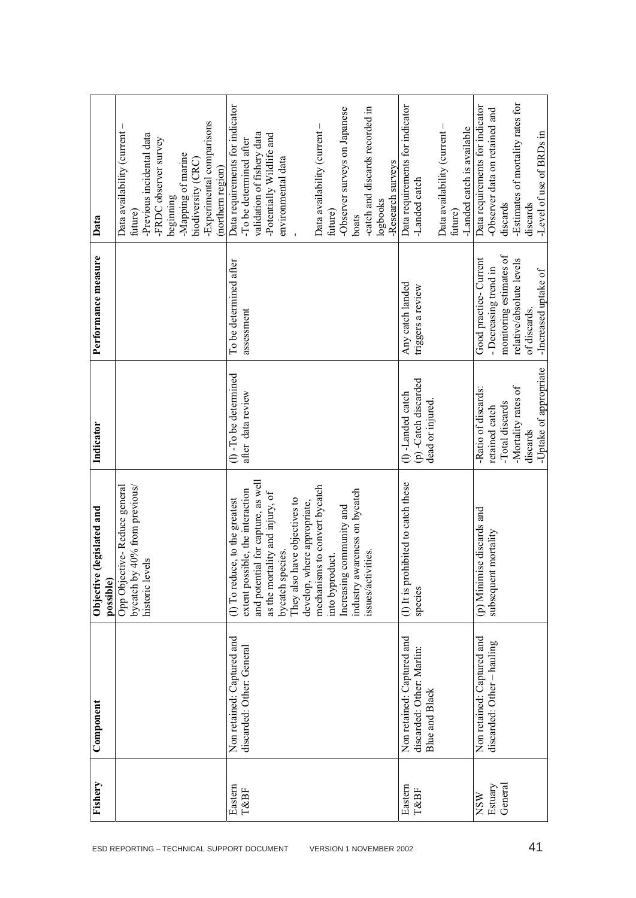|                                            | Fishery    | Component                                          | Objective (legislated and<br>possible)                        | Indicator                               | Performance measure      | Data                                  |
|--------------------------------------------|------------|----------------------------------------------------|---------------------------------------------------------------|-----------------------------------------|--------------------------|---------------------------------------|
| ESD REPORTING - TECHNICAL SUPPORT DOCUMENT |            |                                                    | Opp Objective-Reduce general<br>bycatch by 40% from previous/ |                                         |                          | Data availability (current<br>future) |
|                                            |            |                                                    | historic levels                                               |                                         |                          | -Previous incidental data             |
|                                            |            |                                                    |                                                               |                                         |                          | -FRDC observer survey                 |
|                                            |            |                                                    |                                                               |                                         |                          | beginning                             |
|                                            |            |                                                    |                                                               |                                         |                          | -Mapping of marine                    |
|                                            |            |                                                    |                                                               |                                         |                          | biodiversity (CRC)                    |
|                                            |            |                                                    |                                                               |                                         |                          | -Experimental comparisons             |
|                                            |            |                                                    |                                                               |                                         |                          | (northern region)                     |
|                                            | Eastern    | Non retained: Captured and                         | (1) To reduce, to the greatest                                | $(1)$ -To be determined                 | To be determined after   | Data requirements for indicator       |
|                                            | T&BF       | discarded: Other: General                          | extent possible, the interaction                              | after data review                       | assessment               | -To be determined after               |
|                                            |            |                                                    | and potential for capture, as well                            |                                         |                          | validation of fishery data            |
|                                            |            |                                                    | as the mortality and injury, of                               |                                         |                          | -Potentially Wildlife and             |
|                                            |            |                                                    | bycatch species.                                              |                                         |                          | environmental data                    |
|                                            |            |                                                    | They also have objectives to                                  |                                         |                          |                                       |
|                                            |            |                                                    | develop, where appropriate,                                   |                                         |                          |                                       |
| VERSION 1 NOVEMBER 2002                    |            |                                                    | mechanisms to convert bycatch                                 |                                         |                          | Data availability (current-           |
|                                            |            |                                                    | into byproduct.                                               |                                         |                          | future)                               |
|                                            |            |                                                    | Increasing community and                                      |                                         |                          | -Observer surveys on Japanese         |
|                                            |            |                                                    | industry awareness on bycatch                                 |                                         |                          | boats                                 |
|                                            |            |                                                    | issues/activities.                                            |                                         |                          | -catch and discards recorded in       |
|                                            |            |                                                    |                                                               |                                         |                          | logbooks                              |
|                                            |            |                                                    |                                                               |                                         |                          | -Research surveys                     |
|                                            | Eastern    | Non retained: Captured and                         | ohibited to catch these<br>$(1)$ It is pr                     | (I)-Landed catch                        | Any catch landed         | Data requirements for indicator       |
|                                            | T&BF       | discarded: Other: Marlin:<br><b>Blue and Black</b> | species                                                       | (p) -Catch discarded<br>dead or injured | triggers a review        | -Landed catch                         |
|                                            |            |                                                    |                                                               |                                         |                          | Data availability (current-           |
|                                            |            |                                                    |                                                               |                                         |                          | future)                               |
|                                            |            |                                                    |                                                               |                                         |                          | -Landed catch is available            |
|                                            |            |                                                    |                                                               |                                         |                          |                                       |
|                                            | <b>NSW</b> | Non retained: Captured and                         | (p) Minimise discards and                                     | -Ratio of discards:                     | Good practice-Current    | Data requirements for indicator       |
|                                            | Estuary    | discarded: Other - hauling                         | subsequent mortality                                          | retained catch                          | - Decreasing trend in    | -Observer data on retained and        |
|                                            | General    |                                                    |                                                               | -Total discards                         | monitoring estimates of  | discards                              |
|                                            |            |                                                    |                                                               | -Mortality rates of                     | relative/absolute levels | -Estimates of mortality rates for     |
| 41                                         |            |                                                    |                                                               | discards                                | of discards.             | discards                              |
|                                            |            |                                                    |                                                               | Uptake of appropriate                   | -Increased uptake of     | -Level of use of BRDs in              |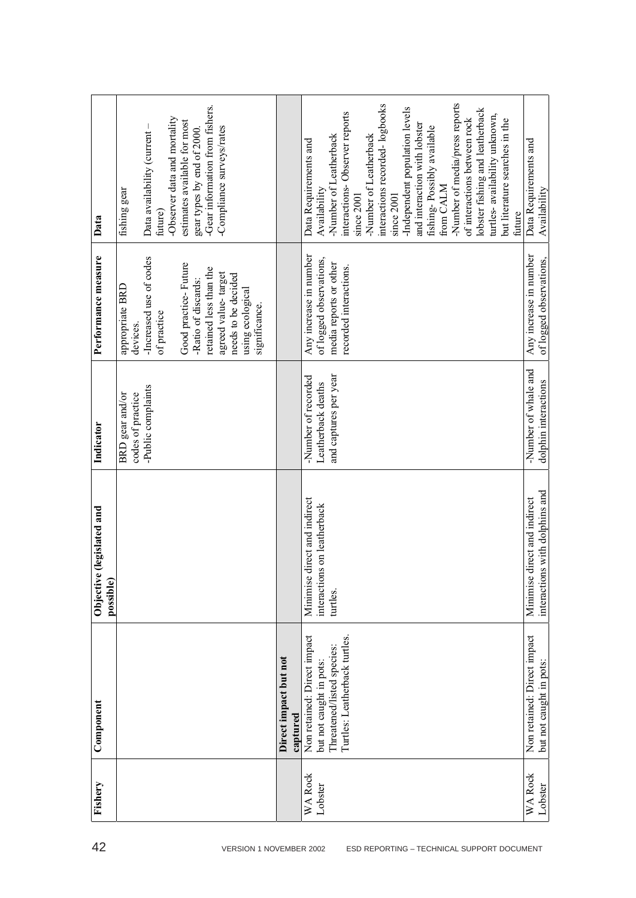|                           | -Gear information from fishers.                                                                                                                                                                                                   |                                   | -Number of media/press reports<br>interactions recorded-logbooks<br>-Independent population levels<br>lobster fishing and leatherback<br>interactions-Observer reports<br>turtles-availability unknown,                                                                      |                                                                   |
|---------------------------|-----------------------------------------------------------------------------------------------------------------------------------------------------------------------------------------------------------------------------------|-----------------------------------|------------------------------------------------------------------------------------------------------------------------------------------------------------------------------------------------------------------------------------------------------------------------------|-------------------------------------------------------------------|
| Data                      | -Observer data and mortality<br>estimates available for most<br>Data availability (current-<br>-Compliance surveys/rates<br>gear types by end of 2000.<br>fishing gear<br>future)                                                 |                                   | of interactions between rock<br>but literature searches in the<br>and interaction with lobster<br>fishing-Possibly available<br>-Number of Leatherback<br>-Number of Leatherback<br>Data Requirements and<br>from CALM<br>Availability<br>since 2001<br>since 2001<br>future | Data Requirements and<br>Availability                             |
| Performance measure       | -Increased use of codes<br>Good practice-Future<br>retained less than the<br>agreed value-target<br>needs to be decided<br>-Ratio of discards:<br>appropriate BRD<br>using ecological<br>significance.<br>of practice<br>devices. |                                   | Any increase in number<br>of logged observations,<br>media reports or other<br>recorded interactions.                                                                                                                                                                        | Any increase in number<br>of logged observations,                 |
| Indicator                 | -Public complaints<br>codes of practice<br>BRD gear and/or                                                                                                                                                                        |                                   | and captures per year<br>-Number of recorded<br>Leatherback deaths                                                                                                                                                                                                           | -Number of whale and<br>dolphin interactions                      |
| Objective (legislated and | possible)                                                                                                                                                                                                                         |                                   | direct and indirect<br>interactions on leatherback<br>Minimise<br>turtles.                                                                                                                                                                                                   | interactions with dolphins and<br>direct and indirect<br>Minimise |
| Component                 |                                                                                                                                                                                                                                   | Direct impact but not<br>captured | Non retained: Direct impact<br>Turtles: Leatherback turtles.<br>Threatened/listed species:<br>but not caught in pots:                                                                                                                                                        | Non retained: Direct impact<br>but not caught in pots:            |
| Fishery                   |                                                                                                                                                                                                                                   |                                   | <b>WA Rock</b><br>Lobster                                                                                                                                                                                                                                                    | <b>WA Rock</b><br>Lobster                                         |
| 42                        | VERSION 1 NOVEMBER 2002                                                                                                                                                                                                           |                                   | ESD REPORTING - TECHNICAL SUPPORT DOCUMENT                                                                                                                                                                                                                                   |                                                                   |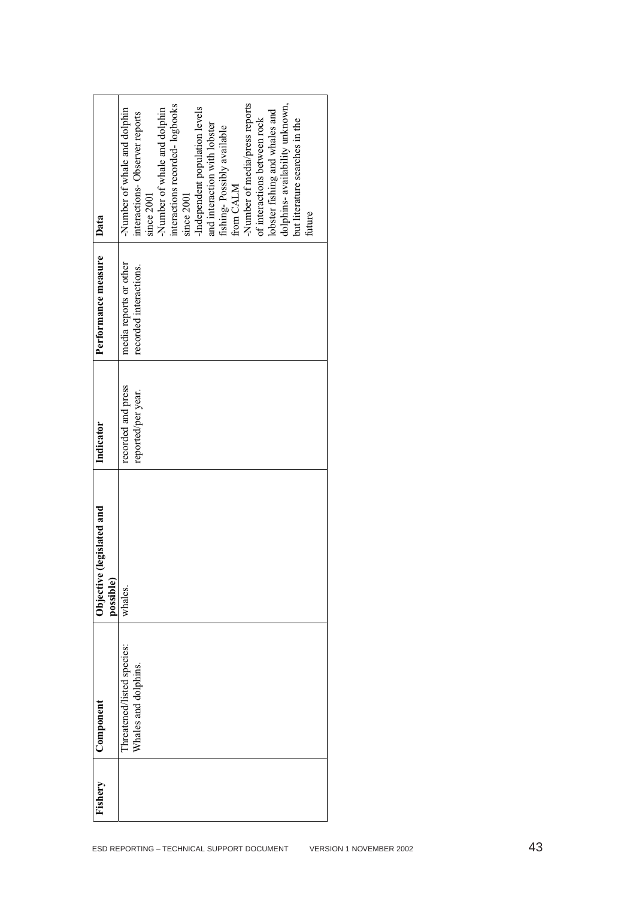| Data                                      | -Number of media/press reports<br>dolphins- availability unknown,<br>interactions recorded-logbooks<br>-Independent population levels<br>-Number of whale and dolphin<br>-Number of whale and dolphin<br>lobster fishing and whales and<br>interactions-Observer reports<br>of interactions between rock<br>but literature searches in the<br>and interaction with lobster<br>fishing-Possibly available<br>from CALM<br>since 2001<br>since 2001<br>future |                         |
|-------------------------------------------|-------------------------------------------------------------------------------------------------------------------------------------------------------------------------------------------------------------------------------------------------------------------------------------------------------------------------------------------------------------------------------------------------------------------------------------------------------------|-------------------------|
| Performance measure                       | media reports or other<br>recorded interactions.                                                                                                                                                                                                                                                                                                                                                                                                            |                         |
| Indicator                                 | recorded and press<br>reported/per year.                                                                                                                                                                                                                                                                                                                                                                                                                    |                         |
| (legislated and<br>Objective<br>possible) | whales.                                                                                                                                                                                                                                                                                                                                                                                                                                                     |                         |
| Component                                 | Threatened/listed species:<br>Whales and dolphins.                                                                                                                                                                                                                                                                                                                                                                                                          |                         |
| Fishery                                   |                                                                                                                                                                                                                                                                                                                                                                                                                                                             |                         |
|                                           | ESD REPORTING - TECHNICAL SUPPORT DOCUMENT                                                                                                                                                                                                                                                                                                                                                                                                                  | VERSION 1 NOVEMBER 2002 |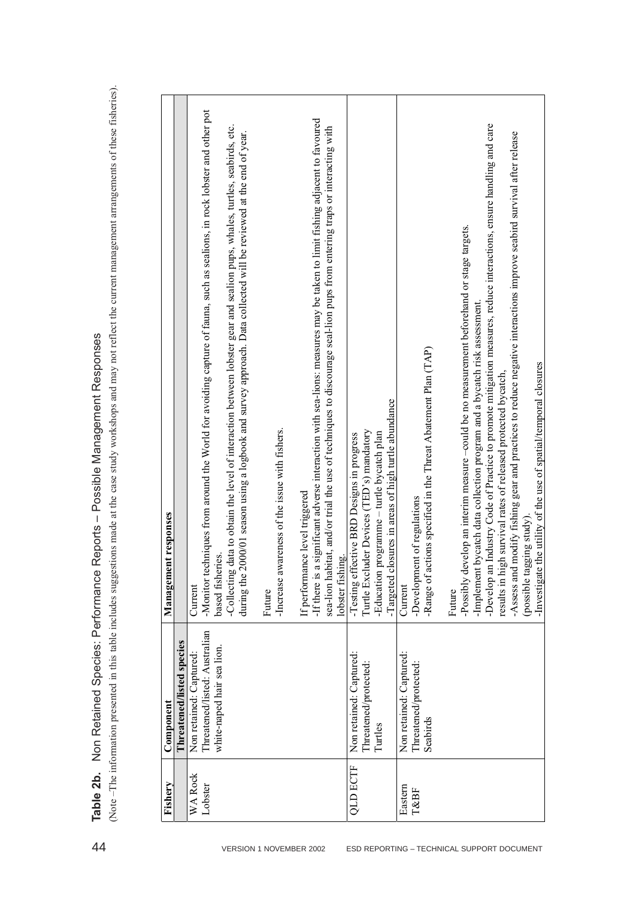| l<br>I                                                                                                                                                                                                                                                                                                                              |
|-------------------------------------------------------------------------------------------------------------------------------------------------------------------------------------------------------------------------------------------------------------------------------------------------------------------------------------|
| 2<br>2<br>2<br>2<br>l<br>I                                                                                                                                                                                                                                                                                                          |
| $\vdots$<br>I                                                                                                                                                                                                                                                                                                                       |
|                                                                                                                                                                                                                                                                                                                                     |
| $\begin{bmatrix} 1 & 1 & 1 \\ 1 & 1 & 1 \\ 1 & 1 & 1 \\ 1 & 1 & 1 \\ 1 & 1 & 1 \\ 1 & 1 & 1 \\ 1 & 1 & 1 \\ 1 & 1 & 1 \\ 1 & 1 & 1 \\ 1 & 1 & 1 \\ 1 & 1 & 1 \\ 1 & 1 & 1 \\ 1 & 1 & 1 \\ 1 & 1 & 1 \\ 1 & 1 & 1 & 1 \\ 1 & 1 & 1 & 1 \\ 1 & 1 & 1 & 1 \\ 1 & 1 & 1 & 1 \\ 1 & 1 & 1 & 1 \\ 1 & 1 & 1 & 1 \\ 1 & 1 & 1 & 1 \\ 1 & $ |
| $\ddot{\phantom{a}}$<br>$\overline{\mathbf{S}}$                                                                                                                                                                                                                                                                                     |
| ֦֧֦֧֦֧֦֧֦֧֦֧֦֧֦֧֦֧֧֦֧֦֧֧֧֦֧֧֦֧֦֧֧֦֧֧֧֧֦֧֧֧֧֧֧֦֧֧֦֧֦֧֦֧֧֦֧֧֦֧֡֕֓֓֓֓֓֓֓֓֓֓֓֓֓֓֓֓<br>ĺ<br>ı                                                                                                                                                                                                                                            |

|                                                                                                                                                                                                                                 | 2000/01 season using a logbook and survey approach. Data collected will be reviewed at the end of year.<br>evelop an interim measure-could be no measurement beforehand or stage targets.<br>-Implement bycatch data collection program and a bycatch risk assessment<br>-Range of actions specified in the Threat Abatement Plan (TAP)<br>results in high survival rates of released protected bycatch,<br>closures in areas of high turtle abundance<br>-Increase awareness of the issue with fishers.<br>Turtle Excluder Devices (TED's) mandatory<br>programme - turtle bycatch plan<br>-Testing effective BRD Designs in progress<br>If performance level triggered<br>-Development of regulations<br>ent responses<br>based fisheries.<br>lobster fishing.<br>-Education<br>-Possibly d<br>sea-lion ha<br>Managem<br>during the<br>-If there is<br>-Targeted<br>Current<br>Current<br>Future<br>Future | white-naped hair sea lion.<br>Non retained: Captured:<br>Non retained: Captured:<br>Non retained: Captured:<br>Threatened/protected:<br>Threatened/protected:<br>Component<br>Seabirds<br>Turtles |
|---------------------------------------------------------------------------------------------------------------------------------------------------------------------------------------------------------------------------------|--------------------------------------------------------------------------------------------------------------------------------------------------------------------------------------------------------------------------------------------------------------------------------------------------------------------------------------------------------------------------------------------------------------------------------------------------------------------------------------------------------------------------------------------------------------------------------------------------------------------------------------------------------------------------------------------------------------------------------------------------------------------------------------------------------------------------------------------------------------------------------------------------------------|---------------------------------------------------------------------------------------------------------------------------------------------------------------------------------------------------|
|                                                                                                                                                                                                                                 | -Assess and modify fishing gear and practices to reduce negative interactions improve seabird survival after release                                                                                                                                                                                                                                                                                                                                                                                                                                                                                                                                                                                                                                                                                                                                                                                         |                                                                                                                                                                                                   |
|                                                                                                                                                                                                                                 |                                                                                                                                                                                                                                                                                                                                                                                                                                                                                                                                                                                                                                                                                                                                                                                                                                                                                                              |                                                                                                                                                                                                   |
| -Develop an Industry Code of Practice to promote mitigation measures, reduce interactions, ensure handling and care                                                                                                             |                                                                                                                                                                                                                                                                                                                                                                                                                                                                                                                                                                                                                                                                                                                                                                                                                                                                                                              |                                                                                                                                                                                                   |
|                                                                                                                                                                                                                                 |                                                                                                                                                                                                                                                                                                                                                                                                                                                                                                                                                                                                                                                                                                                                                                                                                                                                                                              |                                                                                                                                                                                                   |
|                                                                                                                                                                                                                                 |                                                                                                                                                                                                                                                                                                                                                                                                                                                                                                                                                                                                                                                                                                                                                                                                                                                                                                              |                                                                                                                                                                                                   |
|                                                                                                                                                                                                                                 |                                                                                                                                                                                                                                                                                                                                                                                                                                                                                                                                                                                                                                                                                                                                                                                                                                                                                                              |                                                                                                                                                                                                   |
|                                                                                                                                                                                                                                 |                                                                                                                                                                                                                                                                                                                                                                                                                                                                                                                                                                                                                                                                                                                                                                                                                                                                                                              |                                                                                                                                                                                                   |
|                                                                                                                                                                                                                                 |                                                                                                                                                                                                                                                                                                                                                                                                                                                                                                                                                                                                                                                                                                                                                                                                                                                                                                              |                                                                                                                                                                                                   |
|                                                                                                                                                                                                                                 |                                                                                                                                                                                                                                                                                                                                                                                                                                                                                                                                                                                                                                                                                                                                                                                                                                                                                                              |                                                                                                                                                                                                   |
| a significant adverse interaction with sea-lions: measures may be taken to limit fishing adjacent to favoured<br>bitat, and/or trial the use of techniques to discourage seal-lion pups from entering traps or interacting with |                                                                                                                                                                                                                                                                                                                                                                                                                                                                                                                                                                                                                                                                                                                                                                                                                                                                                                              |                                                                                                                                                                                                   |
|                                                                                                                                                                                                                                 |                                                                                                                                                                                                                                                                                                                                                                                                                                                                                                                                                                                                                                                                                                                                                                                                                                                                                                              |                                                                                                                                                                                                   |
|                                                                                                                                                                                                                                 |                                                                                                                                                                                                                                                                                                                                                                                                                                                                                                                                                                                                                                                                                                                                                                                                                                                                                                              |                                                                                                                                                                                                   |
| -Collecting data to obtain the level of interaction between lobster gear and sealion pups, whales, turtles, seabirds, etc.                                                                                                      |                                                                                                                                                                                                                                                                                                                                                                                                                                                                                                                                                                                                                                                                                                                                                                                                                                                                                                              |                                                                                                                                                                                                   |
| -Monitor techniques from around the World for avoiding capture of fauna, such as sealions, in rock lobster and other pot<br>Threatened/listed: Australian<br><b>QLD ECTF</b><br>WA Rock<br>Lobster<br>Eastern<br>T&BF           |                                                                                                                                                                                                                                                                                                                                                                                                                                                                                                                                                                                                                                                                                                                                                                                                                                                                                                              |                                                                                                                                                                                                   |
| Threatened/listed species                                                                                                                                                                                                       |                                                                                                                                                                                                                                                                                                                                                                                                                                                                                                                                                                                                                                                                                                                                                                                                                                                                                                              |                                                                                                                                                                                                   |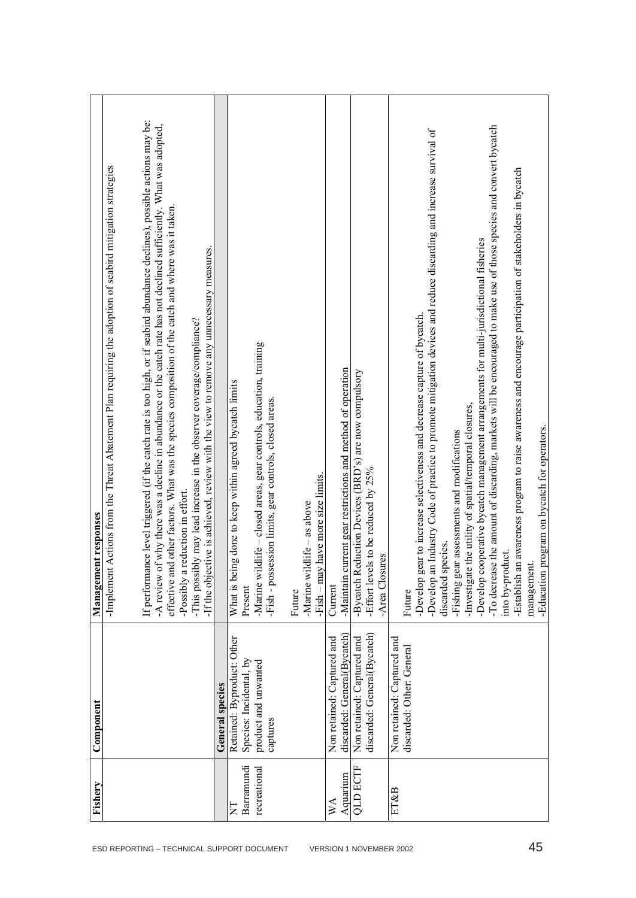|                                                      | Fishery                    | Component                                       | ent responses<br>Managem                                                                                                                                                                                                                           |
|------------------------------------------------------|----------------------------|-------------------------------------------------|----------------------------------------------------------------------------------------------------------------------------------------------------------------------------------------------------------------------------------------------------|
| ESD REPORTING - TECHNICAL SUPPORT DOCUMENT           |                            |                                                 | Implement Actions from the Threat Abatement Plan requiring the adoption of seabird mitigation strategies                                                                                                                                           |
|                                                      |                            |                                                 |                                                                                                                                                                                                                                                    |
|                                                      |                            |                                                 | If performance level triggered (if the catch rate is too high, or if seabird abundance declines), possible actions may be:<br>-A review of why there was a decline in abundance or the catch rate has not declined sufficiently. What was adopted, |
|                                                      |                            |                                                 | effective and other factors. What was the species composition of the catch and where was it taken                                                                                                                                                  |
|                                                      |                            |                                                 | -Possibly a reduction in effort.                                                                                                                                                                                                                   |
|                                                      |                            |                                                 | If the objective is achieved, review with the view to remove any unnecessary measures.<br>-This possibly may lead increase in the observer coverage/compliance?                                                                                    |
|                                                      |                            | General species                                 |                                                                                                                                                                                                                                                    |
| E                                                    |                            | Retained: Byproduct: Other                      | What is being done to keep within agreed bycatch limits                                                                                                                                                                                            |
|                                                      | Barramundi<br>recreational | Species: Incidental, by<br>product and unwanted | -Marine wildlife - closed areas, gear controls, education, training<br>Present                                                                                                                                                                     |
|                                                      |                            | captures                                        | -Fish - possession limits, gear controls, closed areas.                                                                                                                                                                                            |
|                                                      |                            |                                                 |                                                                                                                                                                                                                                                    |
|                                                      |                            |                                                 | Future                                                                                                                                                                                                                                             |
|                                                      |                            |                                                 | -Marine wildlife $-$ as above                                                                                                                                                                                                                      |
|                                                      |                            |                                                 | -Fish – may have more size limits.                                                                                                                                                                                                                 |
| $\mathbb{X}^{\mathsf{A}}$<br>VERSION 1 NOVEMBER 2002 |                            | Non retained: Captured and                      | Current                                                                                                                                                                                                                                            |
|                                                      | Aquarium                   | discarded: General(Bycatch)                     | current gear restrictions and method of operation<br>-Maintain                                                                                                                                                                                     |
|                                                      | <b>QLD ECTF</b>            | Non retained: Captured and                      | -Bycatch Reduction Devices (BRD's) are now compulsory                                                                                                                                                                                              |
|                                                      |                            | discarded: General(Bycatch)                     | els to be reduced by 25%<br>-Effort lev                                                                                                                                                                                                            |
|                                                      |                            |                                                 | -Area Closures                                                                                                                                                                                                                                     |
|                                                      | ET&B                       | Non retained: Captured and                      |                                                                                                                                                                                                                                                    |
|                                                      |                            | discarded: Other: General                       | Future                                                                                                                                                                                                                                             |
|                                                      |                            |                                                 | gear to increase selectiveness and decrease capture of bycatch.<br>-Develop                                                                                                                                                                        |
|                                                      |                            |                                                 | an Industry Code of practice to promote mitigation devices and reduce discarding and increase survival of<br>-Develop                                                                                                                              |
|                                                      |                            |                                                 | discarded species.                                                                                                                                                                                                                                 |
|                                                      |                            |                                                 | -Fishing gear assessments and modifications                                                                                                                                                                                                        |
|                                                      |                            |                                                 | e the utility of spatial/temporal closures,<br>-Investigat                                                                                                                                                                                         |
|                                                      |                            |                                                 | cooperative bycatch management arrangements for multi-jurisdictional fisheries<br>-Develop                                                                                                                                                         |
|                                                      |                            |                                                 | -To decrease the amount of discarding, markets will be encouraged to make use of those species and convert bycatch                                                                                                                                 |
|                                                      |                            |                                                 | into by-product.                                                                                                                                                                                                                                   |
|                                                      |                            |                                                 | an awareness program to raise awareness and encourage participation of stakeholders in bycatch<br>-Establish                                                                                                                                       |
| 45                                                   |                            |                                                 | management.                                                                                                                                                                                                                                        |
|                                                      |                            |                                                 | -Education program on bycatch for operators.                                                                                                                                                                                                       |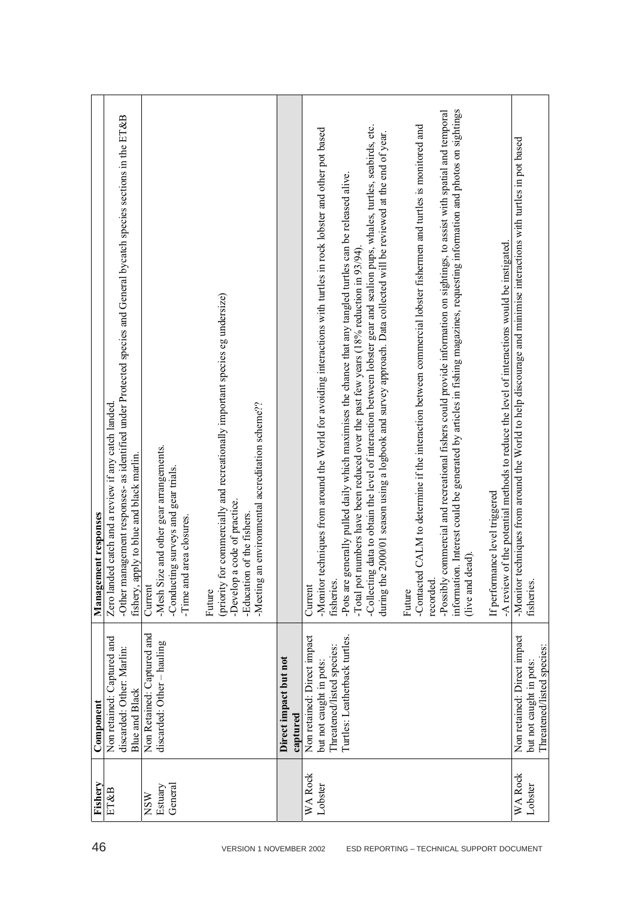| 46                                         | Fishery                          | Component                                                                                                             | Management responses                                                                                                                                                                                                                                                                                                                                                                                                                                                                                                                                                                                                                                                                                                                                                                                                                                                                                                                                                                                                                                                                                                                                                                             |
|--------------------------------------------|----------------------------------|-----------------------------------------------------------------------------------------------------------------------|--------------------------------------------------------------------------------------------------------------------------------------------------------------------------------------------------------------------------------------------------------------------------------------------------------------------------------------------------------------------------------------------------------------------------------------------------------------------------------------------------------------------------------------------------------------------------------------------------------------------------------------------------------------------------------------------------------------------------------------------------------------------------------------------------------------------------------------------------------------------------------------------------------------------------------------------------------------------------------------------------------------------------------------------------------------------------------------------------------------------------------------------------------------------------------------------------|
|                                            | ET&B                             | Non retained: Captured and<br>discarded: Other: Marlin:<br><b>Blue and Black</b>                                      | -Other management responses- as identified under Protected species and General bycatch species sections in the ET&B<br>Zero landed catch and a review if any catch landed<br>fishery, apply to blue and black marlin.                                                                                                                                                                                                                                                                                                                                                                                                                                                                                                                                                                                                                                                                                                                                                                                                                                                                                                                                                                            |
|                                            | General<br>Estuary<br><b>NSW</b> | Non Retained: Captured and<br>discarded: Other - hauling                                                              | -Mesh Size and other gear arrangements.<br>-Conducting surveys and gear trials.<br>area closures.<br>-Time and<br>Current                                                                                                                                                                                                                                                                                                                                                                                                                                                                                                                                                                                                                                                                                                                                                                                                                                                                                                                                                                                                                                                                        |
| VERSION 1 NOVEMBER 2002                    |                                  |                                                                                                                       | (priority for commercially and recreationally important species eg undersize)<br>an environmental accreditation scheme??<br>-Develop a code of practice.<br>-Education of the fishers.<br>Meeting a<br>Future                                                                                                                                                                                                                                                                                                                                                                                                                                                                                                                                                                                                                                                                                                                                                                                                                                                                                                                                                                                    |
|                                            |                                  | Direct impact but not<br>captured                                                                                     |                                                                                                                                                                                                                                                                                                                                                                                                                                                                                                                                                                                                                                                                                                                                                                                                                                                                                                                                                                                                                                                                                                                                                                                                  |
| ESD REPORTING - TECHNICAL SUPPORT DOCUMENT | WA Rock<br>Lobster               | Non retained: Direct impact<br>Turtles: Leatherback turtles.<br>Threatened/listed species:<br>but not caught in pots: | information. Interest could be generated by articles in fishing magazines, requesting information and photos on sightings<br>commercial and recreational fishers could provide information on sightings, to assist with spatial and temporal<br>-Collecting data to obtain the level of interaction between lobster gear and sealion pups, whales, turtles, seabirds, etc.<br>-Contacted CALM to determine if the interaction between commercial lobster fishermen and turtles is monitored and<br>echniques from around the World for avoiding interactions with turtles in rock lobster and other pot based<br>2000/01 season using a logbook and survey approach. Data collected will be reviewed at the end of year.<br>enerally pulled daily which maximises the chance that any tangled turtles can be released alive.<br>of the potential methods to reduce the level of interactions would be instigated.<br>numbers have been reduced over the past few years (18% reduction in 93/94).<br>If performance level triggered<br>lead).<br>$-Post$ are $g$<br>-Total pot<br>during the<br>$T =$ and d<br>-A review<br>-Monitor<br>-Possibly<br>fisheries.<br>recorded.<br>Current<br>Future |
|                                            | <b>WA Rock</b><br>Lobster        | Non retained: Direct impact<br>Threatened/listed species:<br>but not caught in pots:                                  | techniques from around the World to help discourage and minimise interactions with turtles in pot based<br>-Monitor<br>fisheries                                                                                                                                                                                                                                                                                                                                                                                                                                                                                                                                                                                                                                                                                                                                                                                                                                                                                                                                                                                                                                                                 |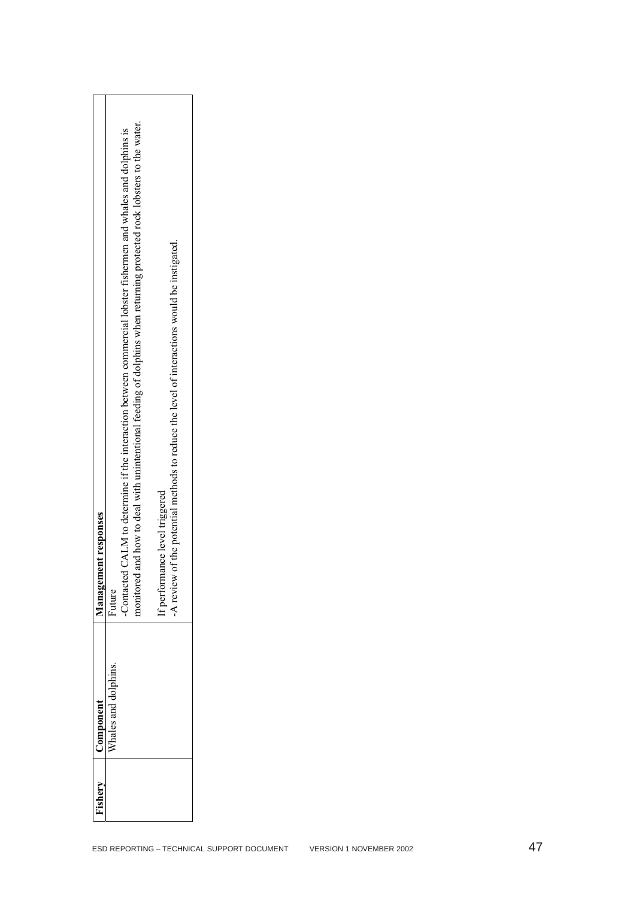| Fishery                                    | Component            | Management responses                                                                                                                                                                                                                                  |
|--------------------------------------------|----------------------|-------------------------------------------------------------------------------------------------------------------------------------------------------------------------------------------------------------------------------------------------------|
|                                            | Whales and dolphins. | and how to deal with unintentional feeding of dolphins when returning protected rock lobsters to the water.<br>-Contacted CALM to determine if the interaction between commercial lobster fishermen and whales and dolphins is<br>monitored<br>Future |
|                                            |                      | -A review of the potential methods to reduce the level of interactions would be instigated.<br>If performance level triggered                                                                                                                         |
| ESD REPORTING - TECHNICAL SUPPORT DOCUMENT |                      |                                                                                                                                                                                                                                                       |
| VERSION 1 NOVEMBER 2002                    |                      |                                                                                                                                                                                                                                                       |
|                                            |                      |                                                                                                                                                                                                                                                       |
| 47                                         |                      |                                                                                                                                                                                                                                                       |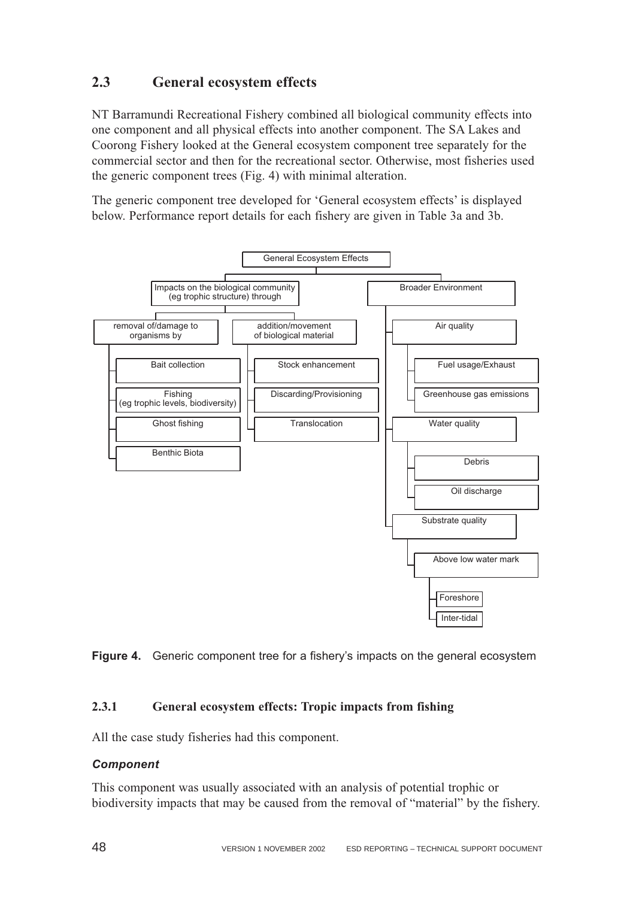# **2.3 General ecosystem effects**

NT Barramundi Recreational Fishery combined all biological community effects into one component and all physical effects into another component. The SA Lakes and Coorong Fishery looked at the General ecosystem component tree separately for the commercial sector and then for the recreational sector. Otherwise, most fisheries used the generic component trees (Fig. 4) with minimal alteration.

The generic component tree developed for 'General ecosystem effects' is displayed below. Performance report details for each fishery are given in Table 3a and 3b.





## **2.3.1 General ecosystem effects: Tropic impacts from fishing**

All the case study fisheries had this component.

## *Component*

This component was usually associated with an analysis of potential trophic or biodiversity impacts that may be caused from the removal of "material" by the fishery.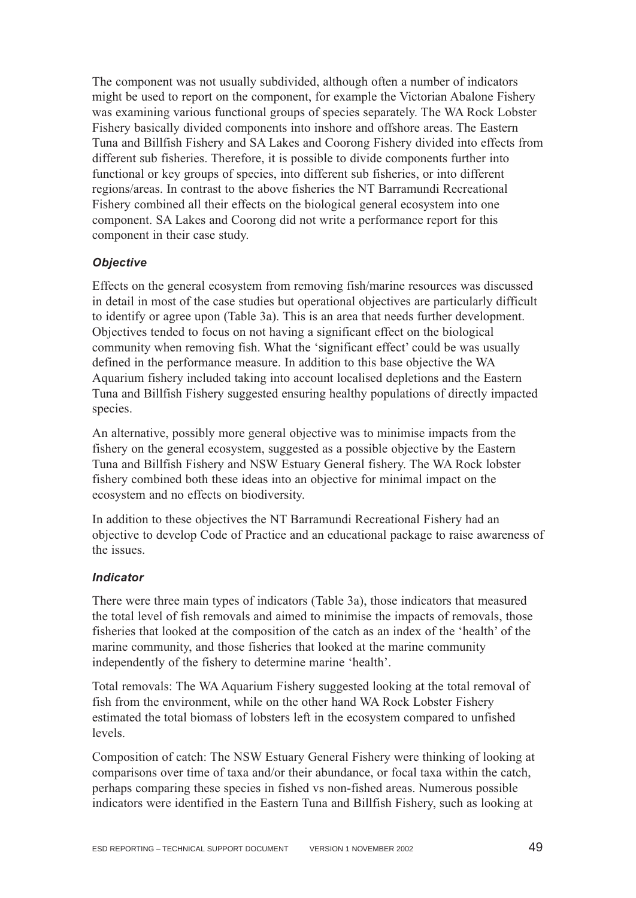The component was not usually subdivided, although often a number of indicators might be used to report on the component, for example the Victorian Abalone Fishery was examining various functional groups of species separately. The WA Rock Lobster Fishery basically divided components into inshore and offshore areas. The Eastern Tuna and Billfish Fishery and SA Lakes and Coorong Fishery divided into effects from different sub fisheries. Therefore, it is possible to divide components further into functional or key groups of species, into different sub fisheries, or into different regions/areas. In contrast to the above fisheries the NT Barramundi Recreational Fishery combined all their effects on the biological general ecosystem into one component. SA Lakes and Coorong did not write a performance report for this component in their case study.

## *Objective*

Effects on the general ecosystem from removing fish/marine resources was discussed in detail in most of the case studies but operational objectives are particularly difficult to identify or agree upon (Table 3a). This is an area that needs further development. Objectives tended to focus on not having a significant effect on the biological community when removing fish. What the 'significant effect' could be was usually defined in the performance measure. In addition to this base objective the WA Aquarium fishery included taking into account localised depletions and the Eastern Tuna and Billfish Fishery suggested ensuring healthy populations of directly impacted species.

An alternative, possibly more general objective was to minimise impacts from the fishery on the general ecosystem, suggested as a possible objective by the Eastern Tuna and Billfish Fishery and NSW Estuary General fishery. The WA Rock lobster fishery combined both these ideas into an objective for minimal impact on the ecosystem and no effects on biodiversity.

In addition to these objectives the NT Barramundi Recreational Fishery had an objective to develop Code of Practice and an educational package to raise awareness of the issues.

## *Indicator*

There were three main types of indicators (Table 3a), those indicators that measured the total level of fish removals and aimed to minimise the impacts of removals, those fisheries that looked at the composition of the catch as an index of the 'health' of the marine community, and those fisheries that looked at the marine community independently of the fishery to determine marine 'health'.

Total removals: The WA Aquarium Fishery suggested looking at the total removal of fish from the environment, while on the other hand WA Rock Lobster Fishery estimated the total biomass of lobsters left in the ecosystem compared to unfished levels.

Composition of catch: The NSW Estuary General Fishery were thinking of looking at comparisons over time of taxa and/or their abundance, or focal taxa within the catch, perhaps comparing these species in fished vs non-fished areas. Numerous possible indicators were identified in the Eastern Tuna and Billfish Fishery, such as looking at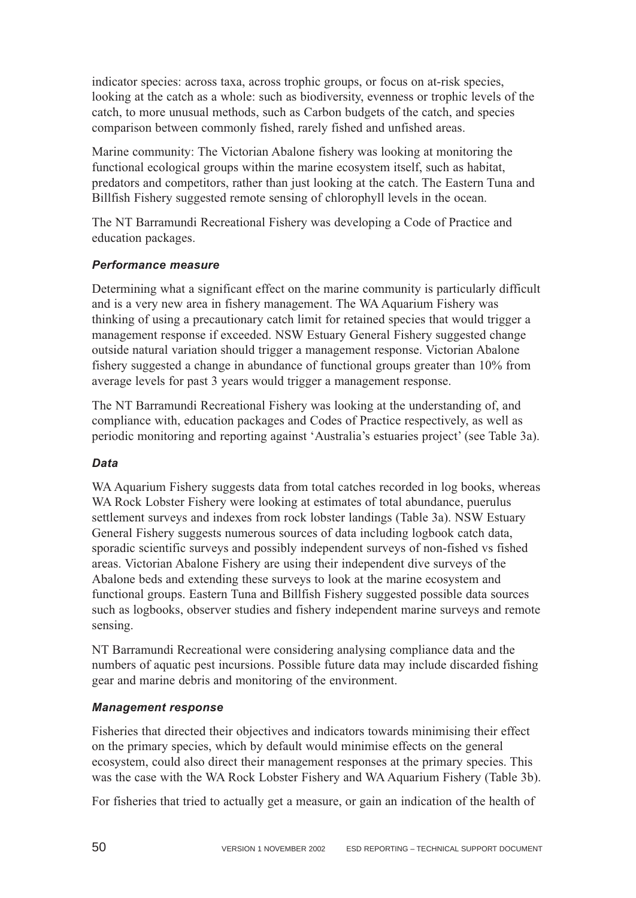indicator species: across taxa, across trophic groups, or focus on at-risk species, looking at the catch as a whole: such as biodiversity, evenness or trophic levels of the catch, to more unusual methods, such as Carbon budgets of the catch, and species comparison between commonly fished, rarely fished and unfished areas.

Marine community: The Victorian Abalone fishery was looking at monitoring the functional ecological groups within the marine ecosystem itself, such as habitat, predators and competitors, rather than just looking at the catch. The Eastern Tuna and Billfish Fishery suggested remote sensing of chlorophyll levels in the ocean.

The NT Barramundi Recreational Fishery was developing a Code of Practice and education packages.

## *Performance measure*

Determining what a significant effect on the marine community is particularly difficult and is a very new area in fishery management. The WA Aquarium Fishery was thinking of using a precautionary catch limit for retained species that would trigger a management response if exceeded. NSW Estuary General Fishery suggested change outside natural variation should trigger a management response. Victorian Abalone fishery suggested a change in abundance of functional groups greater than 10% from average levels for past 3 years would trigger a management response.

The NT Barramundi Recreational Fishery was looking at the understanding of, and compliance with, education packages and Codes of Practice respectively, as well as periodic monitoring and reporting against 'Australia's estuaries project' (see Table 3a).

## *Data*

WA Aquarium Fishery suggests data from total catches recorded in log books, whereas WA Rock Lobster Fishery were looking at estimates of total abundance, puerulus settlement surveys and indexes from rock lobster landings (Table 3a). NSW Estuary General Fishery suggests numerous sources of data including logbook catch data, sporadic scientific surveys and possibly independent surveys of non-fished vs fished areas. Victorian Abalone Fishery are using their independent dive surveys of the Abalone beds and extending these surveys to look at the marine ecosystem and functional groups. Eastern Tuna and Billfish Fishery suggested possible data sources such as logbooks, observer studies and fishery independent marine surveys and remote sensing.

NT Barramundi Recreational were considering analysing compliance data and the numbers of aquatic pest incursions. Possible future data may include discarded fishing gear and marine debris and monitoring of the environment.

## *Management response*

Fisheries that directed their objectives and indicators towards minimising their effect on the primary species, which by default would minimise effects on the general ecosystem, could also direct their management responses at the primary species. This was the case with the WA Rock Lobster Fishery and WA Aquarium Fishery (Table 3b).

For fisheries that tried to actually get a measure, or gain an indication of the health of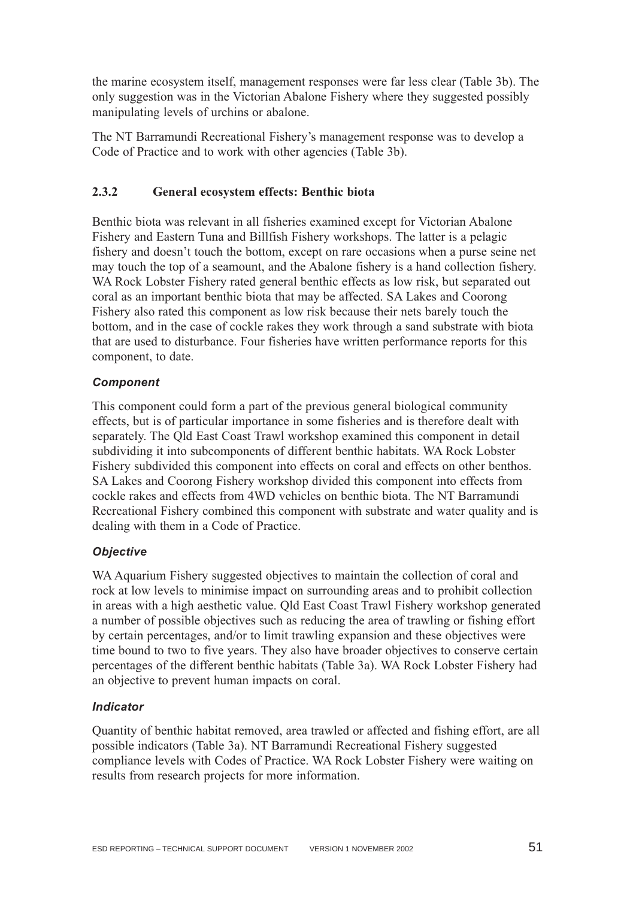the marine ecosystem itself, management responses were far less clear (Table 3b). The only suggestion was in the Victorian Abalone Fishery where they suggested possibly manipulating levels of urchins or abalone.

The NT Barramundi Recreational Fishery's management response was to develop a Code of Practice and to work with other agencies (Table 3b).

### **2.3.2 General ecosystem effects: Benthic biota**

Benthic biota was relevant in all fisheries examined except for Victorian Abalone Fishery and Eastern Tuna and Billfish Fishery workshops. The latter is a pelagic fishery and doesn't touch the bottom, except on rare occasions when a purse seine net may touch the top of a seamount, and the Abalone fishery is a hand collection fishery. WA Rock Lobster Fishery rated general benthic effects as low risk, but separated out coral as an important benthic biota that may be affected. SA Lakes and Coorong Fishery also rated this component as low risk because their nets barely touch the bottom, and in the case of cockle rakes they work through a sand substrate with biota that are used to disturbance. Four fisheries have written performance reports for this component, to date.

### *Component*

This component could form a part of the previous general biological community effects, but is of particular importance in some fisheries and is therefore dealt with separately. The Qld East Coast Trawl workshop examined this component in detail subdividing it into subcomponents of different benthic habitats. WA Rock Lobster Fishery subdivided this component into effects on coral and effects on other benthos. SA Lakes and Coorong Fishery workshop divided this component into effects from cockle rakes and effects from 4WD vehicles on benthic biota. The NT Barramundi Recreational Fishery combined this component with substrate and water quality and is dealing with them in a Code of Practice.

### *Objective*

WA Aquarium Fishery suggested objectives to maintain the collection of coral and rock at low levels to minimise impact on surrounding areas and to prohibit collection in areas with a high aesthetic value. Qld East Coast Trawl Fishery workshop generated a number of possible objectives such as reducing the area of trawling or fishing effort by certain percentages, and/or to limit trawling expansion and these objectives were time bound to two to five years. They also have broader objectives to conserve certain percentages of the different benthic habitats (Table 3a). WA Rock Lobster Fishery had an objective to prevent human impacts on coral.

### *Indicator*

Quantity of benthic habitat removed, area trawled or affected and fishing effort, are all possible indicators (Table 3a). NT Barramundi Recreational Fishery suggested compliance levels with Codes of Practice. WA Rock Lobster Fishery were waiting on results from research projects for more information.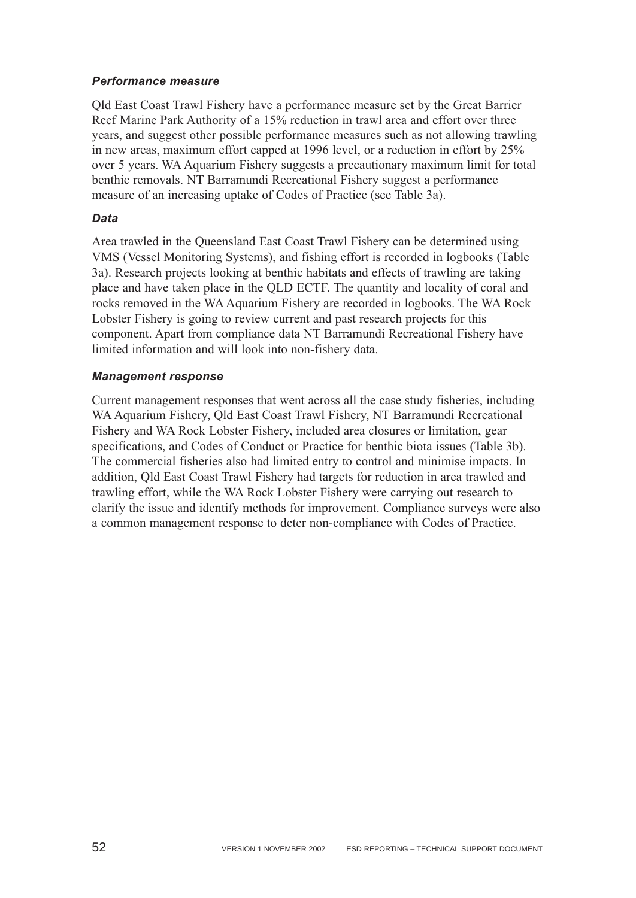### *Performance measure*

Qld East Coast Trawl Fishery have a performance measure set by the Great Barrier Reef Marine Park Authority of a 15% reduction in trawl area and effort over three years, and suggest other possible performance measures such as not allowing trawling in new areas, maximum effort capped at 1996 level, or a reduction in effort by 25% over 5 years. WA Aquarium Fishery suggests a precautionary maximum limit for total benthic removals. NT Barramundi Recreational Fishery suggest a performance measure of an increasing uptake of Codes of Practice (see Table 3a).

### *Data*

Area trawled in the Queensland East Coast Trawl Fishery can be determined using VMS (Vessel Monitoring Systems), and fishing effort is recorded in logbooks (Table 3a). Research projects looking at benthic habitats and effects of trawling are taking place and have taken place in the QLD ECTF. The quantity and locality of coral and rocks removed in the WA Aquarium Fishery are recorded in logbooks. The WA Rock Lobster Fishery is going to review current and past research projects for this component. Apart from compliance data NT Barramundi Recreational Fishery have limited information and will look into non-fishery data.

### *Management response*

Current management responses that went across all the case study fisheries, including WA Aquarium Fishery, Qld East Coast Trawl Fishery, NT Barramundi Recreational Fishery and WA Rock Lobster Fishery, included area closures or limitation, gear specifications, and Codes of Conduct or Practice for benthic biota issues (Table 3b). The commercial fisheries also had limited entry to control and minimise impacts. In addition, Qld East Coast Trawl Fishery had targets for reduction in area trawled and trawling effort, while the WA Rock Lobster Fishery were carrying out research to clarify the issue and identify methods for improvement. Compliance surveys were also a common management response to deter non-compliance with Codes of Practice.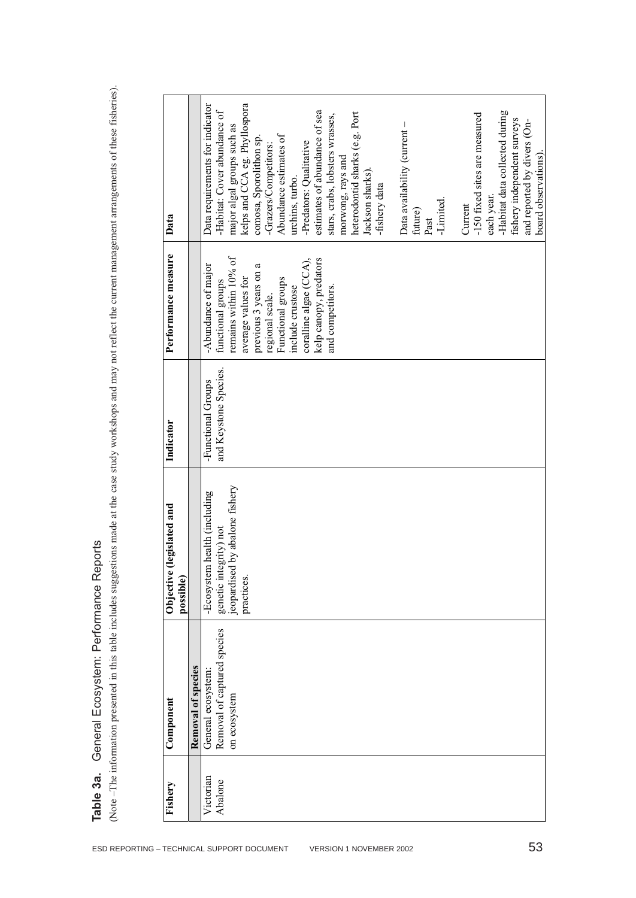**Table 3a.** General Ecosystem: Performance Reports

|                                        | Data requirements for indicator<br>kelps and CCA eg. Phyllospora<br>-Habitat: Cover abundance of<br>estimates of abundance of sea<br>-Habitat data collected during<br>heterodontid sharks (e.g. Port<br>-150 fixed sites are measured<br>stars, crabs, lobsters wrasses,<br>Data availability (current -<br>major algal groups such as<br>Abundance estimates of<br>comosa, Sporolithon sp.<br>-Predators: Qualitative<br>-Grazers/Competitors:<br>morwong, rays and | fishery independent surveys<br>and reported by divers (On- |
|----------------------------------------|-----------------------------------------------------------------------------------------------------------------------------------------------------------------------------------------------------------------------------------------------------------------------------------------------------------------------------------------------------------------------------------------------------------------------------------------------------------------------|------------------------------------------------------------|
| Data                                   | Jackson sharks).<br>urchins, turbo.<br>-fishery data<br>each year.<br>-Limited.<br>Current<br>future)<br>Past                                                                                                                                                                                                                                                                                                                                                         |                                                            |
| Performance measure                    | remains within 10% of<br>kelp canopy, predators<br>coralline algae (CCA),<br>previous 3 years on a<br>-Abundance of major<br>average values for<br>Functional groups<br>functional groups<br>include crustose<br>and competitors.<br>regional scale.                                                                                                                                                                                                                  |                                                            |
| Indicator                              | and Keystone Species.<br>-Functional Groups                                                                                                                                                                                                                                                                                                                                                                                                                           |                                                            |
| Objective (legislated and<br>possible) | jeopardised by abalone fishery<br>-Ecosystem health (including<br>tegrity) not<br>genetic in<br>practices.                                                                                                                                                                                                                                                                                                                                                            |                                                            |
| Component                              | Removal of captured species<br>Removal of species<br>General ecosystem<br>on ecosystem                                                                                                                                                                                                                                                                                                                                                                                |                                                            |
| Fishery                                | Victorian<br>Abalone                                                                                                                                                                                                                                                                                                                                                                                                                                                  |                                                            |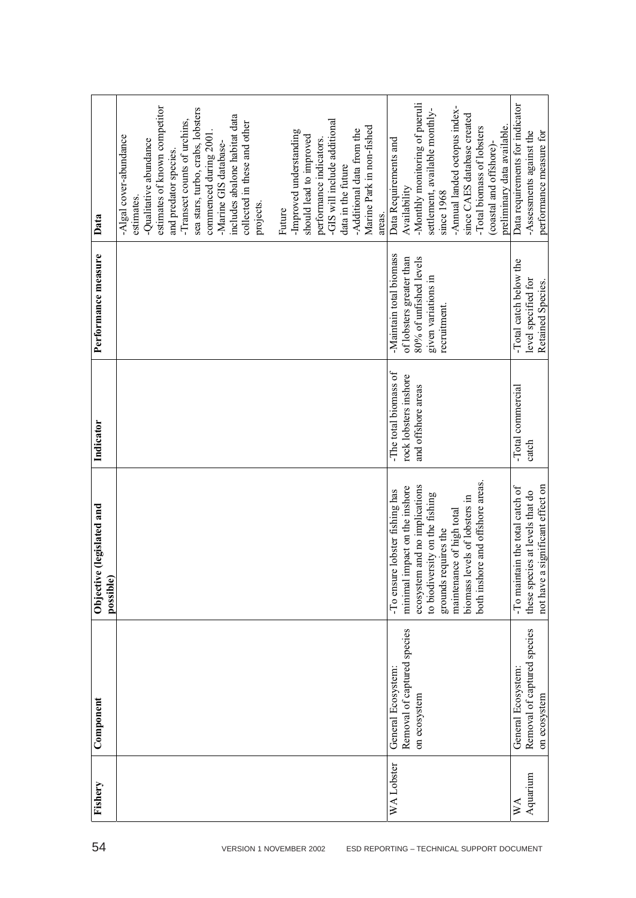|                                        | estimates of known competitor<br>sea stars, turbo, crabs, lobsters<br>includes abalone habitat data<br>-Transect counts of urchins,<br>-GIS will include additional<br>collected in these and other<br>Marine Park in non-fished<br>-Additional data from the<br>-Improved understanding<br>commenced during 2001<br>should lead to improved<br>-Algal cover-abundance<br>-Qualitative abundance<br>performance indicators.<br>-Marine GIS database- | -Monthly monitoring of pueruli<br>-Annual landed octopus index-<br>settlement, available monthly-<br>since CAES database created<br>preliminary data available.<br>-Total biomass of lobsters<br>Data Requirements and<br>(coastal and offshore)-                             | Data requirements for indicator<br>performance measure for<br>-Assessments against the                    |
|----------------------------------------|------------------------------------------------------------------------------------------------------------------------------------------------------------------------------------------------------------------------------------------------------------------------------------------------------------------------------------------------------------------------------------------------------------------------------------------------------|-------------------------------------------------------------------------------------------------------------------------------------------------------------------------------------------------------------------------------------------------------------------------------|-----------------------------------------------------------------------------------------------------------|
| Data                                   | and predator species.<br>data in the future<br>estimates.<br>projects.<br>Future<br>areas.                                                                                                                                                                                                                                                                                                                                                           | Availability<br>since 1968                                                                                                                                                                                                                                                    |                                                                                                           |
| Performance measure                    |                                                                                                                                                                                                                                                                                                                                                                                                                                                      | -Maintain total biomass<br>80% of unfished levels<br>of lobsters greater than<br>given variations in<br>recruitment.                                                                                                                                                          | -Total catch below the<br>level specified for<br>Retained Species.                                        |
| Indicator                              |                                                                                                                                                                                                                                                                                                                                                                                                                                                      | -The total biomass of<br>rock lobsters inshore<br>and offshore areas                                                                                                                                                                                                          | -Total commercial<br>catch                                                                                |
| Objective (legislated and<br>possible) |                                                                                                                                                                                                                                                                                                                                                                                                                                                      | ore and offshore areas.<br>ecosystem and no implications<br>impact on the inshore<br>re lobster fishing has<br>to biodiversity on the fishing<br>levels of lobsters in<br>maintenance of high total<br>requires the<br>both inst<br>grounds<br>-To ensu<br>biomass<br>minimal | a significant effect on<br>-To maintain the total catch of<br>these species at levels that do<br>not have |
| ${\bf Component}$                      |                                                                                                                                                                                                                                                                                                                                                                                                                                                      | Removal of captured species<br>General Ecosystem:<br>on ecosystem                                                                                                                                                                                                             | Removal of captured species<br>General Ecosystem:<br>on ecosystem                                         |
| Fishery                                |                                                                                                                                                                                                                                                                                                                                                                                                                                                      | WA Lobster                                                                                                                                                                                                                                                                    | Aquarium<br>$W_{\mathcal{A}}$                                                                             |
| 54                                     | VERSION 1 NOVEMBER 2002                                                                                                                                                                                                                                                                                                                                                                                                                              | ESD REPORTING - TECHNICAL SUPPORT DOCUMENT                                                                                                                                                                                                                                    |                                                                                                           |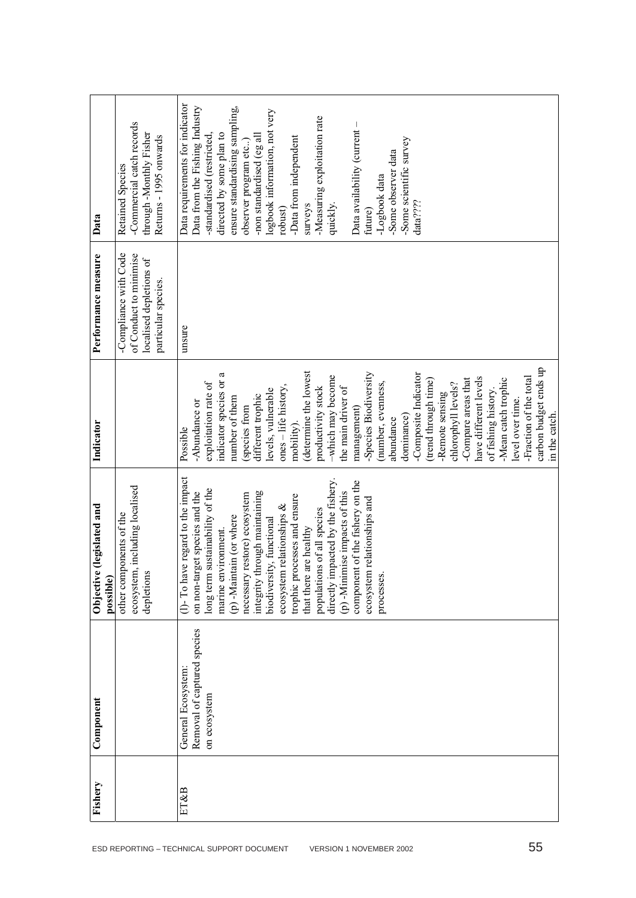| ESD REPORTING - TECHNICAL SUPPORT DOCUMENT | Fishery | Component                   | Objective (legislated and<br>possible)   | Indicator              | Performance measure     | Data                            |
|--------------------------------------------|---------|-----------------------------|------------------------------------------|------------------------|-------------------------|---------------------------------|
|                                            |         |                             | other components of the                  |                        | -Compliance with Code   | <b>Retained Species</b>         |
|                                            |         |                             | ecosystem, including localised           |                        | of Conduct to minimise  | -Commercial catch records       |
|                                            |         |                             | depletions                               |                        | localised depletions of | through-Monthly Fisher          |
|                                            |         |                             |                                          |                        | particular species.     | Returns - 1995 onwards          |
|                                            | ET&B    | General Ecosystem           | ve regard to the impact<br>$(1)$ - To ha | Possible               | unsure                  | Data requirements for indicator |
|                                            |         | Removal of captured species | get species and the<br>on non-tar        | -Abundance or          |                         | Data from the Fishing Industry  |
|                                            |         | on ecosystem                | sustainability of the<br>long term       | exploitation rate of   |                         | -standardised (restricted,      |
|                                            |         |                             | marine environment.                      | indicator species or a |                         | directed by some plan to        |
|                                            |         |                             | (p) -Maintain (or where                  | number of them         |                         | ensure standardising sampling,  |
|                                            |         |                             | restore) ecosystem<br>necessary          | (species from          |                         | observer program etc)           |
|                                            |         |                             | integrity through maintaining            | different trophic      |                         | -non standardised (eg all       |
|                                            |         |                             | biodiversity, functional                 | levels, vulnerable     |                         | logbook information, not very   |
|                                            |         |                             | ecosystem relationships &                | ones - life history,   |                         | robust)                         |
|                                            |         |                             | trophic processes and ensure             | mobility).             |                         | -Data from independent          |
|                                            |         |                             | that there are healthy                   | (determine the lowest  |                         | surveys                         |
|                                            |         |                             | populations of all species               | productivity stock     |                         | -Measuring exploitation rate    |
|                                            |         |                             | directly impacted by the fishery.        | -which may become      |                         | quickly.                        |
| VERSION 1 NOVEMBER 2002                    |         |                             | (p) -Minimise impacts of this            | the main driver of     |                         |                                 |
|                                            |         |                             | component of the fishery on the          | management)            |                         | Data availability (current -    |
|                                            |         |                             | ecosystem relationships and              | -Species Biodiversity  |                         | future)                         |
|                                            |         |                             | processes.                               | (number, evenness,     |                         | -Logbook data                   |
|                                            |         |                             |                                          | abundance              |                         | -Some observer data             |
|                                            |         |                             |                                          | dominance)             |                         | -Some scientific survey         |
|                                            |         |                             |                                          | -Composite Indicator   |                         | data????                        |
|                                            |         |                             |                                          | (trend through time)   |                         |                                 |
|                                            |         |                             |                                          | -Remote sensing        |                         |                                 |
|                                            |         |                             |                                          | chlorophyll levels?    |                         |                                 |
|                                            |         |                             |                                          | -Compare areas that    |                         |                                 |
|                                            |         |                             |                                          | have different levels  |                         |                                 |
|                                            |         |                             |                                          | of fishing history.    |                         |                                 |
|                                            |         |                             |                                          | -Mean catch trophic    |                         |                                 |
|                                            |         |                             |                                          | level over time.       |                         |                                 |
|                                            |         |                             |                                          | -Fraction of the total |                         |                                 |
| 55                                         |         |                             |                                          | carbon budget ends up  |                         |                                 |
|                                            |         |                             |                                          | in the catch.          |                         |                                 |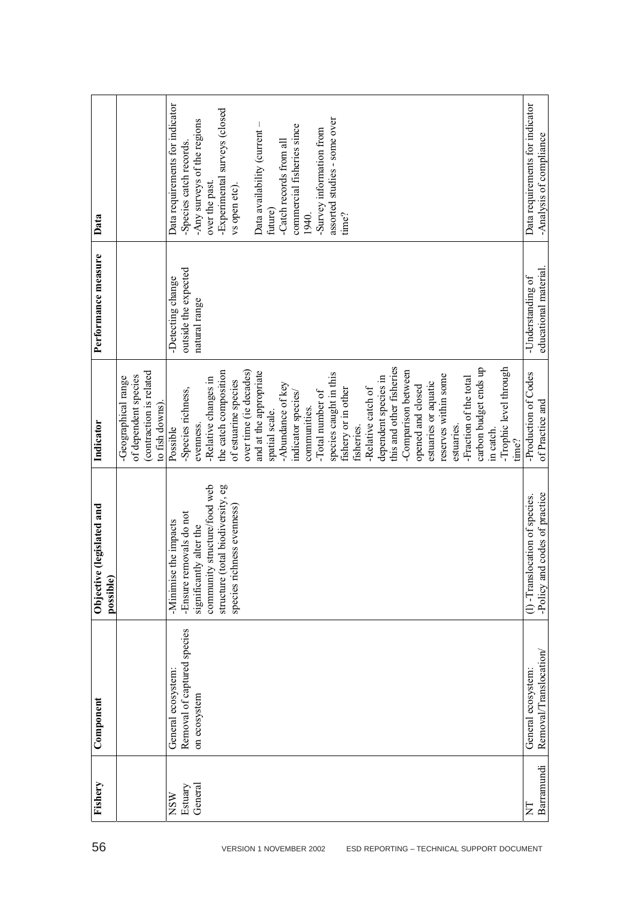| 56                                         | Fishery    | Component                   | Objective (legislated and<br>possible) | Indicator                                                                                 | Performance measure  | Data                            |
|--------------------------------------------|------------|-----------------------------|----------------------------------------|-------------------------------------------------------------------------------------------|----------------------|---------------------------------|
|                                            |            |                             |                                        | (contraction is related<br>of dependent species<br>-Geographical range<br>to fish downs). |                      |                                 |
|                                            | <b>NSW</b> | General ecosystem:          | -Minimise the impacts                  | Possible                                                                                  | -Detecting change    | Data requirements for indicator |
|                                            | Estuary    | Removal of captured species | -Ensure removals do not                | -Species richness,                                                                        | outside the expected | -Species catch records.         |
|                                            | General    | on ecosystem                | significantly alter the                | evenness.                                                                                 | natural range        | -Any surveys of the regions     |
|                                            |            |                             | community structure/food web           | -Relative changes in                                                                      |                      | over the past.                  |
|                                            |            |                             | (total biodiversity, eg<br>structure   | the catch composition                                                                     |                      | -Experimental surveys (closed   |
|                                            |            |                             | species richness evenness)             | of estuarine species                                                                      |                      | vs open etc)                    |
|                                            |            |                             |                                        | over time (ie decades)                                                                    |                      |                                 |
| VERSION 1 NOVEMBER 2002                    |            |                             |                                        | and at the appropriate                                                                    |                      | Data availability (current-     |
|                                            |            |                             |                                        | spatial scale.                                                                            |                      | future)                         |
|                                            |            |                             |                                        | -Abundance of key                                                                         |                      | -Catch records from all         |
|                                            |            |                             |                                        | indicator species/                                                                        |                      | commercial fisheries since      |
|                                            |            |                             |                                        | communities.                                                                              |                      | 1940.                           |
|                                            |            |                             |                                        | -Total number of                                                                          |                      | -Survey information from        |
|                                            |            |                             |                                        | species caught in this                                                                    |                      | assorted studies - some over    |
|                                            |            |                             |                                        | fishery or in other                                                                       |                      | time?                           |
|                                            |            |                             |                                        | fisheries.                                                                                |                      |                                 |
|                                            |            |                             |                                        | -Relative catch of                                                                        |                      |                                 |
|                                            |            |                             |                                        | dependent species in                                                                      |                      |                                 |
|                                            |            |                             |                                        | this and other fisheries                                                                  |                      |                                 |
|                                            |            |                             |                                        | -Comparison between                                                                       |                      |                                 |
|                                            |            |                             |                                        | opened and closed                                                                         |                      |                                 |
|                                            |            |                             |                                        | estuaries or aquatic                                                                      |                      |                                 |
|                                            |            |                             |                                        | reserves within some                                                                      |                      |                                 |
|                                            |            |                             |                                        | estuaries.                                                                                |                      |                                 |
|                                            |            |                             |                                        | -Fraction of the total                                                                    |                      |                                 |
|                                            |            |                             |                                        | carbon budget ends up                                                                     |                      |                                 |
|                                            |            |                             |                                        | in catch.                                                                                 |                      |                                 |
|                                            |            |                             |                                        | -Trophic level through                                                                    |                      |                                 |
|                                            |            |                             |                                        | time?                                                                                     |                      |                                 |
| ESD REPORTING - TECHNICAL SUPPORT DOCUMENT | E          | General ecosystem           | location of species.<br>$(1)$ -Transl  | -Production of Codes                                                                      | -Understanding of    | Data requirements for indicator |
|                                            | Barramundi | Removal/Translocation       | nd codes of practice<br>Policy ar-     | of Practice and                                                                           | educational material | -Analysis of compliance         |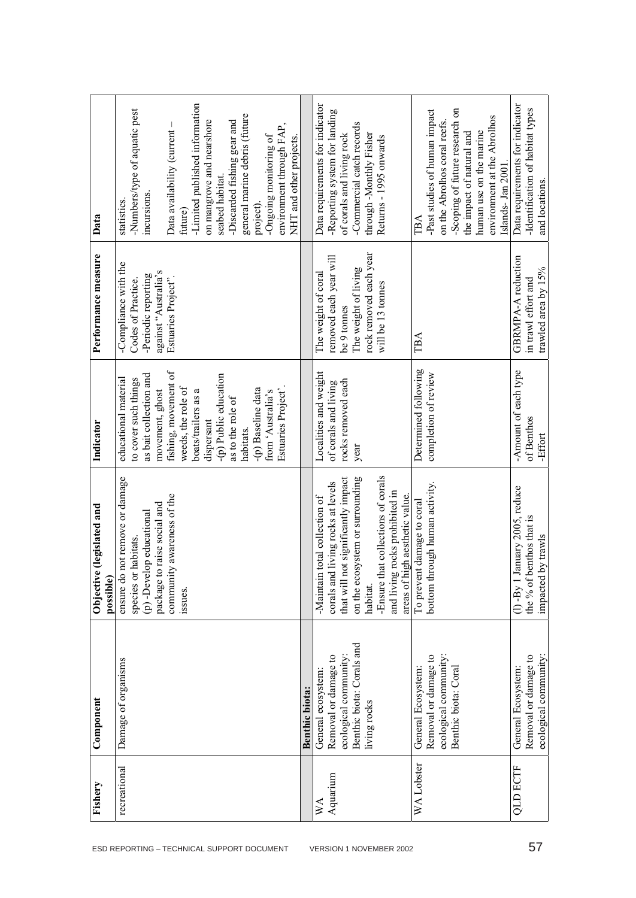|                                            | Fishery                               | Component                                                                                                        | Objective (legislated and<br>possible)                                                                                                                                                                                                                                    | Indicator                                                                                                                                                                                                                                                                                                 | Performance measure                                                                                                                 | Data                                                                                                                                                                                                                                                                                                                                                   |
|--------------------------------------------|---------------------------------------|------------------------------------------------------------------------------------------------------------------|---------------------------------------------------------------------------------------------------------------------------------------------------------------------------------------------------------------------------------------------------------------------------|-----------------------------------------------------------------------------------------------------------------------------------------------------------------------------------------------------------------------------------------------------------------------------------------------------------|-------------------------------------------------------------------------------------------------------------------------------------|--------------------------------------------------------------------------------------------------------------------------------------------------------------------------------------------------------------------------------------------------------------------------------------------------------------------------------------------------------|
| ESD REPORTING - TECHNICAL SUPPORT DOCUMENT | recreational                          | Damage of organisms                                                                                              | ensure do not remove or damage<br>community awareness of the<br>package to raise social and<br>(p) -Develop educational<br>species or habitats.<br>issues.                                                                                                                | fishing, movement of<br>as bait collection and<br>-(p) Public education<br>educational material<br>to cover such things<br>weeds, the role of<br>Estuaries Project'.<br>-(p) Baseline data<br>boats/trailers as a<br>from 'Australia's<br>movement, ghost<br>as to the role of<br>dispersant<br>habitats. | -Compliance with the<br>against "Australia's<br>-Periodic reporting<br>Estuaries Project".<br>Codes of Practice.                    | -Limited published information<br>-Numbers/type of aquatic pest<br>general marine debris (future<br>on mangrove and nearshore<br>-Discarded fishing gear and<br>Data availability (current -<br>environment through FAP,<br>-Ongoing monitoring of<br>NHT and other projects.<br>seabed habitat.<br>incursions.<br>statistics.<br>project).<br>future) |
|                                            |                                       | <b>Benthic biota:</b>                                                                                            |                                                                                                                                                                                                                                                                           |                                                                                                                                                                                                                                                                                                           |                                                                                                                                     |                                                                                                                                                                                                                                                                                                                                                        |
| VERSION 1 NOVEMBER 2002                    | Aquarium<br>$\mathbb{X}^{\mathsf{A}}$ | Benthic biota: Corals and<br>Removal or damage to<br>ecological community:<br>General ecosystem:<br>living rocks | nat collections of corals<br>that will not significantly impact<br>on the ecosystem or surrounding<br>corals and living rocks at levels<br>and living rocks prohibited in<br>areas of high aesthetic value.<br>total collection of<br>-Maintain<br>-Ensure th<br>habitat. | Localities and weight<br>rocks removed each<br>of corals and living<br>year                                                                                                                                                                                                                               | rock removed each year<br>removed each year will<br>The weight of living<br>The weight of coral<br>will be 13 tonnes<br>be 9 tonnes | Data requirements for indicator<br>-Reporting system for landing<br>-Commercial catch records<br>through -Monthly Fisher<br>of corals and living rock<br>Returns - 1995 onwards                                                                                                                                                                        |
|                                            | WA Lobster                            | ecological community:<br>Removal or damage to<br>Benthic biota: Coral<br>General Ecosystem:                      | rough human activity.<br>To prevent damage to coral<br>bottom th                                                                                                                                                                                                          | Determined following<br>completion of review                                                                                                                                                                                                                                                              | TBA                                                                                                                                 | -Scoping of future research on<br>-Past studies of human impact<br>environment at the Abrolhos<br>on the Abrolhos coral reefs.<br>human use on the marine<br>the impact of natural and<br>Islands- Jan 2001<br>TBA                                                                                                                                     |
| 57                                         | <b>QLD ECTF</b>                       | Removal or damage to<br>ecological community:<br>General Ecosystem:                                              | lanuary 2005, reduce<br>benthos that is<br>by trawls<br>the $%$ of l<br>impacted<br>$(1)$ -By $1$                                                                                                                                                                         | -Amount of each type<br>of Benthos<br>-Effort                                                                                                                                                                                                                                                             | GBRMPA-A reduction<br>trawled area by 15%<br>in trawl effort and                                                                    | Data requirements for indicator<br>-Identification of habitat types<br>and locations.                                                                                                                                                                                                                                                                  |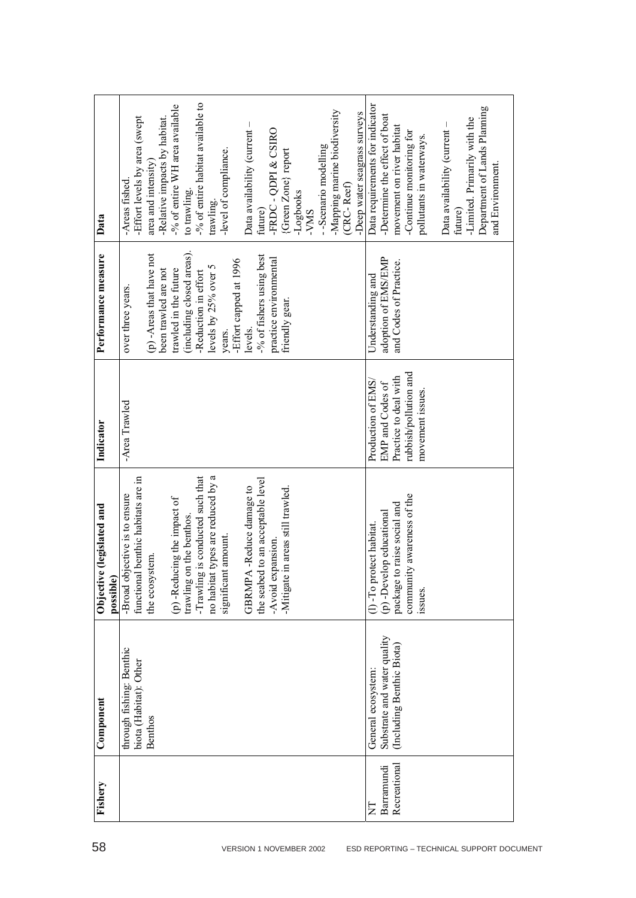| Data                                   | -% of entire habitat available to<br>-% of entire WH area available<br>-Mapping marine biodiversity<br>-Deep water seagrass surveys<br>-Effort levels by area (swept<br>-Relative impacts by habitat.<br>Data availability (current -<br>FRDC - QDPI & CSIRO<br>-Scenario modelling<br>-level of compliance.<br>{Green Zone} report<br>area and intensity)<br>-Areas fished.<br>(CRC-Reef)<br>to trawling.<br>-Logbooks<br>trawling.<br>future)<br>-VMS | Data requirements for indicator<br>Department of Lands Planning<br>-Determine the effect of boat<br>-Limited. Primarily with the<br>Data availability (current -<br>movement on river habitat<br>-Continue monitoring for<br>pollutants in waterways.<br>and Environment.<br>future) |
|----------------------------------------|---------------------------------------------------------------------------------------------------------------------------------------------------------------------------------------------------------------------------------------------------------------------------------------------------------------------------------------------------------------------------------------------------------------------------------------------------------|--------------------------------------------------------------------------------------------------------------------------------------------------------------------------------------------------------------------------------------------------------------------------------------|
| Performance measure                    | (including closed areas).<br>(p) -Areas that have not<br>-% of fishers using best<br>practice environmental<br>-Effort capped at 1996<br>levels by 25% over 5<br>trawled in the future<br>been trawled are not<br>-Reduction in effort<br>over three years.<br>friendly gear.<br>levels.<br>years.                                                                                                                                                      | adoption of EMS/EMP<br>and Codes of Practice.<br>Understanding and                                                                                                                                                                                                                   |
| Indicator                              | -Area Trawled                                                                                                                                                                                                                                                                                                                                                                                                                                           | rubbish/pollution and<br>Practice to deal with<br>Production of EMS/<br>EMP and Codes of<br>movement issues.                                                                                                                                                                         |
| Objective (legislated and<br>possible) | no habitat types are reduced by a<br>-Trawling is conducted such that<br>functional benthic habitats are in<br>the seabed to an acceptable level<br>GBRMPA-Reduce damage to<br>Mitigate in areas still trawled.<br>-Broad objective is to ensure<br>(p) -Reducing the impact of<br>on the benthos.<br>significant amount.<br>-Avoid expansion.<br>the ecosystem.<br>trawling                                                                            | ity awareness of the<br>package to raise social and<br>(p) -Develop educational<br>(1) -To protect habitat.<br>commun<br>issues.                                                                                                                                                     |
| Component                              | through fishing: Benthic<br>biota (Habitat): Other<br><b>Benthos</b>                                                                                                                                                                                                                                                                                                                                                                                    | Substrate and water quality<br>(Including Benthic Biota)<br>General ecosystem:                                                                                                                                                                                                       |
| Fishery                                |                                                                                                                                                                                                                                                                                                                                                                                                                                                         | Recreational<br>Barramundi<br>Σ                                                                                                                                                                                                                                                      |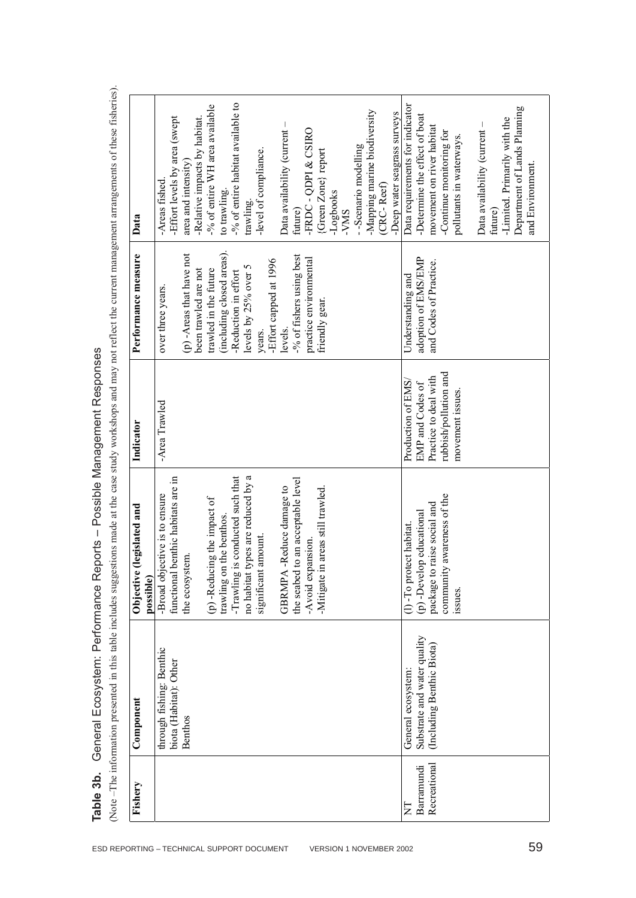|                                        | İ<br>i<br>ļ<br>I<br>l<br>$-1 + 1$<br>;<br>ミクチン・スク<br>i<br>I<br>$-20.10 + 1.04$<br>l<br>;<br>;                                                                                                                                 |
|----------------------------------------|-------------------------------------------------------------------------------------------------------------------------------------------------------------------------------------------------------------------------------|
|                                        | į                                                                                                                                                                                                                             |
| oorts – Possible Management Responses  | - SHIPPING SACRA SACRA TO CHANG SACRA TO THE SACRA TO SACRA TO SACRA TO SACRA TO SACRA TO SACRA TO SACRA TO SACRA TO SACRA TO SACRA TO SACRA TO SACRA TO SACRA TO SACRA TO SACRA TO SACRA TO SACRA TO SACRA TO SACRA TO SACRA |
|                                        |                                                                                                                                                                                                                               |
|                                        | hons made at the ca                                                                                                                                                                                                           |
| leharai Frontingh Perministration<br>ĺ | i<br>しとうこう                                                                                                                                                                                                                    |
| l                                      |                                                                                                                                                                                                                               |
| l                                      | conoming in this                                                                                                                                                                                                              |
| ١                                      |                                                                                                                                                                                                                               |
| $\frac{2}{3}$<br>¢                     | $\begin{array}{c} \hline \end{array}$<br>d                                                                                                                                                                                    |

| Fishery                        | Component                                                                     | e (legislated and<br>Objectiv<br>possible)                                                                                                              | Indicator                                                                                                    | Performance measure                                                                                          | Data                                                                                                                                                                                                                             |  |
|--------------------------------|-------------------------------------------------------------------------------|---------------------------------------------------------------------------------------------------------------------------------------------------------|--------------------------------------------------------------------------------------------------------------|--------------------------------------------------------------------------------------------------------------|----------------------------------------------------------------------------------------------------------------------------------------------------------------------------------------------------------------------------------|--|
|                                | through fishing: Benthic<br>biota (Habitat): Other<br><b>Benthos</b>          | benthic habitats are in<br>-Broad objective is to ensure<br>the ecosystem.<br>functiona                                                                 | -Area Trawled                                                                                                | (p) -Areas that have not<br>been trawled are not<br>over three years.                                        | -Effort levels by area (swept<br>-Relative impacts by habitat.<br>area and intensity<br>-Areas fished                                                                                                                            |  |
|                                |                                                                               | no habitat types are reduced by a<br>-Trawling is conducted such that<br>(p) -Reducing the impact of<br>trawling on the benthos.<br>significant amount. |                                                                                                              | (including closed areas).<br>levels by 25% over 5<br>trawled in the future<br>-Reduction in effort<br>years. | -% of entire habitat available to<br>-% of entire WH area available<br>-level of compliance.<br>to trawling.<br>trawling.                                                                                                        |  |
|                                |                                                                               | the seabed to an acceptable level<br>GBRMPA-Reduce damage to<br>-Avoid expansion.                                                                       |                                                                                                              | -% of fishers using best<br>practice environmental<br>-Effort capped at 1996<br>levels.                      | Data availability (current -<br>FRDC - QDPI & CSIRO<br>future)                                                                                                                                                                   |  |
|                                |                                                                               | in areas still trawled.<br>-Mitigate                                                                                                                    |                                                                                                              | friendly gear.                                                                                               | Mapping marine biodiversity<br>-Deep water seagrass surveys<br>-Scenario modelling<br>{Green Zone} report<br>(CRC-Reef)<br>-Logbooks<br><b>SMV-</b>                                                                              |  |
| Recreationa<br>Barramundi<br>E | Substrate and water quality<br>(Including Benthic Biota)<br>General ecosystem | ty awareness of the<br>package to raise social and<br>(p) -Develop educational<br>otect habitat.<br>communii<br>$(1)$ -To pro<br>issues.                | rubbish/pollution and<br>Practice to deal with<br>Production of EMS,<br>EMP and Codes of<br>movement issues. | adoption of EMS/EMP<br>and Codes of Practice.<br>Understanding and                                           | Data requirements for indicator<br>-Determine the effect of boat<br>-Limited. Primarily with the<br>Data availability (current -<br>movement on river habitat<br>-Continue monitoring for<br>pollutants in waterways.<br>future) |  |
|                                |                                                                               |                                                                                                                                                         |                                                                                                              |                                                                                                              | Department of Lands Planning<br>and Environment.                                                                                                                                                                                 |  |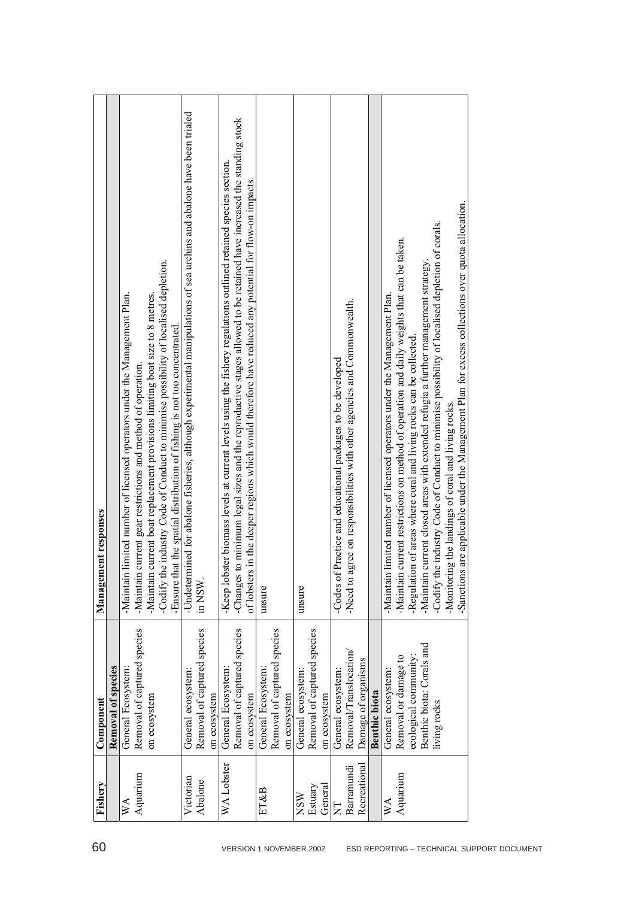| 60                                         | Fishery                 | Component                   | nent responses<br>Manager                                                                                            |
|--------------------------------------------|-------------------------|-----------------------------|----------------------------------------------------------------------------------------------------------------------|
|                                            |                         | Removal of species          |                                                                                                                      |
|                                            | $W\Lambda$              | General Ecosystem:          | limited number of licensed operators under the Management Plan.<br>-Maintain                                         |
|                                            | Aquarium                | Removal of captured species | current gear restrictions and method of operation.<br>-Maintain                                                      |
|                                            |                         | on ecosystem                | current boat replacement provisions limiting boat size to 8 metres.<br>-Maintain                                     |
|                                            |                         |                             | he industry Code of Conduct to minimise possibility of localised depletion.<br>-Codify $t$                           |
|                                            |                         |                             | -Ensure that the spatial distribution of fishing is not too concentrated.                                            |
|                                            | Victorian               | General ecosystem:          | Undetermined for abalone fisheries, although experimental manipulations of sea urchins and abalone have been trialed |
|                                            | Abalone                 | Removal of captured species | in NSW                                                                                                               |
|                                            |                         | on ecosystem                |                                                                                                                      |
|                                            | WA Lobster              | General Ecosystem:          | ster biomass levels at current levels using the fishery regulations outlined retained species section.<br>-Keep lob  |
|                                            |                         | Removal of captured species | Changes to minimum legal sizes and the reproductive stages allowed to be retained have increased the standing stock  |
|                                            |                         | on ecosystem                | of lobsters in the deeper regions which would therefore have reduced any potential for flow-on impacts.              |
| VERSION 1 NOVEMBER 2002                    | ET&B                    | General Ecosystem:          | unsure                                                                                                               |
|                                            |                         | Removal of captured species |                                                                                                                      |
|                                            |                         | on ecosystem                |                                                                                                                      |
|                                            | <b>NSW</b>              | General ecosystem:          | unsure                                                                                                               |
|                                            | Estuary                 | Removal of captured species |                                                                                                                      |
|                                            | General                 | on ecosystem                |                                                                                                                      |
|                                            | $\overline{\mathsf{z}}$ | General ecosystem:          | Practice and educational packages to be developed<br>-Codes of                                                       |
|                                            | Barramundi              | Removal/Translocation/      | Need to agree on responsibilities with other agencies and Commonwealth.                                              |
|                                            | Recreational            | Damage of organisms         |                                                                                                                      |
|                                            |                         | Benthic biota               |                                                                                                                      |
|                                            | $W_{\mathcal{A}}$       | General ecosystem:          | limited number of licensed operators under the Management Plan.<br>-Maintain                                         |
|                                            | Aquarium                | Removal or damage to        | current restrictions on method of operation and daily weights that can be taken.<br>Maintain                         |
|                                            |                         | ecological community:       | Regulation of areas where coral and living rocks can be collected.                                                   |
|                                            |                         | Benthic biota: Corals and   | current closed areas with extended refugia a further management strategy.<br>-Maintain                               |
|                                            |                         | living rocks                | e industry Code of Conduct to minimise possibility of localised depletion of corals<br>-Codify $t$                   |
|                                            |                         |                             | Monitoring the landings of coral and living rocks.                                                                   |
|                                            |                         |                             | s are applicable under the Management Plan for excess collections over quota allocation.<br>-Sanction                |
|                                            |                         |                             |                                                                                                                      |
|                                            |                         |                             |                                                                                                                      |
|                                            |                         |                             |                                                                                                                      |
|                                            |                         |                             |                                                                                                                      |
| ESD REPORTING - TECHNICAL SUPPORT DOCUMENT |                         |                             |                                                                                                                      |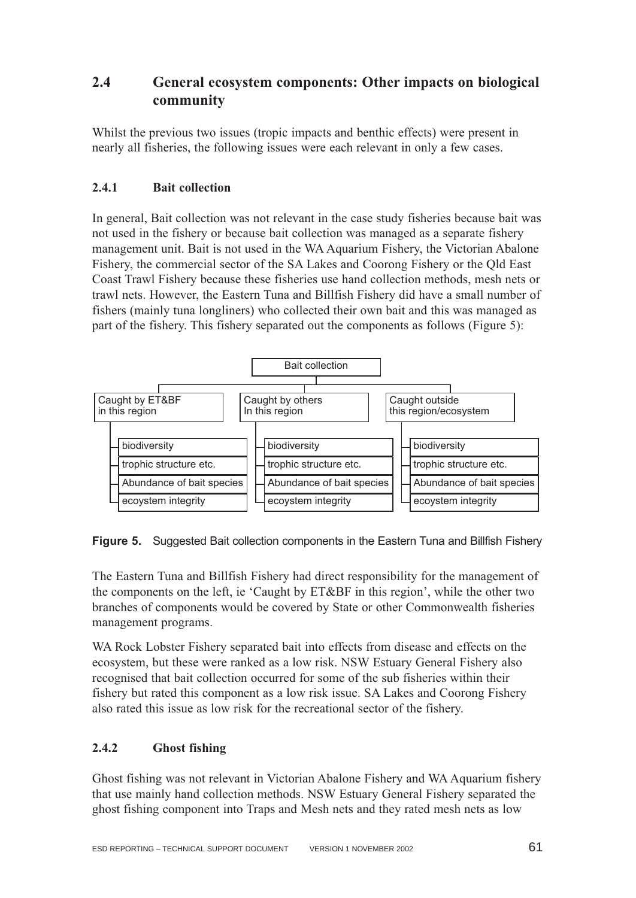# **2.4 General ecosystem components: Other impacts on biological community**

Whilst the previous two issues (tropic impacts and benthic effects) were present in nearly all fisheries, the following issues were each relevant in only a few cases.

# **2.4.1 Bait collection**

In general, Bait collection was not relevant in the case study fisheries because bait was not used in the fishery or because bait collection was managed as a separate fishery management unit. Bait is not used in the WA Aquarium Fishery, the Victorian Abalone Fishery, the commercial sector of the SA Lakes and Coorong Fishery or the Qld East Coast Trawl Fishery because these fisheries use hand collection methods, mesh nets or trawl nets. However, the Eastern Tuna and Billfish Fishery did have a small number of fishers (mainly tuna longliners) who collected their own bait and this was managed as part of the fishery. This fishery separated out the components as follows (Figure 5):



**Figure 5.** Suggested Bait collection components in the Eastern Tuna and Billfish Fishery

The Eastern Tuna and Billfish Fishery had direct responsibility for the management of the components on the left, ie 'Caught by ET&BF in this region', while the other two branches of components would be covered by State or other Commonwealth fisheries management programs.

WA Rock Lobster Fishery separated bait into effects from disease and effects on the ecosystem, but these were ranked as a low risk. NSW Estuary General Fishery also recognised that bait collection occurred for some of the sub fisheries within their fishery but rated this component as a low risk issue. SA Lakes and Coorong Fishery also rated this issue as low risk for the recreational sector of the fishery.

# **2.4.2 Ghost fishing**

Ghost fishing was not relevant in Victorian Abalone Fishery and WA Aquarium fishery that use mainly hand collection methods. NSW Estuary General Fishery separated the ghost fishing component into Traps and Mesh nets and they rated mesh nets as low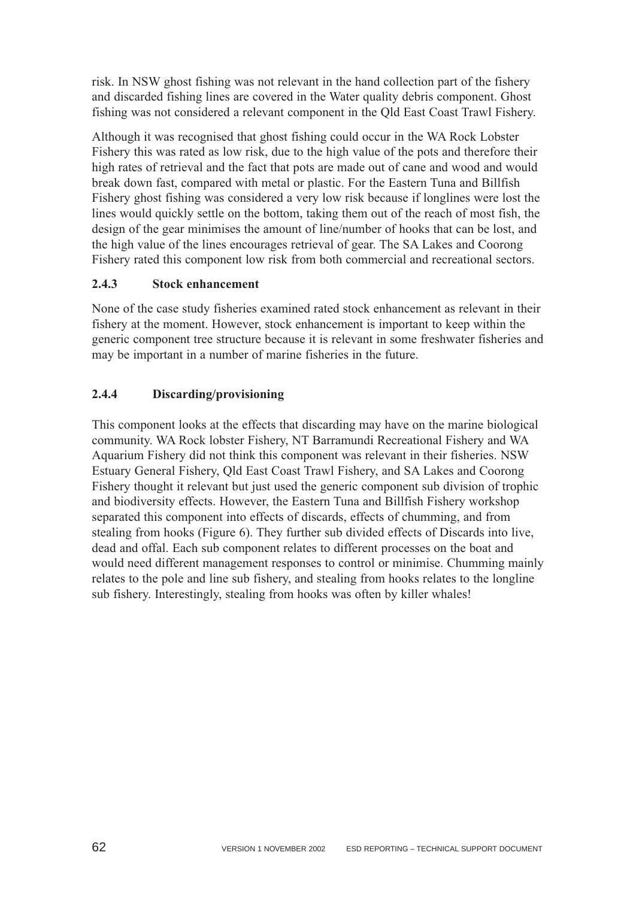risk. In NSW ghost fishing was not relevant in the hand collection part of the fishery and discarded fishing lines are covered in the Water quality debris component. Ghost fishing was not considered a relevant component in the Qld East Coast Trawl Fishery.

Although it was recognised that ghost fishing could occur in the WA Rock Lobster Fishery this was rated as low risk, due to the high value of the pots and therefore their high rates of retrieval and the fact that pots are made out of cane and wood and would break down fast, compared with metal or plastic. For the Eastern Tuna and Billfish Fishery ghost fishing was considered a very low risk because if longlines were lost the lines would quickly settle on the bottom, taking them out of the reach of most fish, the design of the gear minimises the amount of line/number of hooks that can be lost, and the high value of the lines encourages retrieval of gear. The SA Lakes and Coorong Fishery rated this component low risk from both commercial and recreational sectors.

## **2.4.3 Stock enhancement**

None of the case study fisheries examined rated stock enhancement as relevant in their fishery at the moment. However, stock enhancement is important to keep within the generic component tree structure because it is relevant in some freshwater fisheries and may be important in a number of marine fisheries in the future.

## **2.4.4 Discarding/provisioning**

This component looks at the effects that discarding may have on the marine biological community. WA Rock lobster Fishery, NT Barramundi Recreational Fishery and WA Aquarium Fishery did not think this component was relevant in their fisheries. NSW Estuary General Fishery, Qld East Coast Trawl Fishery, and SA Lakes and Coorong Fishery thought it relevant but just used the generic component sub division of trophic and biodiversity effects. However, the Eastern Tuna and Billfish Fishery workshop separated this component into effects of discards, effects of chumming, and from stealing from hooks (Figure 6). They further sub divided effects of Discards into live, dead and offal. Each sub component relates to different processes on the boat and would need different management responses to control or minimise. Chumming mainly relates to the pole and line sub fishery, and stealing from hooks relates to the longline sub fishery. Interestingly, stealing from hooks was often by killer whales!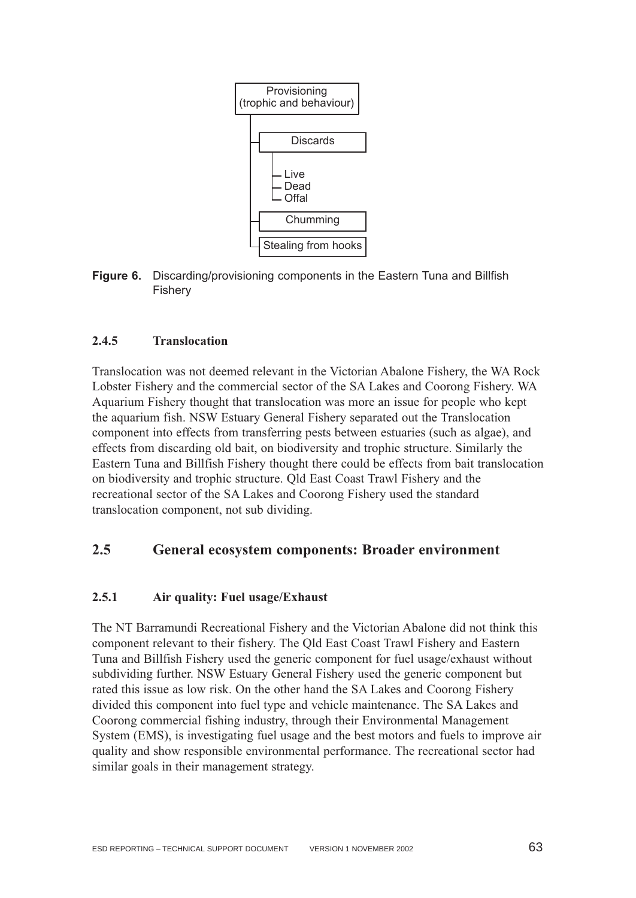

**Figure 6.** Discarding/provisioning components in the Eastern Tuna and Billfish Fishery

## **2.4.5 Translocation**

Translocation was not deemed relevant in the Victorian Abalone Fishery, the WA Rock Lobster Fishery and the commercial sector of the SA Lakes and Coorong Fishery. WA Aquarium Fishery thought that translocation was more an issue for people who kept the aquarium fish. NSW Estuary General Fishery separated out the Translocation component into effects from transferring pests between estuaries (such as algae), and effects from discarding old bait, on biodiversity and trophic structure. Similarly the Eastern Tuna and Billfish Fishery thought there could be effects from bait translocation on biodiversity and trophic structure. Qld East Coast Trawl Fishery and the recreational sector of the SA Lakes and Coorong Fishery used the standard translocation component, not sub dividing.

# **2.5 General ecosystem components: Broader environment**

## **2.5.1 Air quality: Fuel usage/Exhaust**

The NT Barramundi Recreational Fishery and the Victorian Abalone did not think this component relevant to their fishery. The Qld East Coast Trawl Fishery and Eastern Tuna and Billfish Fishery used the generic component for fuel usage/exhaust without subdividing further. NSW Estuary General Fishery used the generic component but rated this issue as low risk. On the other hand the SA Lakes and Coorong Fishery divided this component into fuel type and vehicle maintenance. The SA Lakes and Coorong commercial fishing industry, through their Environmental Management System (EMS), is investigating fuel usage and the best motors and fuels to improve air quality and show responsible environmental performance. The recreational sector had similar goals in their management strategy.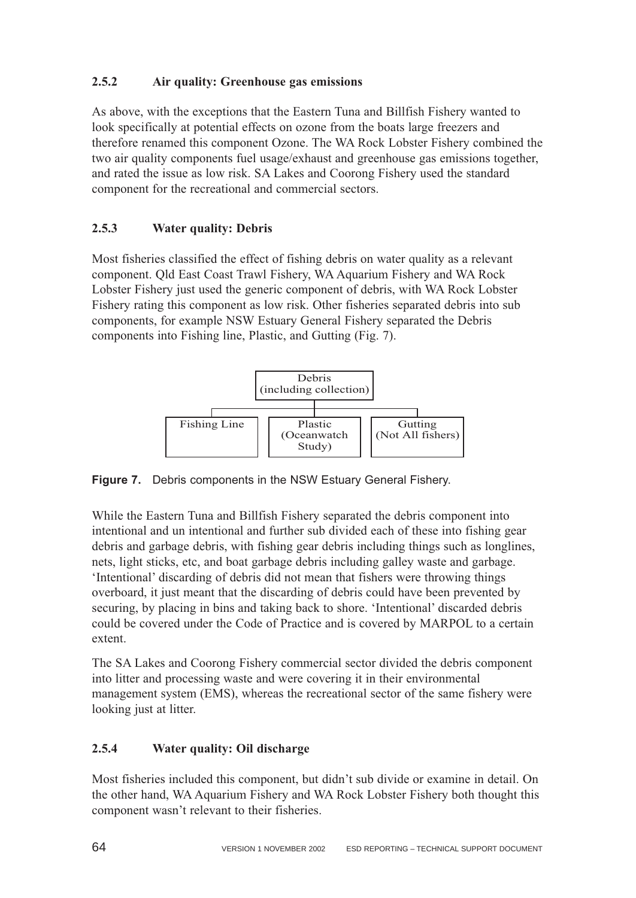## **2.5.2 Air quality: Greenhouse gas emissions**

As above, with the exceptions that the Eastern Tuna and Billfish Fishery wanted to look specifically at potential effects on ozone from the boats large freezers and therefore renamed this component Ozone. The WA Rock Lobster Fishery combined the two air quality components fuel usage/exhaust and greenhouse gas emissions together, and rated the issue as low risk. SA Lakes and Coorong Fishery used the standard component for the recreational and commercial sectors.

# **2.5.3 Water quality: Debris**

Most fisheries classified the effect of fishing debris on water quality as a relevant component. Qld East Coast Trawl Fishery, WA Aquarium Fishery and WA Rock Lobster Fishery just used the generic component of debris, with WA Rock Lobster Fishery rating this component as low risk. Other fisheries separated debris into sub components, for example NSW Estuary General Fishery separated the Debris components into Fishing line, Plastic, and Gutting (Fig. 7).



**Figure 7.** Debris components in the NSW Estuary General Fishery.

While the Eastern Tuna and Billfish Fishery separated the debris component into intentional and un intentional and further sub divided each of these into fishing gear debris and garbage debris, with fishing gear debris including things such as longlines, nets, light sticks, etc, and boat garbage debris including galley waste and garbage. 'Intentional' discarding of debris did not mean that fishers were throwing things overboard, it just meant that the discarding of debris could have been prevented by securing, by placing in bins and taking back to shore. 'Intentional' discarded debris could be covered under the Code of Practice and is covered by MARPOL to a certain extent.

The SA Lakes and Coorong Fishery commercial sector divided the debris component into litter and processing waste and were covering it in their environmental management system (EMS), whereas the recreational sector of the same fishery were looking just at litter.

# **2.5.4 Water quality: Oil discharge**

Most fisheries included this component, but didn't sub divide or examine in detail. On the other hand, WA Aquarium Fishery and WA Rock Lobster Fishery both thought this component wasn't relevant to their fisheries.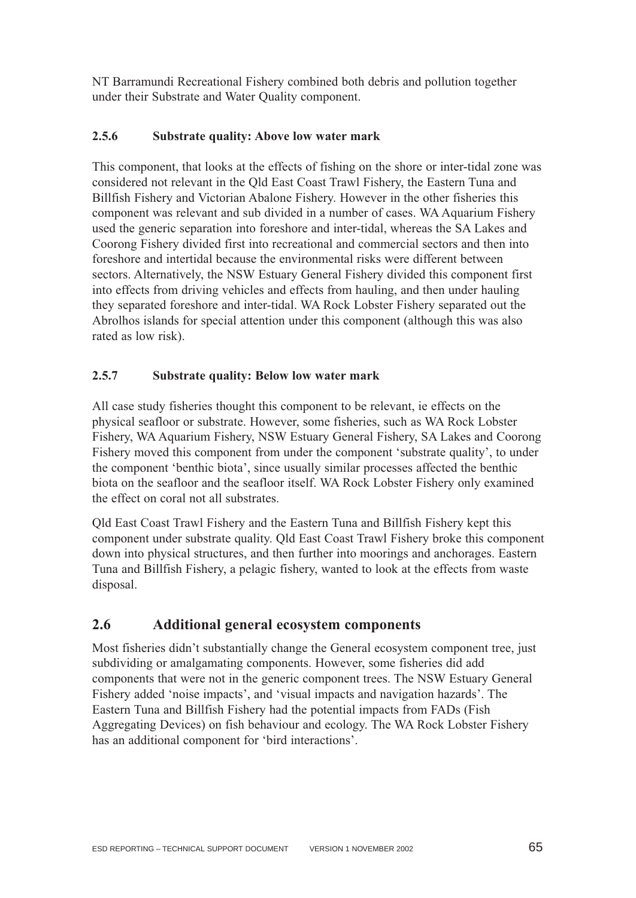NT Barramundi Recreational Fishery combined both debris and pollution together under their Substrate and Water Quality component.

## **2.5.6 Substrate quality: Above low water mark**

This component, that looks at the effects of fishing on the shore or inter-tidal zone was considered not relevant in the Qld East Coast Trawl Fishery, the Eastern Tuna and Billfish Fishery and Victorian Abalone Fishery. However in the other fisheries this component was relevant and sub divided in a number of cases. WA Aquarium Fishery used the generic separation into foreshore and inter-tidal, whereas the SA Lakes and Coorong Fishery divided first into recreational and commercial sectors and then into foreshore and intertidal because the environmental risks were different between sectors. Alternatively, the NSW Estuary General Fishery divided this component first into effects from driving vehicles and effects from hauling, and then under hauling they separated foreshore and inter-tidal. WA Rock Lobster Fishery separated out the Abrolhos islands for special attention under this component (although this was also rated as low risk).

## **2.5.7 Substrate quality: Below low water mark**

All case study fisheries thought this component to be relevant, ie effects on the physical seafloor or substrate. However, some fisheries, such as WA Rock Lobster Fishery, WA Aquarium Fishery, NSW Estuary General Fishery, SA Lakes and Coorong Fishery moved this component from under the component 'substrate quality', to under the component 'benthic biota', since usually similar processes affected the benthic biota on the seafloor and the seafloor itself. WA Rock Lobster Fishery only examined the effect on coral not all substrates.

Qld East Coast Trawl Fishery and the Eastern Tuna and Billfish Fishery kept this component under substrate quality. Qld East Coast Trawl Fishery broke this component down into physical structures, and then further into moorings and anchorages. Eastern Tuna and Billfish Fishery, a pelagic fishery, wanted to look at the effects from waste disposal.

# **2.6 Additional general ecosystem components**

Most fisheries didn't substantially change the General ecosystem component tree, just subdividing or amalgamating components. However, some fisheries did add components that were not in the generic component trees. The NSW Estuary General Fishery added 'noise impacts', and 'visual impacts and navigation hazards'. The Eastern Tuna and Billfish Fishery had the potential impacts from FADs (Fish Aggregating Devices) on fish behaviour and ecology. The WA Rock Lobster Fishery has an additional component for 'bird interactions'.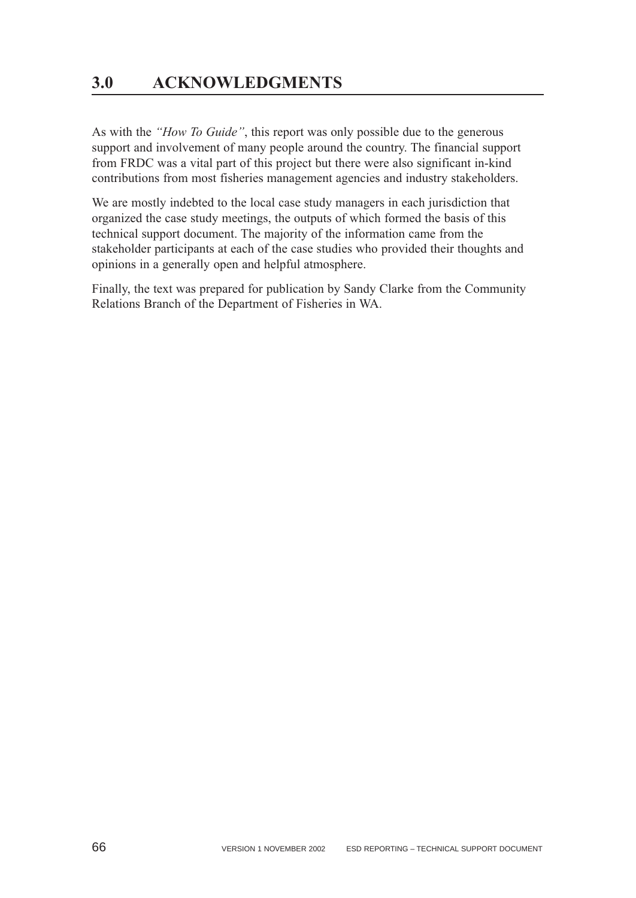As with the *"How To Guide"*, this report was only possible due to the generous support and involvement of many people around the country. The financial support from FRDC was a vital part of this project but there were also significant in-kind contributions from most fisheries management agencies and industry stakeholders.

We are mostly indebted to the local case study managers in each jurisdiction that organized the case study meetings, the outputs of which formed the basis of this technical support document. The majority of the information came from the stakeholder participants at each of the case studies who provided their thoughts and opinions in a generally open and helpful atmosphere.

Finally, the text was prepared for publication by Sandy Clarke from the Community Relations Branch of the Department of Fisheries in WA.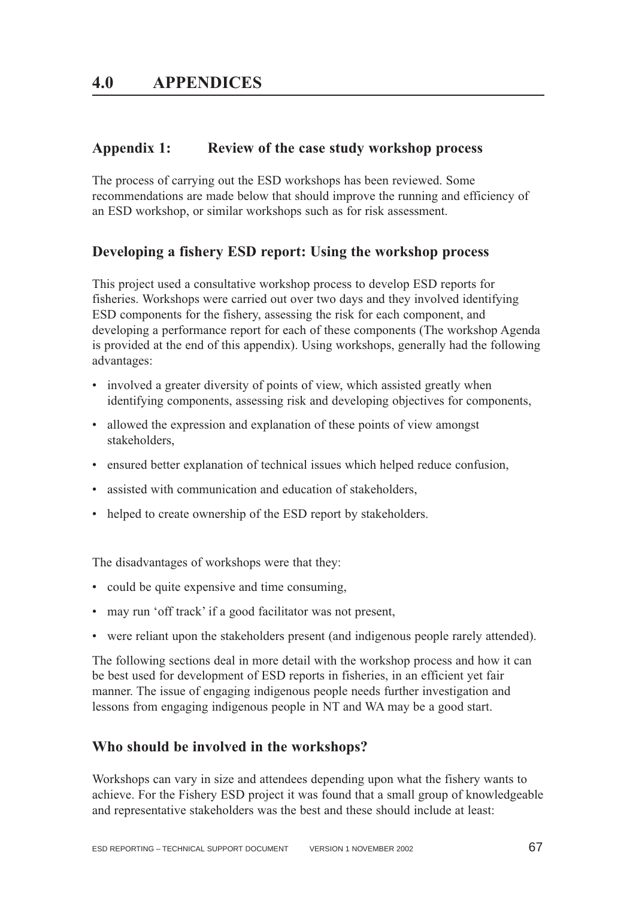# **Appendix 1: Review of the case study workshop process**

The process of carrying out the ESD workshops has been reviewed. Some recommendations are made below that should improve the running and efficiency of an ESD workshop, or similar workshops such as for risk assessment.

# **Developing a fishery ESD report: Using the workshop process**

This project used a consultative workshop process to develop ESD reports for fisheries. Workshops were carried out over two days and they involved identifying ESD components for the fishery, assessing the risk for each component, and developing a performance report for each of these components (The workshop Agenda is provided at the end of this appendix). Using workshops, generally had the following advantages:

- involved a greater diversity of points of view, which assisted greatly when identifying components, assessing risk and developing objectives for components,
- allowed the expression and explanation of these points of view amongst stakeholders,
- ensured better explanation of technical issues which helped reduce confusion,
- assisted with communication and education of stakeholders,
- helped to create ownership of the ESD report by stakeholders.

The disadvantages of workshops were that they:

- could be quite expensive and time consuming,
- may run 'off track' if a good facilitator was not present,
- were reliant upon the stakeholders present (and indigenous people rarely attended).

The following sections deal in more detail with the workshop process and how it can be best used for development of ESD reports in fisheries, in an efficient yet fair manner. The issue of engaging indigenous people needs further investigation and lessons from engaging indigenous people in NT and WA may be a good start.

# **Who should be involved in the workshops?**

Workshops can vary in size and attendees depending upon what the fishery wants to achieve. For the Fishery ESD project it was found that a small group of knowledgeable and representative stakeholders was the best and these should include at least: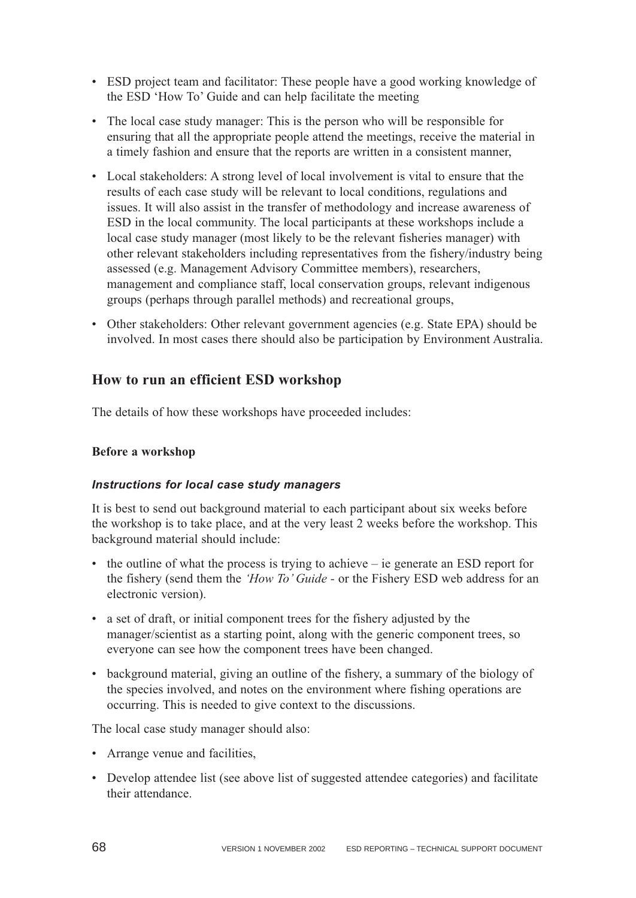- ESD project team and facilitator: These people have a good working knowledge of the ESD 'How To' Guide and can help facilitate the meeting
- The local case study manager: This is the person who will be responsible for ensuring that all the appropriate people attend the meetings, receive the material in a timely fashion and ensure that the reports are written in a consistent manner,
- Local stakeholders: A strong level of local involvement is vital to ensure that the results of each case study will be relevant to local conditions, regulations and issues. It will also assist in the transfer of methodology and increase awareness of ESD in the local community. The local participants at these workshops include a local case study manager (most likely to be the relevant fisheries manager) with other relevant stakeholders including representatives from the fishery/industry being assessed (e.g. Management Advisory Committee members), researchers, management and compliance staff, local conservation groups, relevant indigenous groups (perhaps through parallel methods) and recreational groups,
- Other stakeholders: Other relevant government agencies (e.g. State EPA) should be involved. In most cases there should also be participation by Environment Australia.

# **How to run an efficient ESD workshop**

The details of how these workshops have proceeded includes:

## **Before a workshop**

## *Instructions for local case study managers*

It is best to send out background material to each participant about six weeks before the workshop is to take place, and at the very least 2 weeks before the workshop. This background material should include:

- the outline of what the process is trying to achieve ie generate an ESD report for the fishery (send them the *'How To' Guide -* or the Fishery ESD web address for an electronic version).
- a set of draft, or initial component trees for the fishery adjusted by the manager/scientist as a starting point, along with the generic component trees, so everyone can see how the component trees have been changed.
- background material, giving an outline of the fishery, a summary of the biology of the species involved, and notes on the environment where fishing operations are occurring. This is needed to give context to the discussions.

The local case study manager should also:

- Arrange venue and facilities,
- Develop attendee list (see above list of suggested attendee categories) and facilitate their attendance.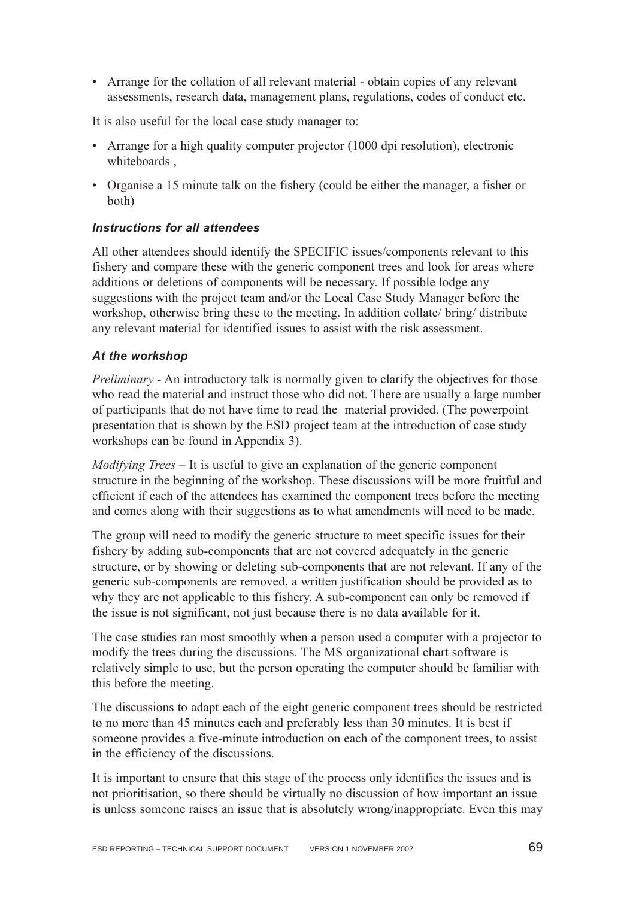• Arrange for the collation of all relevant material - obtain copies of any relevant assessments, research data, management plans, regulations, codes of conduct etc.

It is also useful for the local case study manager to:

- Arrange for a high quality computer projector (1000 dpi resolution), electronic whiteboards ,
- Organise a 15 minute talk on the fishery (could be either the manager, a fisher or both)

### *Instructions for all attendees*

All other attendees should identify the SPECIFIC issues/components relevant to this fishery and compare these with the generic component trees and look for areas where additions or deletions of components will be necessary. If possible lodge any suggestions with the project team and/or the Local Case Study Manager before the workshop, otherwise bring these to the meeting. In addition collate/ bring/ distribute any relevant material for identified issues to assist with the risk assessment.

### *At the workshop*

*Preliminary* - An introductory talk is normally given to clarify the objectives for those who read the material and instruct those who did not. There are usually a large number of participants that do not have time to read the material provided. (The powerpoint presentation that is shown by the ESD project team at the introduction of case study workshops can be found in Appendix 3).

*Modifying Trees* – It is useful to give an explanation of the generic component structure in the beginning of the workshop. These discussions will be more fruitful and efficient if each of the attendees has examined the component trees before the meeting and comes along with their suggestions as to what amendments will need to be made.

The group will need to modify the generic structure to meet specific issues for their fishery by adding sub-components that are not covered adequately in the generic structure, or by showing or deleting sub-components that are not relevant. If any of the generic sub-components are removed, a written justification should be provided as to why they are not applicable to this fishery. A sub-component can only be removed if the issue is not significant, not just because there is no data available for it.

The case studies ran most smoothly when a person used a computer with a projector to modify the trees during the discussions. The MS organizational chart software is relatively simple to use, but the person operating the computer should be familiar with this before the meeting.

The discussions to adapt each of the eight generic component trees should be restricted to no more than 45 minutes each and preferably less than 30 minutes. It is best if someone provides a five-minute introduction on each of the component trees, to assist in the efficiency of the discussions.

It is important to ensure that this stage of the process only identifies the issues and is not prioritisation, so there should be virtually no discussion of how important an issue is unless someone raises an issue that is absolutely wrong/inappropriate. Even this may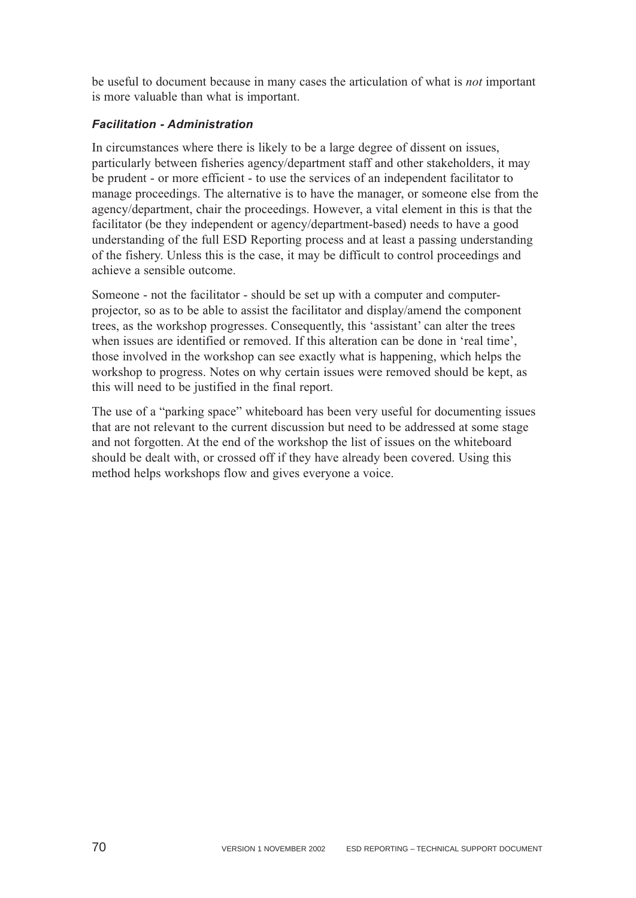be useful to document because in many cases the articulation of what is *not* important is more valuable than what is important.

## *Facilitation - Administration*

In circumstances where there is likely to be a large degree of dissent on issues, particularly between fisheries agency/department staff and other stakeholders, it may be prudent - or more efficient - to use the services of an independent facilitator to manage proceedings. The alternative is to have the manager, or someone else from the agency/department, chair the proceedings. However, a vital element in this is that the facilitator (be they independent or agency/department-based) needs to have a good understanding of the full ESD Reporting process and at least a passing understanding of the fishery. Unless this is the case, it may be difficult to control proceedings and achieve a sensible outcome.

Someone - not the facilitator - should be set up with a computer and computerprojector, so as to be able to assist the facilitator and display/amend the component trees, as the workshop progresses. Consequently, this 'assistant' can alter the trees when issues are identified or removed. If this alteration can be done in 'real time', those involved in the workshop can see exactly what is happening, which helps the workshop to progress. Notes on why certain issues were removed should be kept, as this will need to be justified in the final report.

The use of a "parking space" whiteboard has been very useful for documenting issues that are not relevant to the current discussion but need to be addressed at some stage and not forgotten. At the end of the workshop the list of issues on the whiteboard should be dealt with, or crossed off if they have already been covered. Using this method helps workshops flow and gives everyone a voice.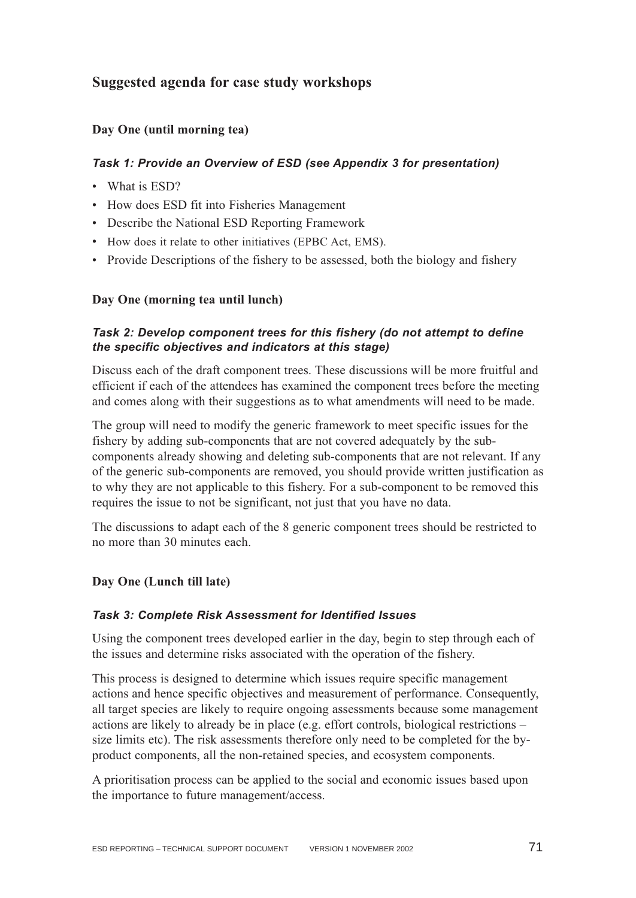# **Suggested agenda for case study workshops**

### **Day One (until morning tea)**

### *Task 1: Provide an Overview of ESD (see Appendix 3 for presentation)*

- What is ESD?
- How does ESD fit into Fisheries Management
- Describe the National ESD Reporting Framework
- How does it relate to other initiatives (EPBC Act, EMS).
- Provide Descriptions of the fishery to be assessed, both the biology and fishery

### **Day One (morning tea until lunch)**

### *Task 2: Develop component trees for this fishery (do not attempt to define the specific objectives and indicators at this stage)*

Discuss each of the draft component trees. These discussions will be more fruitful and efficient if each of the attendees has examined the component trees before the meeting and comes along with their suggestions as to what amendments will need to be made.

The group will need to modify the generic framework to meet specific issues for the fishery by adding sub-components that are not covered adequately by the subcomponents already showing and deleting sub-components that are not relevant. If any of the generic sub-components are removed, you should provide written justification as to why they are not applicable to this fishery. For a sub-component to be removed this requires the issue to not be significant, not just that you have no data.

The discussions to adapt each of the 8 generic component trees should be restricted to no more than 30 minutes each.

### **Day One (Lunch till late)**

### *Task 3: Complete Risk Assessment for Identified Issues*

Using the component trees developed earlier in the day, begin to step through each of the issues and determine risks associated with the operation of the fishery.

This process is designed to determine which issues require specific management actions and hence specific objectives and measurement of performance. Consequently, all target species are likely to require ongoing assessments because some management actions are likely to already be in place (e.g. effort controls, biological restrictions – size limits etc). The risk assessments therefore only need to be completed for the byproduct components, all the non-retained species, and ecosystem components.

A prioritisation process can be applied to the social and economic issues based upon the importance to future management/access.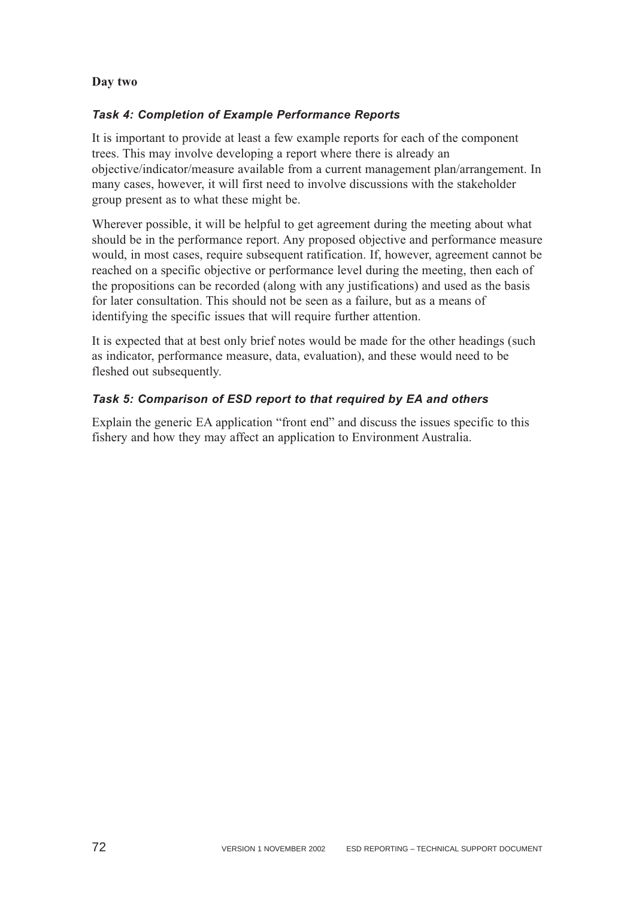#### **Day two**

#### *Task 4: Completion of Example Performance Reports*

It is important to provide at least a few example reports for each of the component trees. This may involve developing a report where there is already an objective/indicator/measure available from a current management plan/arrangement. In many cases, however, it will first need to involve discussions with the stakeholder group present as to what these might be.

Wherever possible, it will be helpful to get agreement during the meeting about what should be in the performance report. Any proposed objective and performance measure would, in most cases, require subsequent ratification. If, however, agreement cannot be reached on a specific objective or performance level during the meeting, then each of the propositions can be recorded (along with any justifications) and used as the basis for later consultation. This should not be seen as a failure, but as a means of identifying the specific issues that will require further attention.

It is expected that at best only brief notes would be made for the other headings (such as indicator, performance measure, data, evaluation), and these would need to be fleshed out subsequently.

#### *Task 5: Comparison of ESD report to that required by EA and others*

Explain the generic EA application "front end" and discuss the issues specific to this fishery and how they may affect an application to Environment Australia.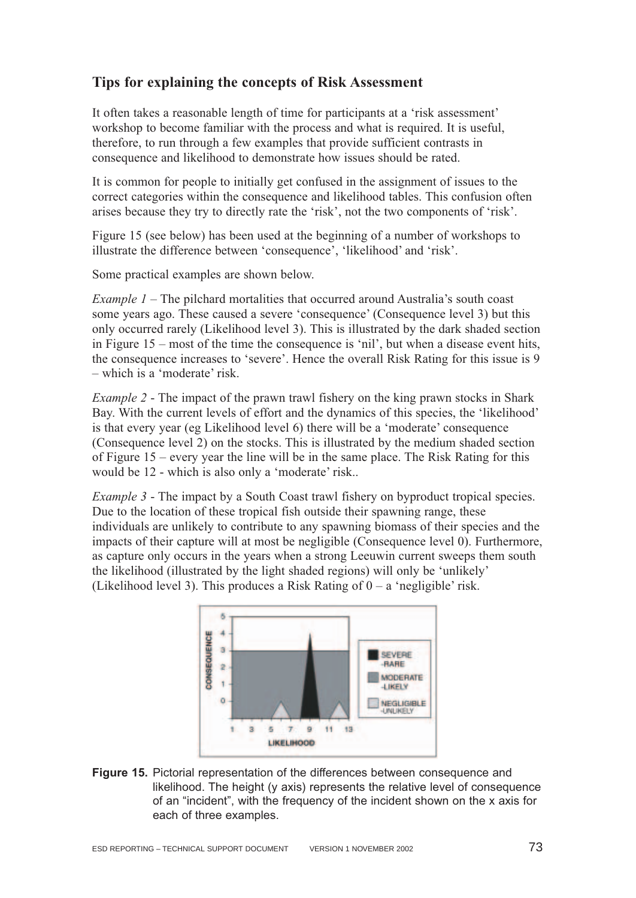## **Tips for explaining the concepts of Risk Assessment**

It often takes a reasonable length of time for participants at a 'risk assessment' workshop to become familiar with the process and what is required. It is useful, therefore, to run through a few examples that provide sufficient contrasts in consequence and likelihood to demonstrate how issues should be rated.

It is common for people to initially get confused in the assignment of issues to the correct categories within the consequence and likelihood tables. This confusion often arises because they try to directly rate the 'risk', not the two components of 'risk'.

Figure 15 (see below) has been used at the beginning of a number of workshops to illustrate the difference between 'consequence', 'likelihood' and 'risk'.

Some practical examples are shown below.

*Example 1* – The pilchard mortalities that occurred around Australia's south coast some years ago. These caused a severe 'consequence' (Consequence level 3) but this only occurred rarely (Likelihood level 3). This is illustrated by the dark shaded section in Figure 15 – most of the time the consequence is 'nil', but when a disease event hits, the consequence increases to 'severe'. Hence the overall Risk Rating for this issue is 9 – which is a 'moderate' risk.

*Example 2* - The impact of the prawn trawl fishery on the king prawn stocks in Shark Bay. With the current levels of effort and the dynamics of this species, the 'likelihood' is that every year (eg Likelihood level 6) there will be a 'moderate' consequence (Consequence level 2) on the stocks. This is illustrated by the medium shaded section of Figure 15 – every year the line will be in the same place. The Risk Rating for this would be 12 - which is also only a 'moderate' risk..

*Example 3* - The impact by a South Coast trawl fishery on byproduct tropical species. Due to the location of these tropical fish outside their spawning range, these individuals are unlikely to contribute to any spawning biomass of their species and the impacts of their capture will at most be negligible (Consequence level 0). Furthermore, as capture only occurs in the years when a strong Leeuwin current sweeps them south the likelihood (illustrated by the light shaded regions) will only be 'unlikely' (Likelihood level 3). This produces a Risk Rating of  $0 - a$  'negligible' risk.



**Figure 15.** Pictorial representation of the differences between consequence and likelihood. The height (y axis) represents the relative level of consequence of an "incident", with the frequency of the incident shown on the x axis for each of three examples.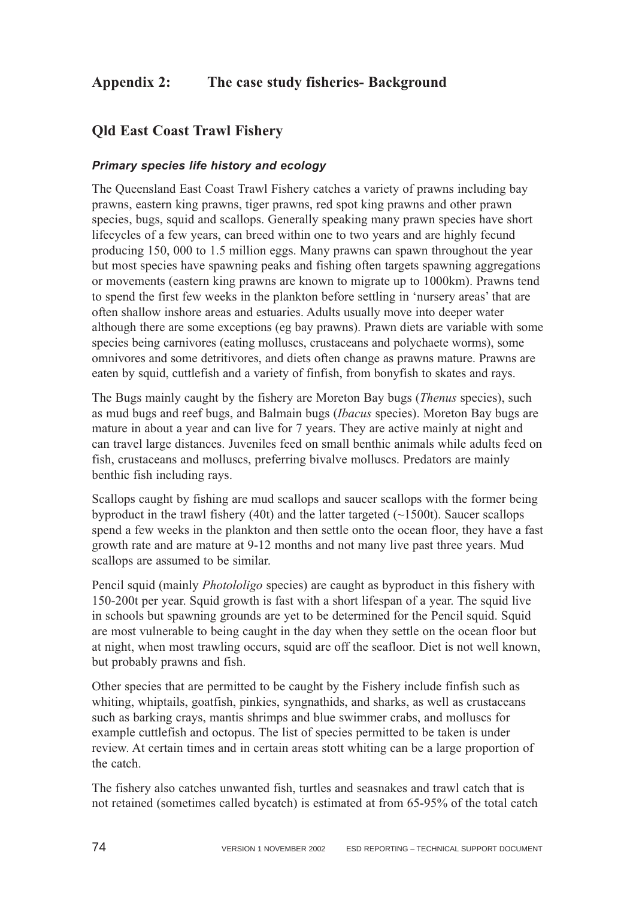# **Appendix 2: The case study fisheries- Background**

## **Qld East Coast Trawl Fishery**

#### *Primary species life history and ecology*

The Queensland East Coast Trawl Fishery catches a variety of prawns including bay prawns, eastern king prawns, tiger prawns, red spot king prawns and other prawn species, bugs, squid and scallops. Generally speaking many prawn species have short lifecycles of a few years, can breed within one to two years and are highly fecund producing 150, 000 to 1.5 million eggs. Many prawns can spawn throughout the year but most species have spawning peaks and fishing often targets spawning aggregations or movements (eastern king prawns are known to migrate up to 1000km). Prawns tend to spend the first few weeks in the plankton before settling in 'nursery areas' that are often shallow inshore areas and estuaries. Adults usually move into deeper water although there are some exceptions (eg bay prawns). Prawn diets are variable with some species being carnivores (eating molluscs, crustaceans and polychaete worms), some omnivores and some detritivores, and diets often change as prawns mature. Prawns are eaten by squid, cuttlefish and a variety of finfish, from bonyfish to skates and rays.

The Bugs mainly caught by the fishery are Moreton Bay bugs (*Thenus* species), such as mud bugs and reef bugs, and Balmain bugs (*Ibacus* species). Moreton Bay bugs are mature in about a year and can live for 7 years. They are active mainly at night and can travel large distances. Juveniles feed on small benthic animals while adults feed on fish, crustaceans and molluscs, preferring bivalve molluscs. Predators are mainly benthic fish including rays.

Scallops caught by fishing are mud scallops and saucer scallops with the former being byproduct in the trawl fishery (40t) and the latter targeted  $(\sim1500t)$ . Saucer scallops spend a few weeks in the plankton and then settle onto the ocean floor, they have a fast growth rate and are mature at 9-12 months and not many live past three years. Mud scallops are assumed to be similar.

Pencil squid (mainly *Photololigo* species) are caught as byproduct in this fishery with 150-200t per year. Squid growth is fast with a short lifespan of a year. The squid live in schools but spawning grounds are yet to be determined for the Pencil squid. Squid are most vulnerable to being caught in the day when they settle on the ocean floor but at night, when most trawling occurs, squid are off the seafloor. Diet is not well known, but probably prawns and fish.

Other species that are permitted to be caught by the Fishery include finfish such as whiting, whiptails, goatfish, pinkies, syngnathids, and sharks, as well as crustaceans such as barking crays, mantis shrimps and blue swimmer crabs, and molluscs for example cuttlefish and octopus. The list of species permitted to be taken is under review. At certain times and in certain areas stott whiting can be a large proportion of the catch.

The fishery also catches unwanted fish, turtles and seasnakes and trawl catch that is not retained (sometimes called bycatch) is estimated at from 65-95% of the total catch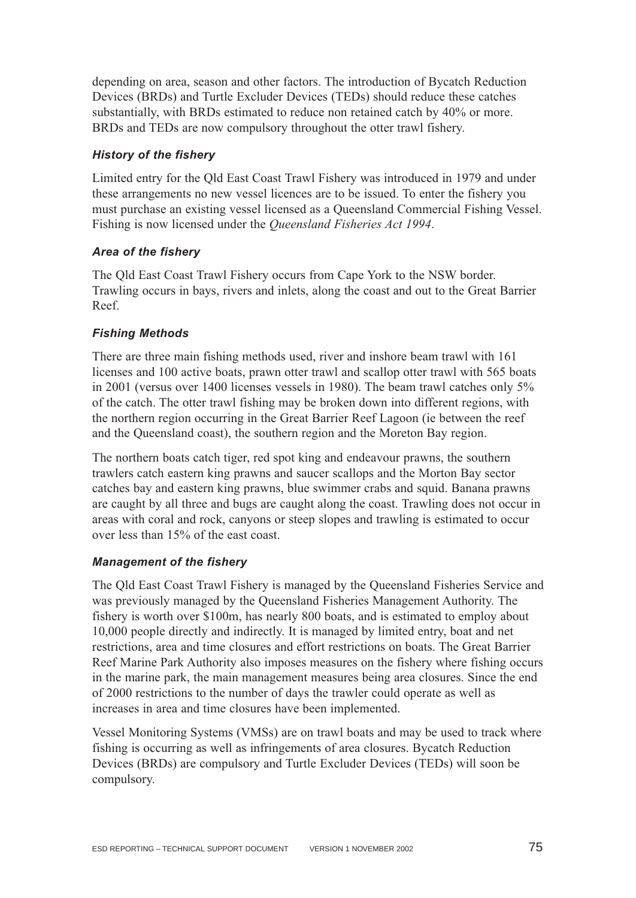depending on area, season and other factors. The introduction of Bycatch Reduction Devices (BRDs) and Turtle Excluder Devices (TEDs) should reduce these catches substantially, with BRDs estimated to reduce non retained catch by 40% or more. BRDs and TEDs are now compulsory throughout the otter trawl fishery.

### *History of the fishery*

Limited entry for the Qld East Coast Trawl Fishery was introduced in 1979 and under these arrangements no new vessel licences are to be issued. To enter the fishery you must purchase an existing vessel licensed as a Queensland Commercial Fishing Vessel. Fishing is now licensed under the *Queensland Fisheries Act 1994*.

#### *Area of the fishery*

The Qld East Coast Trawl Fishery occurs from Cape York to the NSW border. Trawling occurs in bays, rivers and inlets, along the coast and out to the Great Barrier Reef.

### *Fishing Methods*

There are three main fishing methods used, river and inshore beam trawl with 161 licenses and 100 active boats, prawn otter trawl and scallop otter trawl with 565 boats in 2001 (versus over 1400 licenses vessels in 1980). The beam trawl catches only 5% of the catch. The otter trawl fishing may be broken down into different regions, with the northern region occurring in the Great Barrier Reef Lagoon (ie between the reef and the Queensland coast), the southern region and the Moreton Bay region.

The northern boats catch tiger, red spot king and endeavour prawns, the southern trawlers catch eastern king prawns and saucer scallops and the Morton Bay sector catches bay and eastern king prawns, blue swimmer crabs and squid. Banana prawns are caught by all three and bugs are caught along the coast. Trawling does not occur in areas with coral and rock, canyons or steep slopes and trawling is estimated to occur over less than 15% of the east coast.

#### *Management of the fishery*

The Qld East Coast Trawl Fishery is managed by the Queensland Fisheries Service and was previously managed by the Queensland Fisheries Management Authority. The fishery is worth over \$100m, has nearly 800 boats, and is estimated to employ about 10,000 people directly and indirectly. It is managed by limited entry, boat and net restrictions, area and time closures and effort restrictions on boats. The Great Barrier Reef Marine Park Authority also imposes measures on the fishery where fishing occurs in the marine park, the main management measures being area closures. Since the end of 2000 restrictions to the number of days the trawler could operate as well as increases in area and time closures have been implemented.

Vessel Monitoring Systems (VMSs) are on trawl boats and may be used to track where fishing is occurring as well as infringements of area closures. Bycatch Reduction Devices (BRDs) are compulsory and Turtle Excluder Devices (TEDs) will soon be compulsory.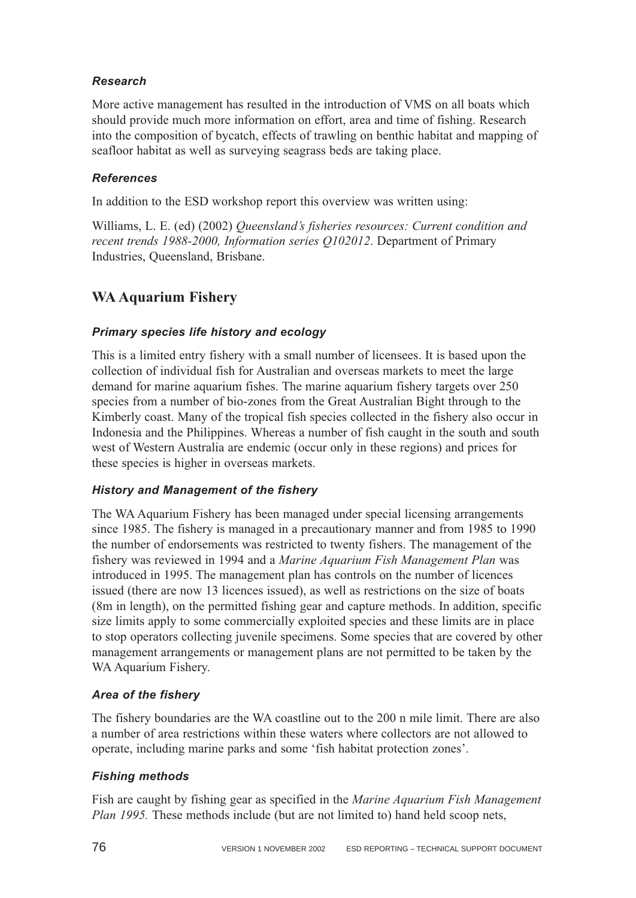### *Research*

More active management has resulted in the introduction of VMS on all boats which should provide much more information on effort, area and time of fishing. Research into the composition of bycatch, effects of trawling on benthic habitat and mapping of seafloor habitat as well as surveying seagrass beds are taking place.

### *References*

In addition to the ESD workshop report this overview was written using:

Williams, L. E. (ed) (2002) *Queensland's fisheries resources: Current condition and recent trends 1988-2000, Information series Q102012*. Department of Primary Industries, Queensland, Brisbane.

# **WA Aquarium Fishery**

### *Primary species life history and ecology*

This is a limited entry fishery with a small number of licensees. It is based upon the collection of individual fish for Australian and overseas markets to meet the large demand for marine aquarium fishes. The marine aquarium fishery targets over 250 species from a number of bio-zones from the Great Australian Bight through to the Kimberly coast. Many of the tropical fish species collected in the fishery also occur in Indonesia and the Philippines. Whereas a number of fish caught in the south and south west of Western Australia are endemic (occur only in these regions) and prices for these species is higher in overseas markets.

#### *History and Management of the fishery*

The WA Aquarium Fishery has been managed under special licensing arrangements since 1985. The fishery is managed in a precautionary manner and from 1985 to 1990 the number of endorsements was restricted to twenty fishers. The management of the fishery was reviewed in 1994 and a *Marine Aquarium Fish Management Plan* was introduced in 1995. The management plan has controls on the number of licences issued (there are now 13 licences issued), as well as restrictions on the size of boats (8m in length), on the permitted fishing gear and capture methods. In addition, specific size limits apply to some commercially exploited species and these limits are in place to stop operators collecting juvenile specimens. Some species that are covered by other management arrangements or management plans are not permitted to be taken by the WA Aquarium Fishery.

#### *Area of the fishery*

The fishery boundaries are the WA coastline out to the 200 n mile limit. There are also a number of area restrictions within these waters where collectors are not allowed to operate, including marine parks and some 'fish habitat protection zones'.

#### *Fishing methods*

Fish are caught by fishing gear as specified in the *Marine Aquarium Fish Management Plan 1995.* These methods include (but are not limited to) hand held scoop nets,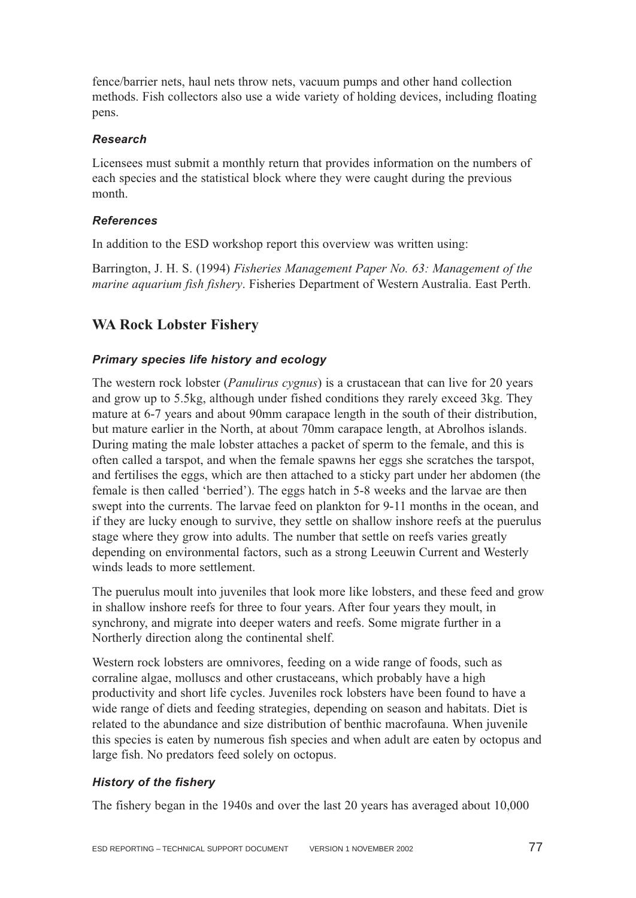fence/barrier nets, haul nets throw nets, vacuum pumps and other hand collection methods. Fish collectors also use a wide variety of holding devices, including floating pens.

#### *Research*

Licensees must submit a monthly return that provides information on the numbers of each species and the statistical block where they were caught during the previous month.

#### *References*

In addition to the ESD workshop report this overview was written using:

Barrington, J. H. S. (1994) *Fisheries Management Paper No. 63: Management of the marine aquarium fish fishery*. Fisheries Department of Western Australia. East Perth.

## **WA Rock Lobster Fishery**

#### *Primary species life history and ecology*

The western rock lobster (*Panulirus cygnus*) is a crustacean that can live for 20 years and grow up to 5.5kg, although under fished conditions they rarely exceed 3kg. They mature at 6-7 years and about 90mm carapace length in the south of their distribution, but mature earlier in the North, at about 70mm carapace length, at Abrolhos islands. During mating the male lobster attaches a packet of sperm to the female, and this is often called a tarspot, and when the female spawns her eggs she scratches the tarspot, and fertilises the eggs, which are then attached to a sticky part under her abdomen (the female is then called 'berried'). The eggs hatch in 5-8 weeks and the larvae are then swept into the currents. The larvae feed on plankton for 9-11 months in the ocean, and if they are lucky enough to survive, they settle on shallow inshore reefs at the puerulus stage where they grow into adults. The number that settle on reefs varies greatly depending on environmental factors, such as a strong Leeuwin Current and Westerly winds leads to more settlement.

The puerulus moult into juveniles that look more like lobsters, and these feed and grow in shallow inshore reefs for three to four years. After four years they moult, in synchrony, and migrate into deeper waters and reefs. Some migrate further in a Northerly direction along the continental shelf.

Western rock lobsters are omnivores, feeding on a wide range of foods, such as corraline algae, molluscs and other crustaceans, which probably have a high productivity and short life cycles. Juveniles rock lobsters have been found to have a wide range of diets and feeding strategies, depending on season and habitats. Diet is related to the abundance and size distribution of benthic macrofauna. When juvenile this species is eaten by numerous fish species and when adult are eaten by octopus and large fish. No predators feed solely on octopus.

#### *History of the fishery*

The fishery began in the 1940s and over the last 20 years has averaged about 10,000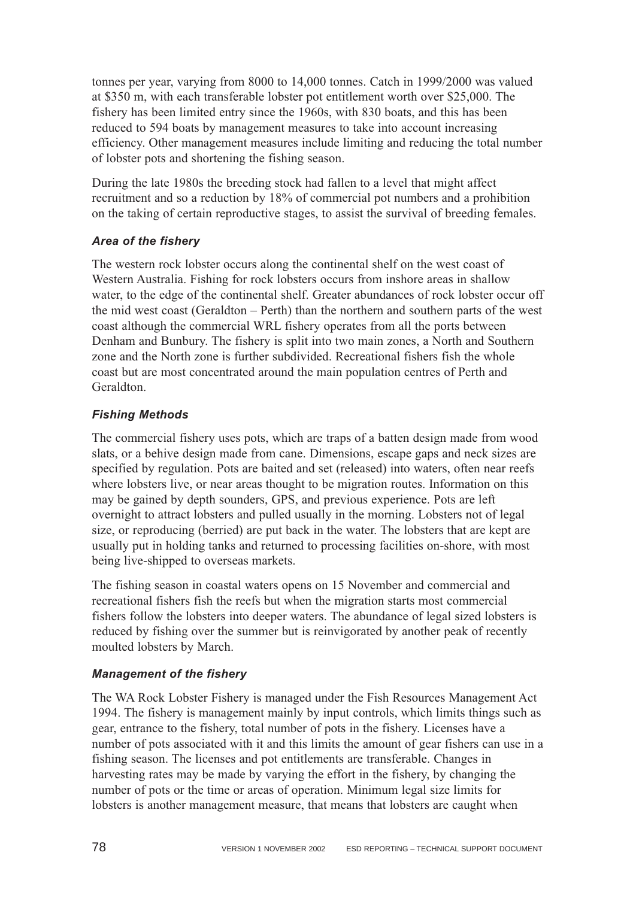tonnes per year, varying from 8000 to 14,000 tonnes. Catch in 1999/2000 was valued at \$350 m, with each transferable lobster pot entitlement worth over \$25,000. The fishery has been limited entry since the 1960s, with 830 boats, and this has been reduced to 594 boats by management measures to take into account increasing efficiency. Other management measures include limiting and reducing the total number of lobster pots and shortening the fishing season.

During the late 1980s the breeding stock had fallen to a level that might affect recruitment and so a reduction by 18% of commercial pot numbers and a prohibition on the taking of certain reproductive stages, to assist the survival of breeding females.

#### *Area of the fishery*

The western rock lobster occurs along the continental shelf on the west coast of Western Australia. Fishing for rock lobsters occurs from inshore areas in shallow water, to the edge of the continental shelf. Greater abundances of rock lobster occur off the mid west coast (Geraldton – Perth) than the northern and southern parts of the west coast although the commercial WRL fishery operates from all the ports between Denham and Bunbury. The fishery is split into two main zones, a North and Southern zone and the North zone is further subdivided. Recreational fishers fish the whole coast but are most concentrated around the main population centres of Perth and Geraldton.

## *Fishing Methods*

The commercial fishery uses pots, which are traps of a batten design made from wood slats, or a behive design made from cane. Dimensions, escape gaps and neck sizes are specified by regulation. Pots are baited and set (released) into waters, often near reefs where lobsters live, or near areas thought to be migration routes. Information on this may be gained by depth sounders, GPS, and previous experience. Pots are left overnight to attract lobsters and pulled usually in the morning. Lobsters not of legal size, or reproducing (berried) are put back in the water. The lobsters that are kept are usually put in holding tanks and returned to processing facilities on-shore, with most being live-shipped to overseas markets.

The fishing season in coastal waters opens on 15 November and commercial and recreational fishers fish the reefs but when the migration starts most commercial fishers follow the lobsters into deeper waters. The abundance of legal sized lobsters is reduced by fishing over the summer but is reinvigorated by another peak of recently moulted lobsters by March.

## *Management of the fishery*

The WA Rock Lobster Fishery is managed under the Fish Resources Management Act 1994. The fishery is management mainly by input controls, which limits things such as gear, entrance to the fishery, total number of pots in the fishery. Licenses have a number of pots associated with it and this limits the amount of gear fishers can use in a fishing season. The licenses and pot entitlements are transferable. Changes in harvesting rates may be made by varying the effort in the fishery, by changing the number of pots or the time or areas of operation. Minimum legal size limits for lobsters is another management measure, that means that lobsters are caught when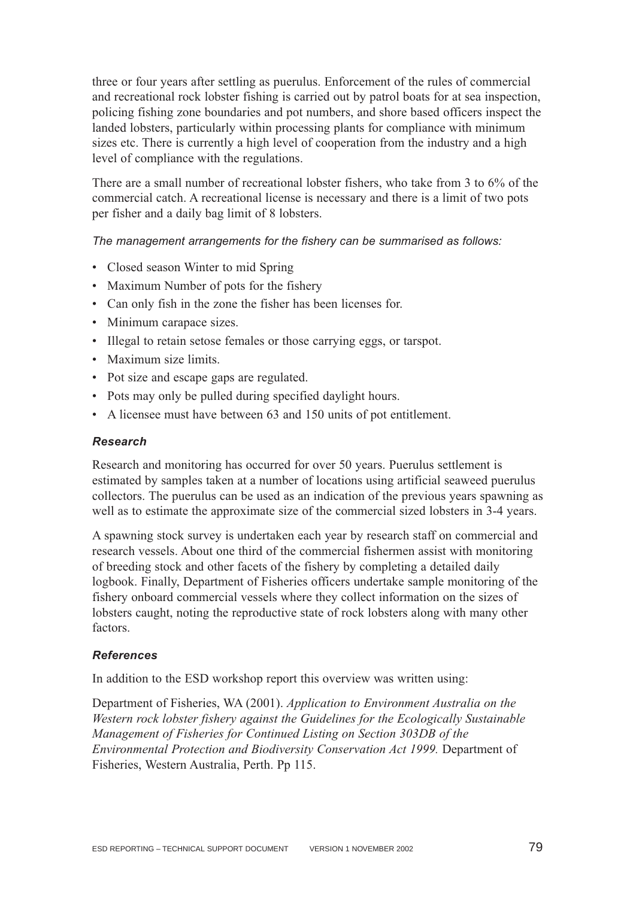three or four years after settling as puerulus. Enforcement of the rules of commercial and recreational rock lobster fishing is carried out by patrol boats for at sea inspection, policing fishing zone boundaries and pot numbers, and shore based officers inspect the landed lobsters, particularly within processing plants for compliance with minimum sizes etc. There is currently a high level of cooperation from the industry and a high level of compliance with the regulations.

There are a small number of recreational lobster fishers, who take from 3 to 6% of the commercial catch. A recreational license is necessary and there is a limit of two pots per fisher and a daily bag limit of 8 lobsters.

*The management arrangements for the fishery can be summarised as follows:*

- Closed season Winter to mid Spring
- Maximum Number of pots for the fishery
- Can only fish in the zone the fisher has been licenses for.
- Minimum carapace sizes.
- Illegal to retain setose females or those carrying eggs, or tarspot.
- Maximum size limits.
- Pot size and escape gaps are regulated.
- Pots may only be pulled during specified daylight hours.
- A licensee must have between 63 and 150 units of pot entitlement.

#### *Research*

Research and monitoring has occurred for over 50 years. Puerulus settlement is estimated by samples taken at a number of locations using artificial seaweed puerulus collectors. The puerulus can be used as an indication of the previous years spawning as well as to estimate the approximate size of the commercial sized lobsters in 3-4 years.

A spawning stock survey is undertaken each year by research staff on commercial and research vessels. About one third of the commercial fishermen assist with monitoring of breeding stock and other facets of the fishery by completing a detailed daily logbook. Finally, Department of Fisheries officers undertake sample monitoring of the fishery onboard commercial vessels where they collect information on the sizes of lobsters caught, noting the reproductive state of rock lobsters along with many other factors.

#### *References*

In addition to the ESD workshop report this overview was written using:

Department of Fisheries, WA (2001). *Application to Environment Australia on the Western rock lobster fishery against the Guidelines for the Ecologically Sustainable Management of Fisheries for Continued Listing on Section 303DB of the Environmental Protection and Biodiversity Conservation Act 1999.* Department of Fisheries, Western Australia, Perth. Pp 115.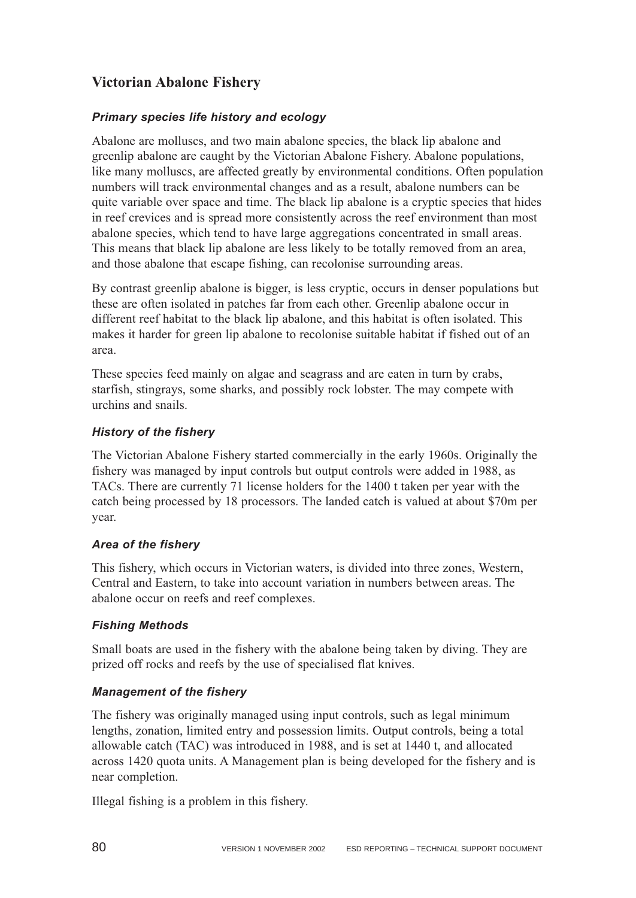# **Victorian Abalone Fishery**

#### *Primary species life history and ecology*

Abalone are molluscs, and two main abalone species, the black lip abalone and greenlip abalone are caught by the Victorian Abalone Fishery. Abalone populations, like many molluscs, are affected greatly by environmental conditions. Often population numbers will track environmental changes and as a result, abalone numbers can be quite variable over space and time. The black lip abalone is a cryptic species that hides in reef crevices and is spread more consistently across the reef environment than most abalone species, which tend to have large aggregations concentrated in small areas. This means that black lip abalone are less likely to be totally removed from an area, and those abalone that escape fishing, can recolonise surrounding areas.

By contrast greenlip abalone is bigger, is less cryptic, occurs in denser populations but these are often isolated in patches far from each other. Greenlip abalone occur in different reef habitat to the black lip abalone, and this habitat is often isolated. This makes it harder for green lip abalone to recolonise suitable habitat if fished out of an area.

These species feed mainly on algae and seagrass and are eaten in turn by crabs, starfish, stingrays, some sharks, and possibly rock lobster. The may compete with urchins and snails.

#### *History of the fishery*

The Victorian Abalone Fishery started commercially in the early 1960s. Originally the fishery was managed by input controls but output controls were added in 1988, as TACs. There are currently 71 license holders for the 1400 t taken per year with the catch being processed by 18 processors. The landed catch is valued at about \$70m per year.

#### *Area of the fishery*

This fishery, which occurs in Victorian waters, is divided into three zones, Western, Central and Eastern, to take into account variation in numbers between areas. The abalone occur on reefs and reef complexes.

#### *Fishing Methods*

Small boats are used in the fishery with the abalone being taken by diving. They are prized off rocks and reefs by the use of specialised flat knives.

#### *Management of the fishery*

The fishery was originally managed using input controls, such as legal minimum lengths, zonation, limited entry and possession limits. Output controls, being a total allowable catch (TAC) was introduced in 1988, and is set at 1440 t, and allocated across 1420 quota units. A Management plan is being developed for the fishery and is near completion.

Illegal fishing is a problem in this fishery.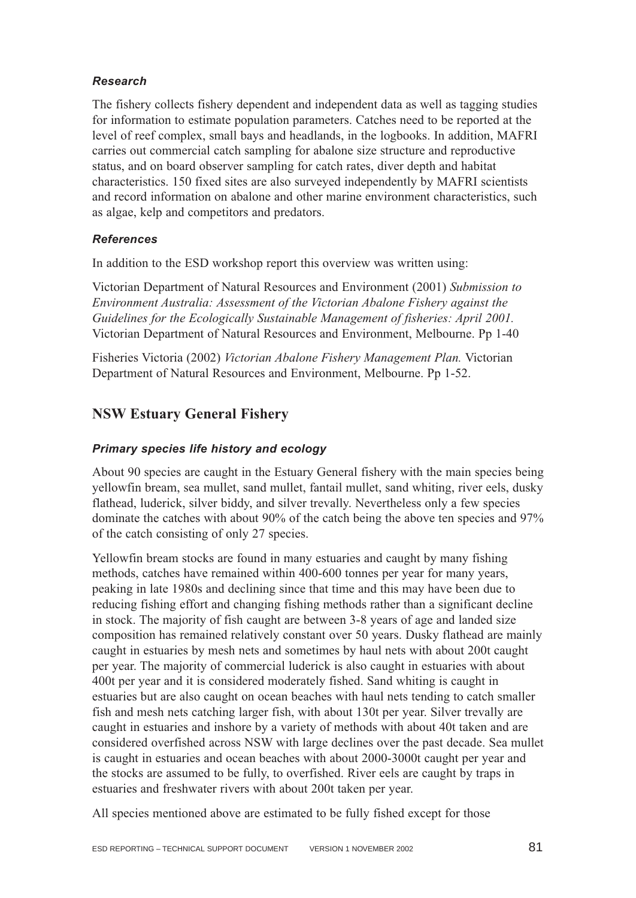#### *Research*

The fishery collects fishery dependent and independent data as well as tagging studies for information to estimate population parameters. Catches need to be reported at the level of reef complex, small bays and headlands, in the logbooks. In addition, MAFRI carries out commercial catch sampling for abalone size structure and reproductive status, and on board observer sampling for catch rates, diver depth and habitat characteristics. 150 fixed sites are also surveyed independently by MAFRI scientists and record information on abalone and other marine environment characteristics, such as algae, kelp and competitors and predators.

### *References*

In addition to the ESD workshop report this overview was written using:

Victorian Department of Natural Resources and Environment (2001) *Submission to Environment Australia: Assessment of the Victorian Abalone Fishery against the Guidelines for the Ecologically Sustainable Management of fisheries: April 2001.* Victorian Department of Natural Resources and Environment, Melbourne. Pp 1-40

Fisheries Victoria (2002) *Victorian Abalone Fishery Management Plan.* Victorian Department of Natural Resources and Environment, Melbourne. Pp 1-52.

# **NSW Estuary General Fishery**

### *Primary species life history and ecology*

About 90 species are caught in the Estuary General fishery with the main species being yellowfin bream, sea mullet, sand mullet, fantail mullet, sand whiting, river eels, dusky flathead, luderick, silver biddy, and silver trevally. Nevertheless only a few species dominate the catches with about 90% of the catch being the above ten species and 97% of the catch consisting of only 27 species.

Yellowfin bream stocks are found in many estuaries and caught by many fishing methods, catches have remained within 400-600 tonnes per year for many years, peaking in late 1980s and declining since that time and this may have been due to reducing fishing effort and changing fishing methods rather than a significant decline in stock. The majority of fish caught are between 3-8 years of age and landed size composition has remained relatively constant over 50 years. Dusky flathead are mainly caught in estuaries by mesh nets and sometimes by haul nets with about 200t caught per year. The majority of commercial luderick is also caught in estuaries with about 400t per year and it is considered moderately fished. Sand whiting is caught in estuaries but are also caught on ocean beaches with haul nets tending to catch smaller fish and mesh nets catching larger fish, with about 130t per year. Silver trevally are caught in estuaries and inshore by a variety of methods with about 40t taken and are considered overfished across NSW with large declines over the past decade. Sea mullet is caught in estuaries and ocean beaches with about 2000-3000t caught per year and the stocks are assumed to be fully, to overfished. River eels are caught by traps in estuaries and freshwater rivers with about 200t taken per year.

All species mentioned above are estimated to be fully fished except for those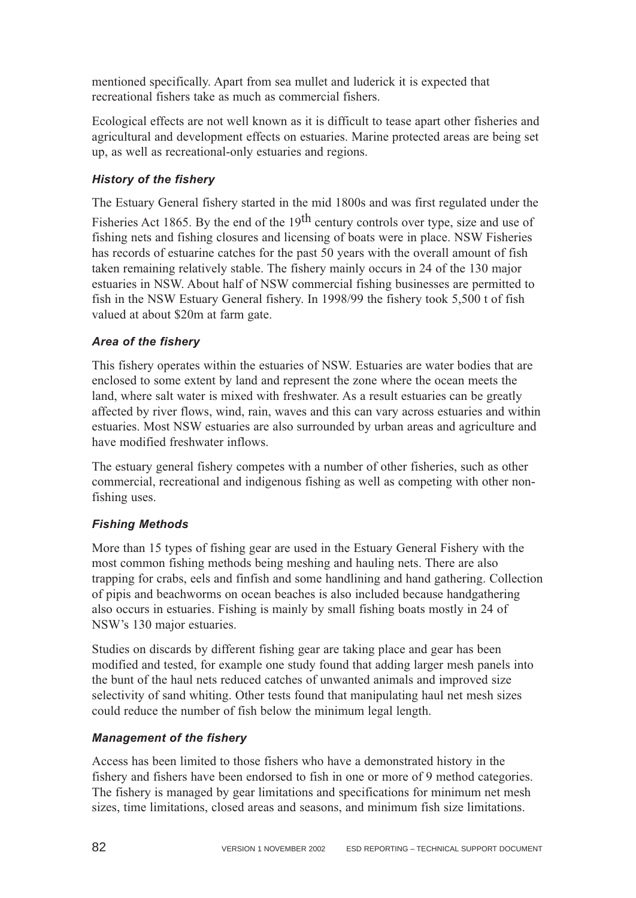mentioned specifically. Apart from sea mullet and luderick it is expected that recreational fishers take as much as commercial fishers.

Ecological effects are not well known as it is difficult to tease apart other fisheries and agricultural and development effects on estuaries. Marine protected areas are being set up, as well as recreational-only estuaries and regions.

## *History of the fishery*

The Estuary General fishery started in the mid 1800s and was first regulated under the

Fisheries Act 1865. By the end of the  $19<sup>th</sup>$  century controls over type, size and use of fishing nets and fishing closures and licensing of boats were in place. NSW Fisheries has records of estuarine catches for the past 50 years with the overall amount of fish taken remaining relatively stable. The fishery mainly occurs in 24 of the 130 major estuaries in NSW. About half of NSW commercial fishing businesses are permitted to fish in the NSW Estuary General fishery. In 1998/99 the fishery took 5,500 t of fish valued at about \$20m at farm gate.

### *Area of the fishery*

This fishery operates within the estuaries of NSW. Estuaries are water bodies that are enclosed to some extent by land and represent the zone where the ocean meets the land, where salt water is mixed with freshwater. As a result estuaries can be greatly affected by river flows, wind, rain, waves and this can vary across estuaries and within estuaries. Most NSW estuaries are also surrounded by urban areas and agriculture and have modified freshwater inflows.

The estuary general fishery competes with a number of other fisheries, such as other commercial, recreational and indigenous fishing as well as competing with other nonfishing uses.

## *Fishing Methods*

More than 15 types of fishing gear are used in the Estuary General Fishery with the most common fishing methods being meshing and hauling nets. There are also trapping for crabs, eels and finfish and some handlining and hand gathering. Collection of pipis and beachworms on ocean beaches is also included because handgathering also occurs in estuaries. Fishing is mainly by small fishing boats mostly in 24 of NSW's 130 major estuaries.

Studies on discards by different fishing gear are taking place and gear has been modified and tested, for example one study found that adding larger mesh panels into the bunt of the haul nets reduced catches of unwanted animals and improved size selectivity of sand whiting. Other tests found that manipulating haul net mesh sizes could reduce the number of fish below the minimum legal length.

## *Management of the fishery*

Access has been limited to those fishers who have a demonstrated history in the fishery and fishers have been endorsed to fish in one or more of 9 method categories. The fishery is managed by gear limitations and specifications for minimum net mesh sizes, time limitations, closed areas and seasons, and minimum fish size limitations.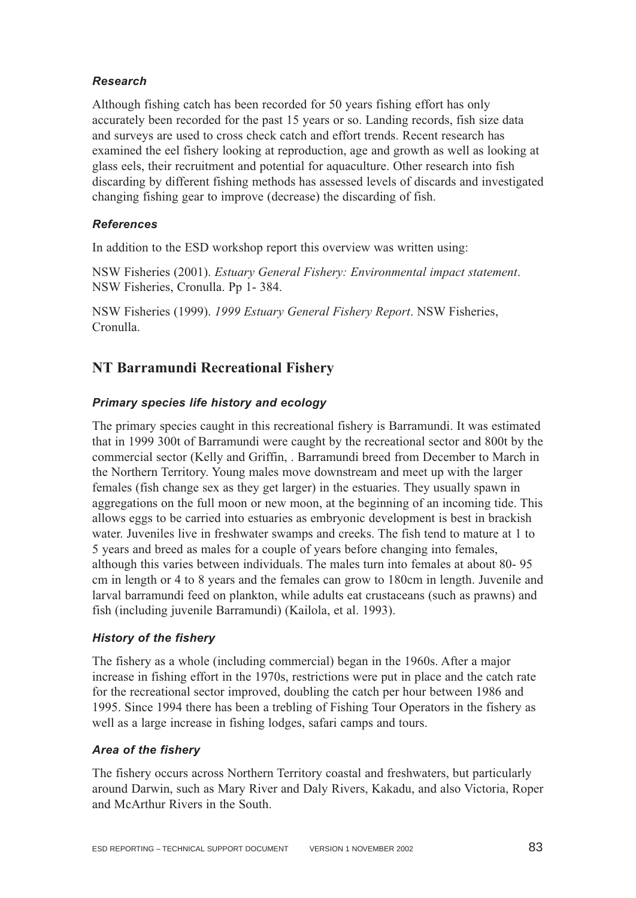#### *Research*

Although fishing catch has been recorded for 50 years fishing effort has only accurately been recorded for the past 15 years or so. Landing records, fish size data and surveys are used to cross check catch and effort trends. Recent research has examined the eel fishery looking at reproduction, age and growth as well as looking at glass eels, their recruitment and potential for aquaculture. Other research into fish discarding by different fishing methods has assessed levels of discards and investigated changing fishing gear to improve (decrease) the discarding of fish.

#### *References*

In addition to the ESD workshop report this overview was written using:

NSW Fisheries (2001). *Estuary General Fishery: Environmental impact statement*. NSW Fisheries, Cronulla. Pp 1- 384.

NSW Fisheries (1999). *1999 Estuary General Fishery Report*. NSW Fisheries, Cronulla.

## **NT Barramundi Recreational Fishery**

#### *Primary species life history and ecology*

The primary species caught in this recreational fishery is Barramundi. It was estimated that in 1999 300t of Barramundi were caught by the recreational sector and 800t by the commercial sector (Kelly and Griffin, . Barramundi breed from December to March in the Northern Territory. Young males move downstream and meet up with the larger females (fish change sex as they get larger) in the estuaries. They usually spawn in aggregations on the full moon or new moon, at the beginning of an incoming tide. This allows eggs to be carried into estuaries as embryonic development is best in brackish water. Juveniles live in freshwater swamps and creeks. The fish tend to mature at 1 to 5 years and breed as males for a couple of years before changing into females, although this varies between individuals. The males turn into females at about 80- 95 cm in length or 4 to 8 years and the females can grow to 180cm in length. Juvenile and larval barramundi feed on plankton, while adults eat crustaceans (such as prawns) and fish (including juvenile Barramundi) (Kailola, et al. 1993).

#### *History of the fishery*

The fishery as a whole (including commercial) began in the 1960s. After a major increase in fishing effort in the 1970s, restrictions were put in place and the catch rate for the recreational sector improved, doubling the catch per hour between 1986 and 1995. Since 1994 there has been a trebling of Fishing Tour Operators in the fishery as well as a large increase in fishing lodges, safari camps and tours.

#### *Area of the fishery*

The fishery occurs across Northern Territory coastal and freshwaters, but particularly around Darwin, such as Mary River and Daly Rivers, Kakadu, and also Victoria, Roper and McArthur Rivers in the South.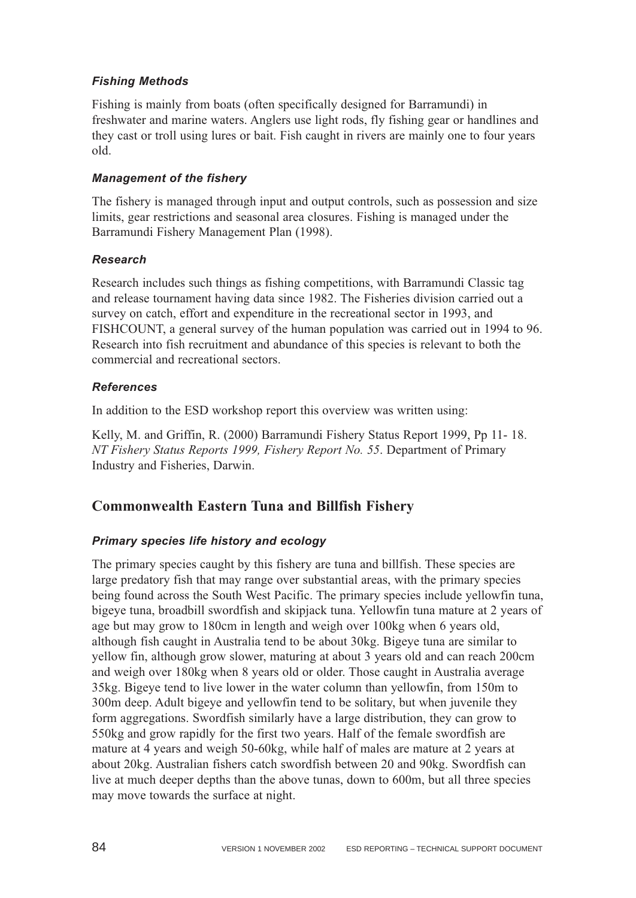### *Fishing Methods*

Fishing is mainly from boats (often specifically designed for Barramundi) in freshwater and marine waters. Anglers use light rods, fly fishing gear or handlines and they cast or troll using lures or bait. Fish caught in rivers are mainly one to four years old.

#### *Management of the fishery*

The fishery is managed through input and output controls, such as possession and size limits, gear restrictions and seasonal area closures. Fishing is managed under the Barramundi Fishery Management Plan (1998).

#### *Research*

Research includes such things as fishing competitions, with Barramundi Classic tag and release tournament having data since 1982. The Fisheries division carried out a survey on catch, effort and expenditure in the recreational sector in 1993, and FISHCOUNT, a general survey of the human population was carried out in 1994 to 96. Research into fish recruitment and abundance of this species is relevant to both the commercial and recreational sectors.

#### *References*

In addition to the ESD workshop report this overview was written using:

Kelly, M. and Griffin, R. (2000) Barramundi Fishery Status Report 1999, Pp 11- 18. *NT Fishery Status Reports 1999, Fishery Report No. 55*. Department of Primary Industry and Fisheries, Darwin.

## **Commonwealth Eastern Tuna and Billfish Fishery**

#### *Primary species life history and ecology*

The primary species caught by this fishery are tuna and billfish. These species are large predatory fish that may range over substantial areas, with the primary species being found across the South West Pacific. The primary species include yellowfin tuna, bigeye tuna, broadbill swordfish and skipjack tuna. Yellowfin tuna mature at 2 years of age but may grow to 180cm in length and weigh over 100kg when 6 years old, although fish caught in Australia tend to be about 30kg. Bigeye tuna are similar to yellow fin, although grow slower, maturing at about 3 years old and can reach 200cm and weigh over 180kg when 8 years old or older. Those caught in Australia average 35kg. Bigeye tend to live lower in the water column than yellowfin, from 150m to 300m deep. Adult bigeye and yellowfin tend to be solitary, but when juvenile they form aggregations. Swordfish similarly have a large distribution, they can grow to 550kg and grow rapidly for the first two years. Half of the female swordfish are mature at 4 years and weigh 50-60kg, while half of males are mature at 2 years at about 20kg. Australian fishers catch swordfish between 20 and 90kg. Swordfish can live at much deeper depths than the above tunas, down to 600m, but all three species may move towards the surface at night.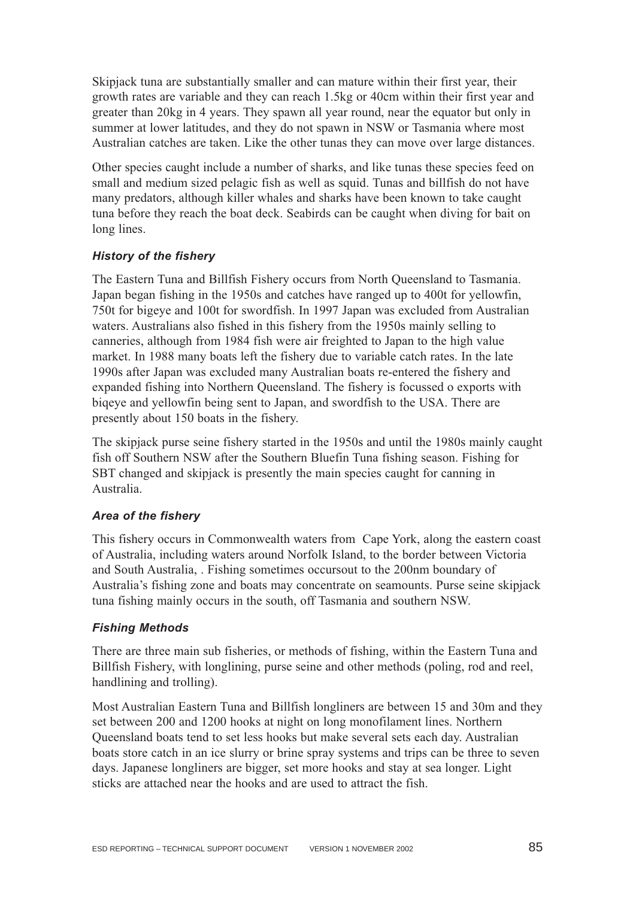Skipjack tuna are substantially smaller and can mature within their first year, their growth rates are variable and they can reach 1.5kg or 40cm within their first year and greater than 20kg in 4 years. They spawn all year round, near the equator but only in summer at lower latitudes, and they do not spawn in NSW or Tasmania where most Australian catches are taken. Like the other tunas they can move over large distances.

Other species caught include a number of sharks, and like tunas these species feed on small and medium sized pelagic fish as well as squid. Tunas and billfish do not have many predators, although killer whales and sharks have been known to take caught tuna before they reach the boat deck. Seabirds can be caught when diving for bait on long lines.

#### *History of the fishery*

The Eastern Tuna and Billfish Fishery occurs from North Queensland to Tasmania. Japan began fishing in the 1950s and catches have ranged up to 400t for yellowfin, 750t for bigeye and 100t for swordfish. In 1997 Japan was excluded from Australian waters. Australians also fished in this fishery from the 1950s mainly selling to canneries, although from 1984 fish were air freighted to Japan to the high value market. In 1988 many boats left the fishery due to variable catch rates. In the late 1990s after Japan was excluded many Australian boats re-entered the fishery and expanded fishing into Northern Queensland. The fishery is focussed o exports with biqeye and yellowfin being sent to Japan, and swordfish to the USA. There are presently about 150 boats in the fishery.

The skipjack purse seine fishery started in the 1950s and until the 1980s mainly caught fish off Southern NSW after the Southern Bluefin Tuna fishing season. Fishing for SBT changed and skipjack is presently the main species caught for canning in Australia.

#### *Area of the fishery*

This fishery occurs in Commonwealth waters from Cape York, along the eastern coast of Australia, including waters around Norfolk Island, to the border between Victoria and South Australia, . Fishing sometimes occursout to the 200nm boundary of Australia's fishing zone and boats may concentrate on seamounts. Purse seine skipjack tuna fishing mainly occurs in the south, off Tasmania and southern NSW.

#### *Fishing Methods*

There are three main sub fisheries, or methods of fishing, within the Eastern Tuna and Billfish Fishery, with longlining, purse seine and other methods (poling, rod and reel, handlining and trolling).

Most Australian Eastern Tuna and Billfish longliners are between 15 and 30m and they set between 200 and 1200 hooks at night on long monofilament lines. Northern Queensland boats tend to set less hooks but make several sets each day. Australian boats store catch in an ice slurry or brine spray systems and trips can be three to seven days. Japanese longliners are bigger, set more hooks and stay at sea longer. Light sticks are attached near the hooks and are used to attract the fish.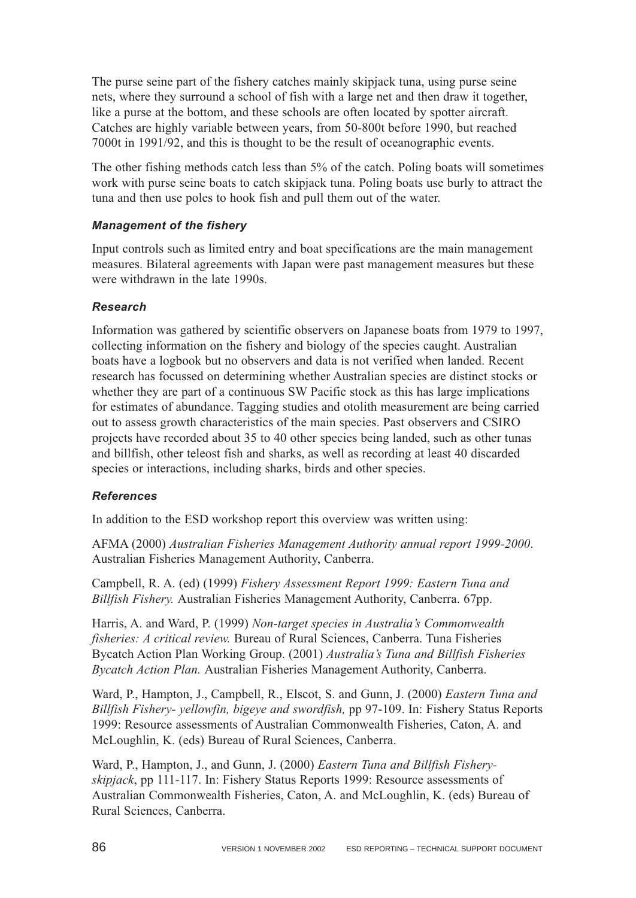The purse seine part of the fishery catches mainly skipjack tuna, using purse seine nets, where they surround a school of fish with a large net and then draw it together, like a purse at the bottom, and these schools are often located by spotter aircraft. Catches are highly variable between years, from 50-800t before 1990, but reached 7000t in 1991/92, and this is thought to be the result of oceanographic events.

The other fishing methods catch less than 5% of the catch. Poling boats will sometimes work with purse seine boats to catch skipjack tuna. Poling boats use burly to attract the tuna and then use poles to hook fish and pull them out of the water.

#### *Management of the fishery*

Input controls such as limited entry and boat specifications are the main management measures. Bilateral agreements with Japan were past management measures but these were withdrawn in the late 1990s.

#### *Research*

Information was gathered by scientific observers on Japanese boats from 1979 to 1997, collecting information on the fishery and biology of the species caught. Australian boats have a logbook but no observers and data is not verified when landed. Recent research has focussed on determining whether Australian species are distinct stocks or whether they are part of a continuous SW Pacific stock as this has large implications for estimates of abundance. Tagging studies and otolith measurement are being carried out to assess growth characteristics of the main species. Past observers and CSIRO projects have recorded about 35 to 40 other species being landed, such as other tunas and billfish, other teleost fish and sharks, as well as recording at least 40 discarded species or interactions, including sharks, birds and other species.

#### *References*

In addition to the ESD workshop report this overview was written using:

AFMA (2000) *Australian Fisheries Management Authority annual report 1999-2000*. Australian Fisheries Management Authority, Canberra.

Campbell, R. A. (ed) (1999) *Fishery Assessment Report 1999: Eastern Tuna and Billfish Fishery.* Australian Fisheries Management Authority, Canberra. 67pp.

Harris, A. and Ward, P. (1999) *Non-target species in Australia's Commonwealth fisheries: A critical review.* Bureau of Rural Sciences, Canberra. Tuna Fisheries Bycatch Action Plan Working Group. (2001) *Australia's Tuna and Billfish Fisheries Bycatch Action Plan.* Australian Fisheries Management Authority, Canberra.

Ward, P., Hampton, J., Campbell, R., Elscot, S. and Gunn, J. (2000) *Eastern Tuna and Billfish Fishery- yellowfin, bigeye and swordfish,* pp 97-109. In: Fishery Status Reports 1999: Resource assessments of Australian Commonwealth Fisheries, Caton, A. and McLoughlin, K. (eds) Bureau of Rural Sciences, Canberra.

Ward, P., Hampton, J., and Gunn, J. (2000) *Eastern Tuna and Billfish Fisheryskipjack*, pp 111-117. In: Fishery Status Reports 1999: Resource assessments of Australian Commonwealth Fisheries, Caton, A. and McLoughlin, K. (eds) Bureau of Rural Sciences, Canberra.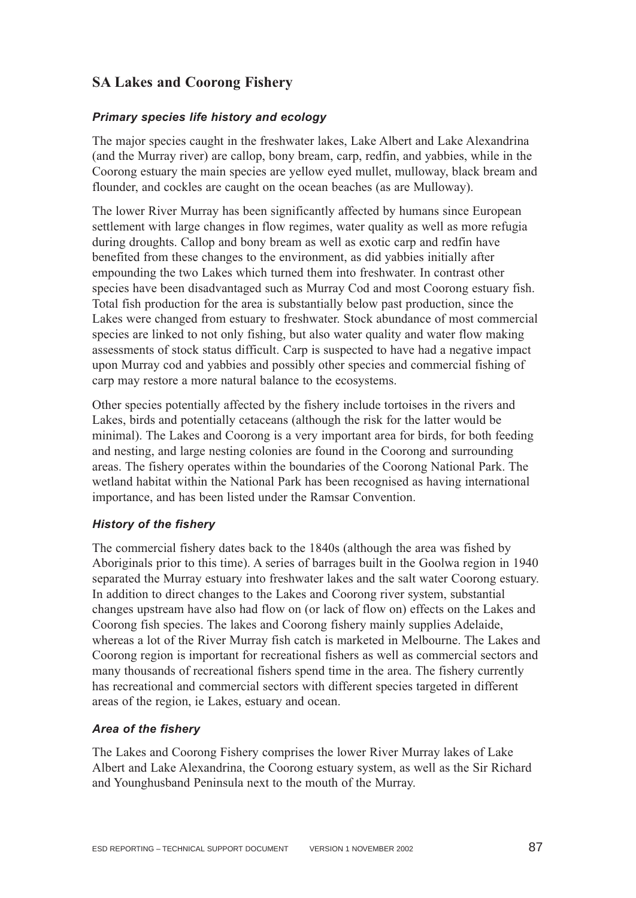# **SA Lakes and Coorong Fishery**

#### *Primary species life history and ecology*

The major species caught in the freshwater lakes, Lake Albert and Lake Alexandrina (and the Murray river) are callop, bony bream, carp, redfin, and yabbies, while in the Coorong estuary the main species are yellow eyed mullet, mulloway, black bream and flounder, and cockles are caught on the ocean beaches (as are Mulloway).

The lower River Murray has been significantly affected by humans since European settlement with large changes in flow regimes, water quality as well as more refugia during droughts. Callop and bony bream as well as exotic carp and redfin have benefited from these changes to the environment, as did yabbies initially after empounding the two Lakes which turned them into freshwater. In contrast other species have been disadvantaged such as Murray Cod and most Coorong estuary fish. Total fish production for the area is substantially below past production, since the Lakes were changed from estuary to freshwater. Stock abundance of most commercial species are linked to not only fishing, but also water quality and water flow making assessments of stock status difficult. Carp is suspected to have had a negative impact upon Murray cod and yabbies and possibly other species and commercial fishing of carp may restore a more natural balance to the ecosystems.

Other species potentially affected by the fishery include tortoises in the rivers and Lakes, birds and potentially cetaceans (although the risk for the latter would be minimal). The Lakes and Coorong is a very important area for birds, for both feeding and nesting, and large nesting colonies are found in the Coorong and surrounding areas. The fishery operates within the boundaries of the Coorong National Park. The wetland habitat within the National Park has been recognised as having international importance, and has been listed under the Ramsar Convention.

#### *History of the fishery*

The commercial fishery dates back to the 1840s (although the area was fished by Aboriginals prior to this time). A series of barrages built in the Goolwa region in 1940 separated the Murray estuary into freshwater lakes and the salt water Coorong estuary. In addition to direct changes to the Lakes and Coorong river system, substantial changes upstream have also had flow on (or lack of flow on) effects on the Lakes and Coorong fish species. The lakes and Coorong fishery mainly supplies Adelaide, whereas a lot of the River Murray fish catch is marketed in Melbourne. The Lakes and Coorong region is important for recreational fishers as well as commercial sectors and many thousands of recreational fishers spend time in the area. The fishery currently has recreational and commercial sectors with different species targeted in different areas of the region, ie Lakes, estuary and ocean.

#### *Area of the fishery*

The Lakes and Coorong Fishery comprises the lower River Murray lakes of Lake Albert and Lake Alexandrina, the Coorong estuary system, as well as the Sir Richard and Younghusband Peninsula next to the mouth of the Murray.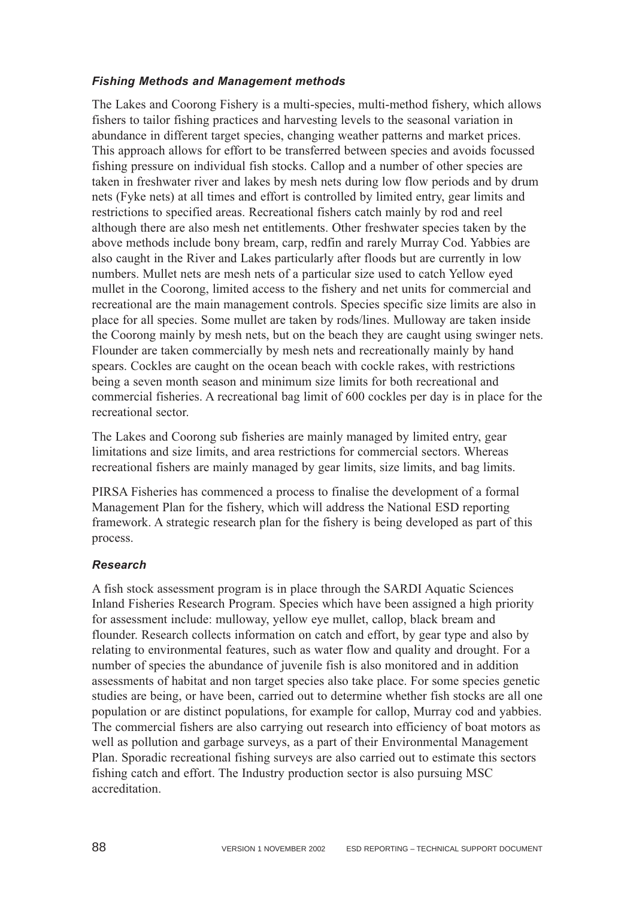#### *Fishing Methods and Management methods*

The Lakes and Coorong Fishery is a multi-species, multi-method fishery, which allows fishers to tailor fishing practices and harvesting levels to the seasonal variation in abundance in different target species, changing weather patterns and market prices. This approach allows for effort to be transferred between species and avoids focussed fishing pressure on individual fish stocks. Callop and a number of other species are taken in freshwater river and lakes by mesh nets during low flow periods and by drum nets (Fyke nets) at all times and effort is controlled by limited entry, gear limits and restrictions to specified areas. Recreational fishers catch mainly by rod and reel although there are also mesh net entitlements. Other freshwater species taken by the above methods include bony bream, carp, redfin and rarely Murray Cod. Yabbies are also caught in the River and Lakes particularly after floods but are currently in low numbers. Mullet nets are mesh nets of a particular size used to catch Yellow eyed mullet in the Coorong, limited access to the fishery and net units for commercial and recreational are the main management controls. Species specific size limits are also in place for all species. Some mullet are taken by rods/lines. Mulloway are taken inside the Coorong mainly by mesh nets, but on the beach they are caught using swinger nets. Flounder are taken commercially by mesh nets and recreationally mainly by hand spears. Cockles are caught on the ocean beach with cockle rakes, with restrictions being a seven month season and minimum size limits for both recreational and commercial fisheries. A recreational bag limit of 600 cockles per day is in place for the recreational sector.

The Lakes and Coorong sub fisheries are mainly managed by limited entry, gear limitations and size limits, and area restrictions for commercial sectors. Whereas recreational fishers are mainly managed by gear limits, size limits, and bag limits.

PIRSA Fisheries has commenced a process to finalise the development of a formal Management Plan for the fishery, which will address the National ESD reporting framework. A strategic research plan for the fishery is being developed as part of this process.

#### *Research*

A fish stock assessment program is in place through the SARDI Aquatic Sciences Inland Fisheries Research Program. Species which have been assigned a high priority for assessment include: mulloway, yellow eye mullet, callop, black bream and flounder. Research collects information on catch and effort, by gear type and also by relating to environmental features, such as water flow and quality and drought. For a number of species the abundance of juvenile fish is also monitored and in addition assessments of habitat and non target species also take place. For some species genetic studies are being, or have been, carried out to determine whether fish stocks are all one population or are distinct populations, for example for callop, Murray cod and yabbies. The commercial fishers are also carrying out research into efficiency of boat motors as well as pollution and garbage surveys, as a part of their Environmental Management Plan. Sporadic recreational fishing surveys are also carried out to estimate this sectors fishing catch and effort. The Industry production sector is also pursuing MSC accreditation.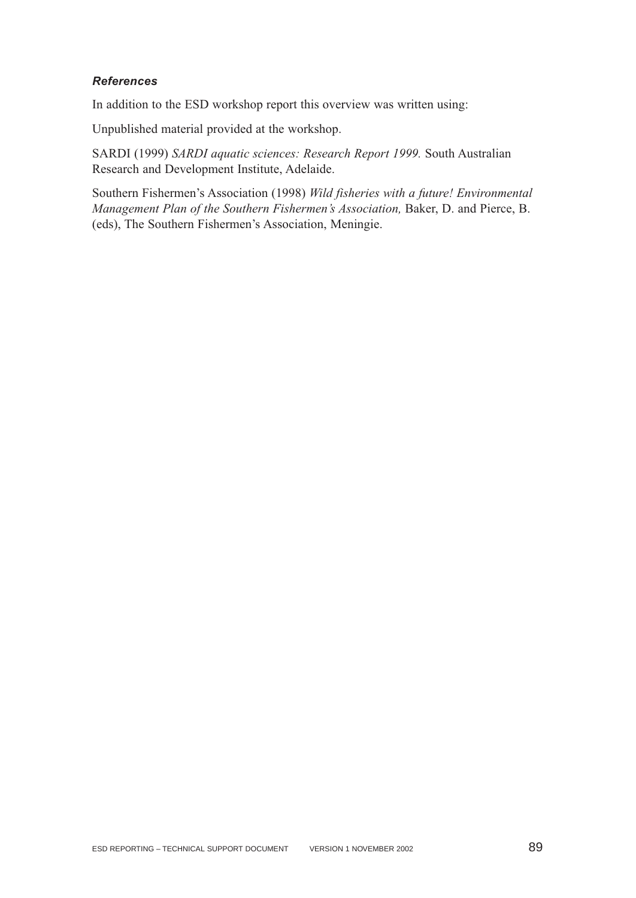#### *References*

In addition to the ESD workshop report this overview was written using:

Unpublished material provided at the workshop.

SARDI (1999) *SARDI aquatic sciences: Research Report 1999.* South Australian Research and Development Institute, Adelaide.

Southern Fishermen's Association (1998) *Wild fisheries with a future! Environmental Management Plan of the Southern Fishermen's Association,* Baker, D. and Pierce, B. (eds), The Southern Fishermen's Association, Meningie.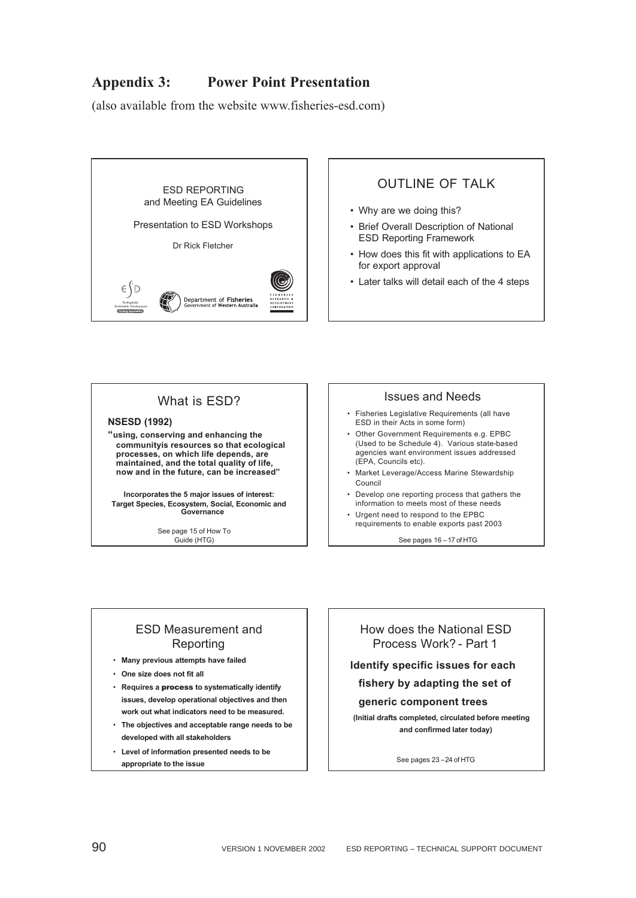# **Appendix 3: Power Point Presentation**

(also available from the website www.fisheries-esd.com)



### **OUTLINE OF TALK**

- Why are we doing this?
- Brief Overall Description of National ESD Reporting Framework
- How does this fit with applications to EA for export approval
- Later talks will detail each of the 4 steps

### What is ESD?

#### **NSESD (1992)**

**"using, conserving and enhancing the communityís resources so that ecological processes, on which life depends, are maintained, and the total quality of life, now and in the future, can be increased"**

**Incorporates the 5 major issues of interest: Target Species, Ecosystem, Social, Economic and Governance**

> See page 15 of How To Guide (HTG)

#### Issues and Needs

- Fisheries Legislative Requirements (all have ESD in their Acts in some form)
- Other Government Requirements e.g. EPBC (Used to be Schedule 4). Various state-based agencies want environment issues addressed (EPA, Councils etc).
- Market Leverage/Access Marine Stewardship Council
- Develop one reporting process that gathers the information to meets most of these needs
- Urgent need to respond to the EPBC requirements to enable exports past 2003

See pages 16 –17 of HTG

#### ESD Measurement and Reporting

- **Many previous attempts have failed**
- **One size does not fit all**
- **Requires a** process **to systematically identify issues, develop operational objectives and then work out what indicators need to be measured.**
- **The objectives and acceptable range needs to be developed with all stakeholders**
- **Level of information presented needs to be appropriate to the issue**

How does the National ESD Process Work? - Part 1

**Identify specific issues for each** 

#### **fishery by adapting the set of**

#### **generic component trees**

**(Initial drafts completed, circulated before meeting and confirmed later today)**

See pages 23 –24 of HTG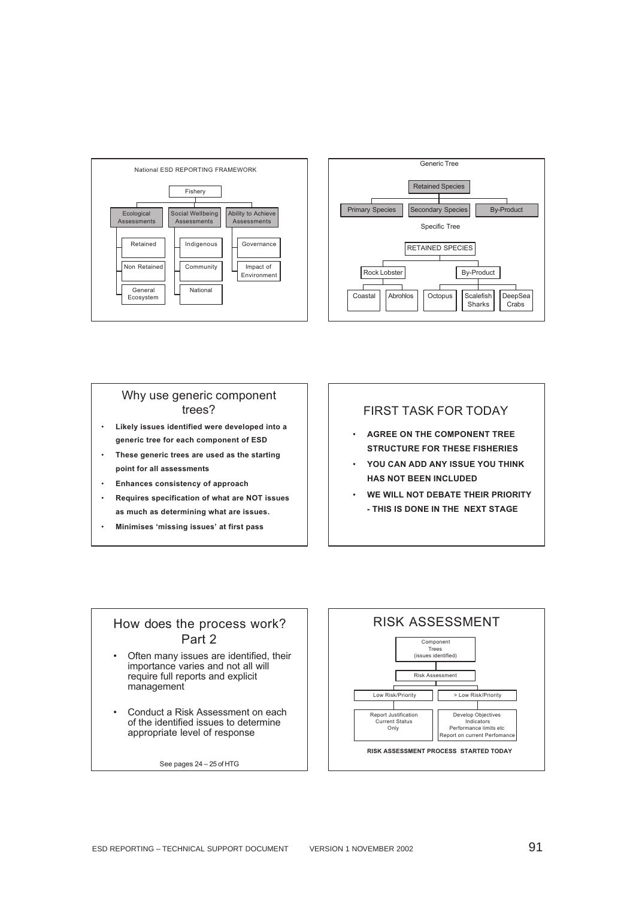



#### Why use generic component trees?

- **Likely issues identified were developed into a generic tree for each component of ESD**
- **These generic trees are used as the starting point for all assessments**
- **Enhances consistency of approach**
- **Requires specification of what are NOT issues as much as determining what are issues.**
- **Minimises 'missing issues' at first pass**

#### FIRST TASK FOR TODAY

- **AGREE ON THE COMPONENT TREE STRUCTURE FOR THESE FISHERIES**
- **YOU CAN ADD ANY ISSUE YOU THINK HAS NOT BEEN INCLUDED**
- **WE WILL NOT DEBATE THEIR PRIORITY - THIS IS DONE IN THE NEXT STAGE**

### How does the process work? Part 2

- Often many issues are identified, their importance varies and not all will require full reports and explicit management
- Conduct a Risk Assessment on each of the identified issues to determine appropriate level of response

See pages 24 – 25 of HTG

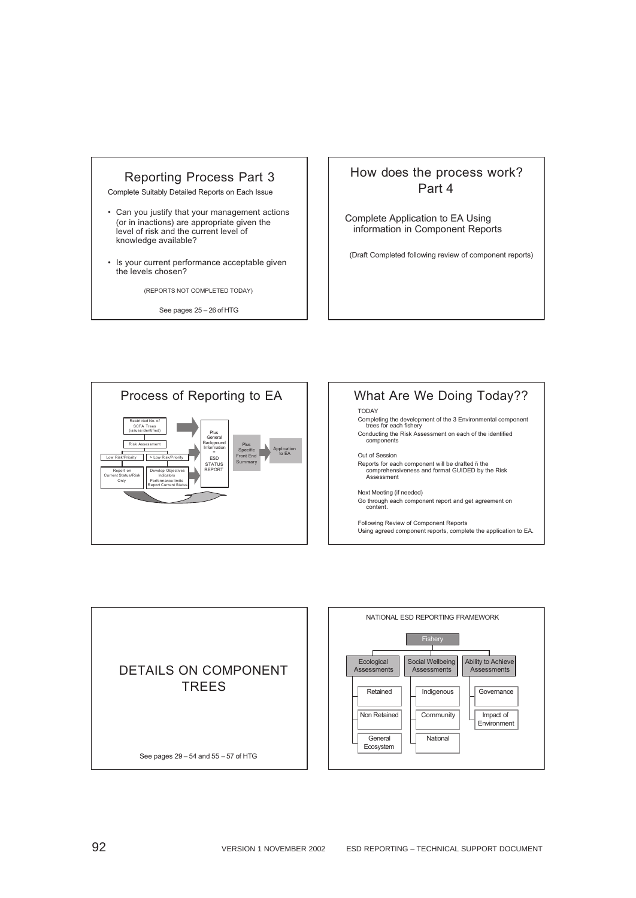#### Reporting Process Part 3

Complete Suitably Detailed Reports on Each Issue

- Can you justify that your management actions (or in inactions) are appropriate given the level of risk and the current level of knowledge available?
- Is your current performance acceptable given the levels chosen?

(REPORTS NOT COMPLETED TODAY)

See pages 25 – 26 of HTG

### How does the process work? Part 4

Complete Application to EA Using information in Component Reports

(Draft Completed following review of component reports)



#### What Are We Doing Today?? TODAY Completing the development of the 3 Environmental component trees for each fishery Conducting the Risk Assessment on each of the identified components Out of Session Reports for each component will be drafted ñ the comprehensiveness and format GUIDED by the Risk Assessment

#### Next Meeting (if needed)

Go through each component report and get agreement on content.

Following Review of Component Reports Using agreed component reports, complete the application to EA.

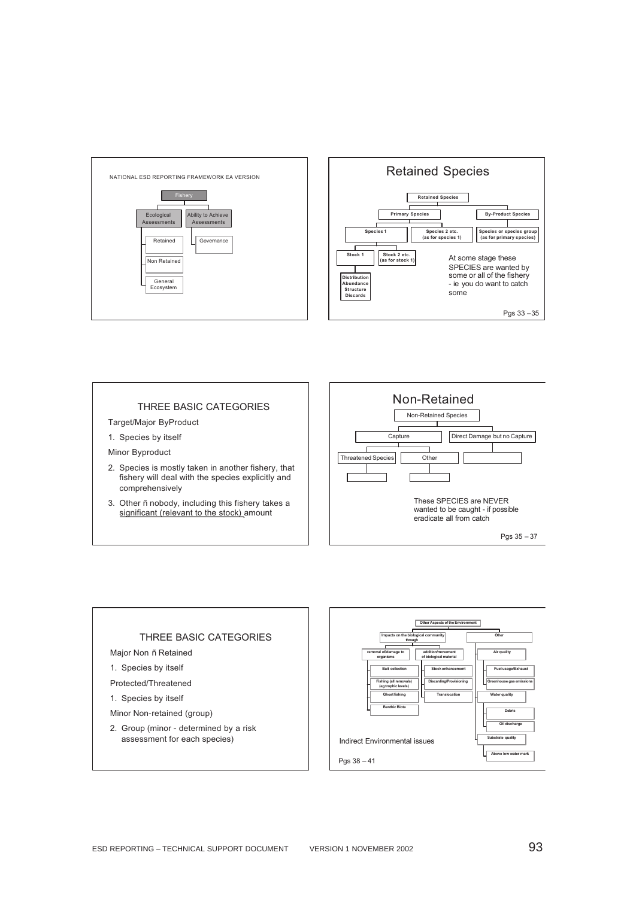



#### THREE BASIC CATEGORIES

Target/Major ByProduct

1. Species by itself

Minor Byproduct

- 2. Species is mostly taken in another fishery, that fishery will deal with the species explicitly and comprehensively
- 3. Other ñ nobody, including this fishery takes a significant (relevant to the stock) amount





#### ESD REPORTING – TECHNICAL SUPPORT DOCUMENT VERSION 1 NOVEMBER 2002 93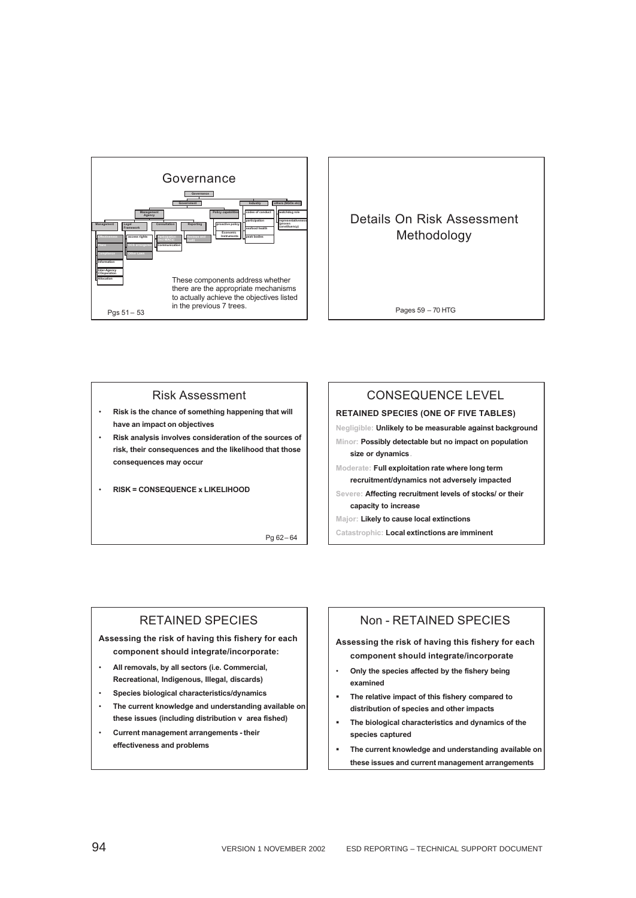

#### Details On Risk Assessment Methodology

Pages 59 – 70 HTG

#### Risk Assessment

- **Risk is the chance of something happening that will have an impact on objectives**
- **Risk analysis involves consideration of the sources of risk, their consequences and the likelihood that those consequences may occur**
- **RISK = CONSEQUENCE x LIKELIHOOD**

Pg 62– 64

#### CONSEQUENCE LEVEL

#### **RETAINED SPECIES (ONE OF FIVE TABLES)**

**Negligible: Unlikely to be measurable against background Minor: Possibly detectable but no impact on population size or dynamics.**

- **Moderate: Full exploitation rate where long term recruitment/dynamics not adversely impacted**
- **Severe: Affecting recruitment levels of stocks/ or their capacity to increase**

**Major: Likely to cause local extinctions**

**Catastrophic: Local extinctions are imminent**

#### RETAINED SPECIES

**Assessing the risk of having this fishery for each component should integrate/incorporate:**

- **All removals, by all sectors (i.e. Commercial, Recreational, Indigenous, Illegal, discards)**
- **Species biological characteristics/dynamics**
- **The current knowledge and understanding available on these issues (including distribution v area fished)**
- **Current management arrangements their effectiveness and problems**

#### Non - RETAINED SPECIES

**Assessing the risk of having this fishery for each component should integrate/incorporate** 

- **Only the species affected by the fishery being examined**
- **The relative impact of this fishery compared to distribution of species and other impacts**
- **The biological characteristics and dynamics of the species captured**
- **The current knowledge and understanding available on these issues and current management arrangements**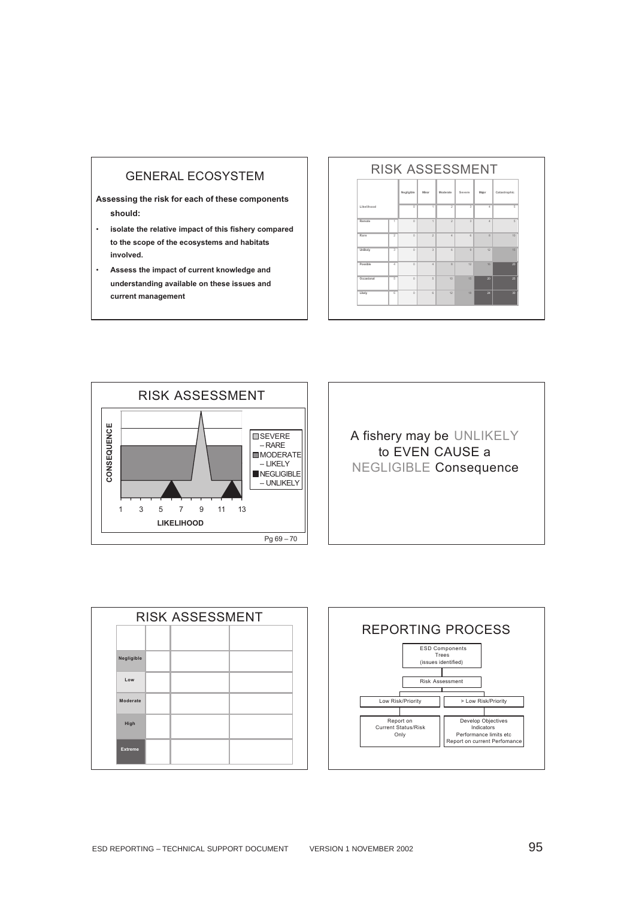#### GENERAL ECOSYSTEM

**Assessing the risk for each of these components should:**

- **isolate the relative impact of this fishery compared to the scope of the ecosystems and habitats involved.**
- **Assess the impact of current knowledge and understanding available on these issues and current management**

#### RISK ASSESSMENT





A fishery may be UNLIKELY to EVEN CAUSE a NEGLIGIBLE Consequence

| <b>RISK ASSESSMENT</b> |  |  |  |  |  |
|------------------------|--|--|--|--|--|
|                        |  |  |  |  |  |
| Negligible             |  |  |  |  |  |
| Low                    |  |  |  |  |  |
| Moderate               |  |  |  |  |  |
| High                   |  |  |  |  |  |
| <b>Extreme</b>         |  |  |  |  |  |

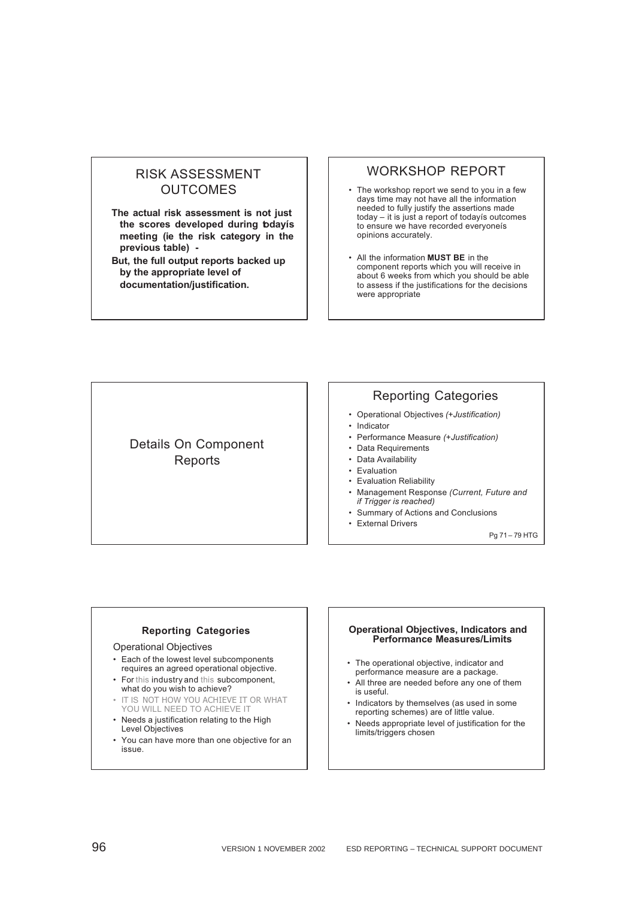### RISK ASSESSMENT **OUTCOMES**

**The actual risk assessment is not just the scores developed during todayís meeting (ie the risk category in the previous table) -**

**But, the full output reports backed up by the appropriate level of documentation/justification.**

#### WORKSHOP REPORT

- The workshop report we send to you in a few days time may not have all the information needed to fully justify the assertions made today – it is just a report of todayís outcomes to ensure we have recorded everyoneís opinions accurately.
- All the information **MUST BE** in the component reports which you will receive in about 6 weeks from which you should be able to assess if the justifications for the decisions were appropriate

Details On Component **Reports** 

## Reporting Categories

- Operational Objectives *(+Justification)*
- Indicator
- Performance Measure *(+Justification)*
- Data Requirements
- Data Availability
- Evaluation
- Evaluation Reliability
- Management Response *(Current, Future and if Trigger is reached)*
- Summary of Actions and Conclusions
- External Drivers

Pg 71 – 79 HTG

#### **Reporting Categories**

#### Operational Objectives

- Each of the lowest level subcomponents requires an agreed operational objective.
- For this industry and this subcomponent, what do you wish to achieve?
- IT IS NOT HOW YOU ACHIEVE IT OR WHAT YOU WILL NEED TO ACHIEVE IT
- Needs a justification relating to the High Level Objectives
- You can have more than one objective for an issue.

#### **Operational Objectives, Indicators and Performance Measures/Limits**

- The operational objective, indicator and performance measure are a package.
- All three are needed before any one of them is useful.
- Indicators by themselves (as used in some reporting schemes) are of little value.
- Needs appropriate level of justification for the limits/triggers chosen